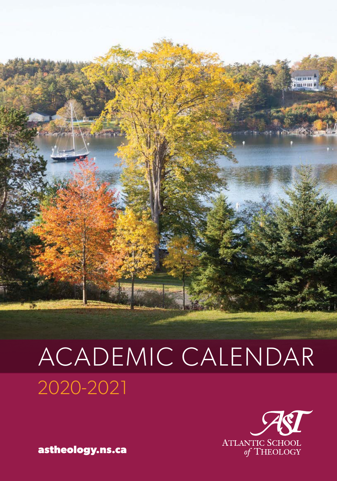

# ACADEMIC CALENDAR 2020-2021



**astheology.ns.ca**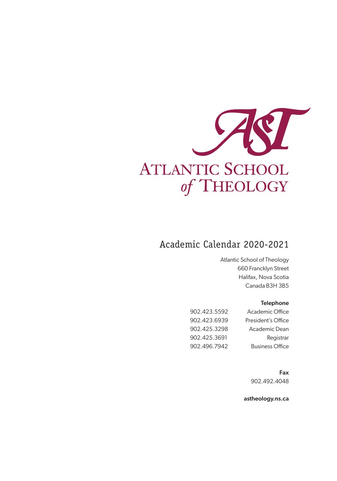

## Academic Calendar 2020-2021

Atlantic School of Theology 660 Francklyn Street Halifax, Nova Scotia Canada B3H 3B5

#### Telephone

| 902.423.5592 | Academic Office        |
|--------------|------------------------|
| 902.423.6939 | President's Office     |
| 902.425.3298 | Academic Dean          |
| 902.425.3691 | Registrar              |
| 902.496.7942 | <b>Business Office</b> |

Fax 902.492.4048

astheology.ns.ca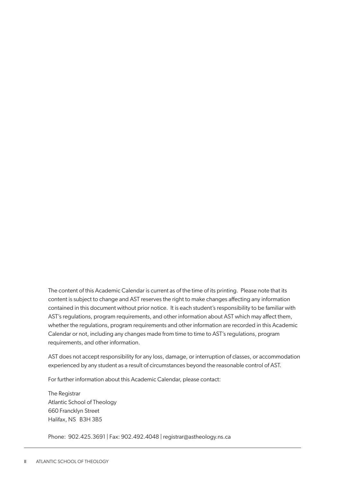The content of this Academic Calendar is current as of the time of its printing. Please note that its content is subject to change and AST reserves the right to make changes affecting any information contained in this document without prior notice. It is each student's responsibility to be familiar with AST's regulations, program requirements, and other information about AST which may affect them, whether the regulations, program requirements and other information are recorded in this Academic Calendar or not, including any changes made from time to time to AST's regulations, program requirements, and other information.

AST does not accept responsibility for any loss, damage, or interruption of classes, or accommodation experienced by any student as a result of circumstances beyond the reasonable control of AST.

For further information about this Academic Calendar, please contact:

The Registrar Atlantic School of Theology 660 Francklyn Street Halifax, NS B3H 3B5

Phone: 902.425.3691 | Fax: 902.492.4048 | registrar@astheology.ns.ca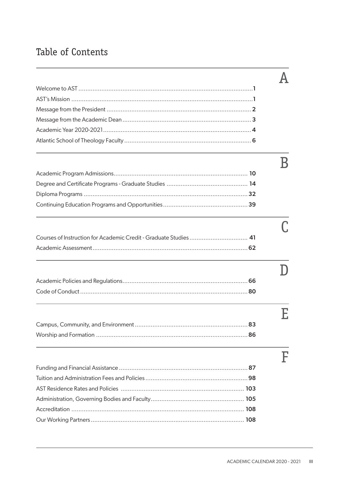## Table of Contents

| Courses of Instruction for Academic Credit - Graduate Studies  41 |  |
|-------------------------------------------------------------------|--|
|                                                                   |  |
|                                                                   |  |
|                                                                   |  |
|                                                                   |  |
|                                                                   |  |
|                                                                   |  |
|                                                                   |  |
|                                                                   |  |
|                                                                   |  |
|                                                                   |  |
|                                                                   |  |
|                                                                   |  |
|                                                                   |  |
|                                                                   |  |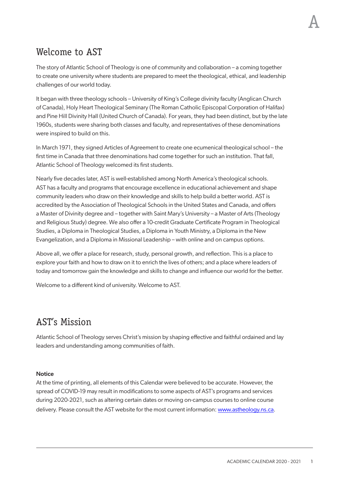## <span id="page-6-0"></span>Welcome to AST

The story of Atlantic School of Theology is one of community and collaboration – a coming together to create one university where students are prepared to meet the theological, ethical, and leadership challenges of our world today.

It began with three theology schools – University of King's College divinity faculty (Anglican Church of Canada), Holy Heart Theological Seminary (The Roman Catholic Episcopal Corporation of Halifax) and Pine Hill Divinity Hall (United Church of Canada). For years, they had been distinct, but by the late 1960s, students were sharing both classes and faculty, and representatives of these denominations were inspired to build on this.

In March 1971, they signed Articles of Agreement to create one ecumenical theological school – the first time in Canada that three denominations had come together for such an institution. That fall, Atlantic School of Theology welcomed its first students.

Nearly five decades later, AST is well-established among North America's theological schools. AST has a faculty and programs that encourage excellence in educational achievement and shape community leaders who draw on their knowledge and skills to help build a better world. AST is accredited by the Association of Theological Schools in the United States and Canada, and offers a Master of Divinity degree and – together with Saint Mary's University – a Master of Arts (Theology and Religious Study) degree. We also offer a 10-credit Graduate Certificate Program in Theological Studies, a Diploma in Theological Studies, a Diploma in Youth Ministry, a Diploma in the New Evangelization, and a Diploma in Missional Leadership – with online and on campus options.

Above all, we offer a place for research, study, personal growth, and reflection. This is a place to explore your faith and how to draw on it to enrich the lives of others; and a place where leaders of today and tomorrow gain the knowledge and skills to change and influence our world for the better.

Welcome to a different kind of university. Welcome to AST.

## AST's Mission

Atlantic School of Theology serves Christ's mission by shaping effective and faithful ordained and lay leaders and understanding among communities of faith.

#### **Notice**

At the time of printing, all elements of this Calendar were believed to be accurate. However, the spread of COVID-19 may result in modifications to some aspects of AST's programs and services during 2020-2021, such as altering certain dates or moving on-campus courses to online course delivery. Please consult the AST website for the most current information: [www.astheology.ns.ca](http://www.astheology.ns.ca).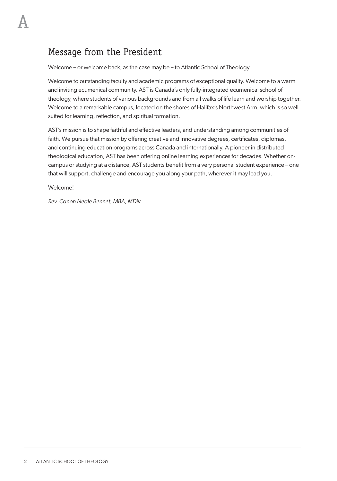## <span id="page-7-0"></span>Message from the President

Welcome – or welcome back, as the case may be – to Atlantic School of Theology.

Welcome to outstanding faculty and academic programs of exceptional quality. Welcome to a warm and inviting ecumenical community. AST is Canada's only fully-integrated ecumenical school of theology, where students of various backgrounds and from all walks of life learn and worship together. Welcome to a remarkable campus, located on the shores of Halifax's Northwest Arm, which is so well suited for learning, reflection, and spiritual formation.

AST's mission is to shape faithful and effective leaders, and understanding among communities of faith. We pursue that mission by offering creative and innovative degrees, certificates, diplomas, and continuing education programs across Canada and internationally. A pioneer in distributed theological education, AST has been offering online learning experiences for decades. Whether oncampus or studying at a distance, AST students benefit from a very personal student experience – one that will support, challenge and encourage you along your path, wherever it may lead you.

Welcome!

*Rev. Canon Neale Bennet, MBA, MDiv*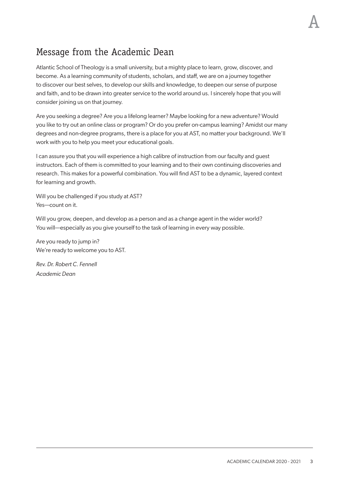A

## <span id="page-8-0"></span>Message from the Academic Dean

Atlantic School of Theology is a small university, but a mighty place to learn, grow, discover, and become. As a learning community of students, scholars, and staff, we are on a journey together to discover our best selves, to develop our skills and knowledge, to deepen our sense of purpose and faith, and to be drawn into greater service to the world around us. I sincerely hope that you will consider joining us on that journey.

Are you seeking a degree? Are you a lifelong learner? Maybe looking for a new adventure? Would you like to try out an online class or program? Or do you prefer on-campus learning? Amidst our many degrees and non-degree programs, there is a place for you at AST, no matter your background. We'll work with you to help you meet your educational goals.

I can assure you that you will experience a high calibre of instruction from our faculty and guest instructors. Each of them is committed to your learning and to their own continuing discoveries and research. This makes for a powerful combination. You will find AST to be a dynamic, layered context for learning and growth.

Will you be challenged if you study at AST? Yes—count on it.

Will you grow, deepen, and develop as a person and as a change agent in the wider world? You will—especially as you give yourself to the task of learning in every way possible.

Are you ready to jump in? We're ready to welcome you to AST.

*Rev. Dr. Robert C. Fennell Academic Dean*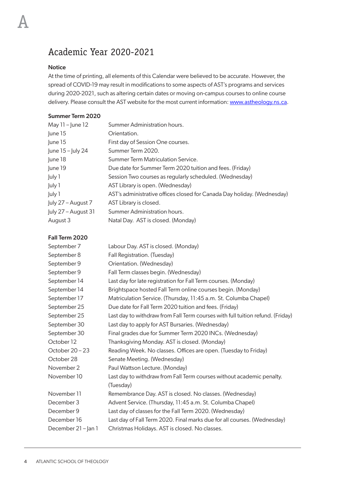## <span id="page-9-0"></span>Academic Year 2020-2021

#### Notice

At the time of printing, all elements of this Calendar were believed to be accurate. However, the spread of COVID-19 may result in modifications to some aspects of AST's programs and services during 2020-2021, such as altering certain dates or moving on-campus courses to online course delivery. Please consult the AST website for the most current information: [www.astheology.ns.ca](http://www.astheology.ns.ca).

#### Summer Term 2020

| May $11 -$ June $12$ | Summer Administration hours.                                            |
|----------------------|-------------------------------------------------------------------------|
| June 15              | Orientation.                                                            |
| lune 15              | First day of Session One courses.                                       |
| June $15 -$ July 24  | Summer Term 2020.                                                       |
| June 18              | Summer Term Matriculation Service.                                      |
| June 19              | Due date for Summer Term 2020 tuition and fees. (Friday)                |
| July 1               | Session Two courses as regularly scheduled. (Wednesday)                 |
| luly 1               | AST Library is open. (Wednesday)                                        |
| luly 1               | AST's administrative offices closed for Canada Day holiday. (Wednesday) |
| luly 27 – August 7   | AST Library is closed.                                                  |
| luly 27 – August 31  | Summer Administration hours.                                            |
| August 3             | Natal Day. AST is closed. (Monday)                                      |

#### Fall Term 2020

| September 7         | Labour Day. AST is closed. (Monday)                                            |
|---------------------|--------------------------------------------------------------------------------|
| September 8         | Fall Registration. (Tuesday)                                                   |
| September 9         | Orientation. (Wednesday)                                                       |
| September 9         | Fall Term classes begin. (Wednesday)                                           |
| September 14        | Last day for late registration for Fall Term courses. (Monday)                 |
| September 14        | Brightspace hosted Fall Term online courses begin. (Monday)                    |
| September 17        | Matriculation Service. (Thursday, 11:45 a.m. St. Columba Chapel)               |
| September 25        | Due date for Fall Term 2020 tuition and fees. (Friday)                         |
| September 25        | Last day to withdraw from Fall Term courses with full tuition refund. (Friday) |
| September 30        | Last day to apply for AST Bursaries. (Wednesday)                               |
| September 30        | Final grades due for Summer Term 2020 INCs. (Wednesday)                        |
| October 12          | Thanksgiving Monday. AST is closed. (Monday)                                   |
| October 20 - 23     | Reading Week. No classes. Offices are open. (Tuesday to Friday)                |
| October 28          | Senate Meeting. (Wednesday)                                                    |
| November 2          | Paul Wattson Lecture. (Monday)                                                 |
| November 10         | Last day to withdraw from Fall Term courses without academic penalty.          |
|                     | (Tuesday)                                                                      |
| November 11         | Remembrance Day. AST is closed. No classes. (Wednesday)                        |
| December 3          | Advent Service. (Thursday, 11:45 a.m. St. Columba Chapel)                      |
| December 9          | Last day of classes for the Fall Term 2020. (Wednesday)                        |
| December 16         | Last day of Fall Term 2020. Final marks due for all courses. (Wednesday)       |
| December 21 - Jan 1 | Christmas Holidays. AST is closed. No classes.                                 |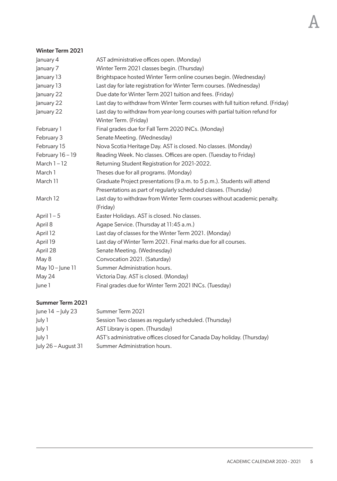#### Winter Term 2021

| January 4        | AST administrative offices open. (Monday)                                        |
|------------------|----------------------------------------------------------------------------------|
| January 7        | Winter Term 2021 classes begin. (Thursday)                                       |
| January 13       | Brightspace hosted Winter Term online courses begin. (Wednesday)                 |
| January 13       | Last day for late registration for Winter Term courses. (Wednesday)              |
| January 22       | Due date for Winter Term 2021 tuition and fees. (Friday)                         |
| January 22       | Last day to withdraw from Winter Term courses with full tuition refund. (Friday) |
| January 22       | Last day to withdraw from year-long courses with partial tuition refund for      |
|                  | Winter Term. (Friday)                                                            |
| February 1       | Final grades due for Fall Term 2020 INCs. (Monday)                               |
| February 3       | Senate Meeting. (Wednesday)                                                      |
| February 15      | Nova Scotia Heritage Day. AST is closed. No classes. (Monday)                    |
| February 16 - 19 | Reading Week. No classes. Offices are open. (Tuesday to Friday)                  |
| March $1 - 12$   | Returning Student Registration for 2021-2022.                                    |
| March 1          | Theses due for all programs. (Monday)                                            |
| March 11         | Graduate Project presentations (9 a.m. to 5 p.m.). Students will attend          |
|                  | Presentations as part of regularly scheduled classes. (Thursday)                 |
| March 12         | Last day to withdraw from Winter Term courses without academic penalty.          |
|                  | (Friday)                                                                         |
| April $1-5$      | Easter Holidays. AST is closed. No classes.                                      |
| April 8          | Agape Service. (Thursday at 11:45 a.m.)                                          |
| April 12         | Last day of classes for the Winter Term 2021. (Monday)                           |
| April 19         | Last day of Winter Term 2021. Final marks due for all courses.                   |
| April 28         | Senate Meeting. (Wednesday)                                                      |
| May 8            | Convocation 2021. (Saturday)                                                     |
| May 10 - June 11 | Summer Administration hours.                                                     |
| May 24           | Victoria Day. AST is closed. (Monday)                                            |
| June 1           | Final grades due for Winter Term 2021 INCs. (Tuesday)                            |
|                  |                                                                                  |

### Summer Term 2021

| $ $ une 14 $-$ luly 23 | Summer Term 2021                                                       |
|------------------------|------------------------------------------------------------------------|
| July 1                 | Session Two classes as regularly scheduled. (Thursday)                 |
| July 1                 | AST Library is open. (Thursday)                                        |
| luly 1                 | AST's administrative offices closed for Canada Day holiday. (Thursday) |
| $ $ uly 26 – August 31 | Summer Administration hours.                                           |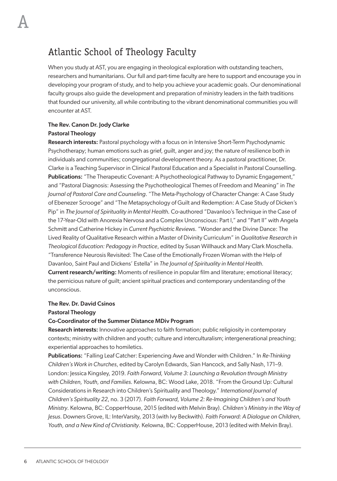## <span id="page-11-0"></span>Atlantic School of Theology Faculty

When you study at AST, you are engaging in theological exploration with outstanding teachers, researchers and humanitarians. Our full and part-time faculty are here to support and encourage you in developing your program of study, and to help you achieve your academic goals. Our denominational faculty groups also guide the development and preparation of ministry leaders in the faith traditions that founded our university, all while contributing to the vibrant denominational communities you will encounter at AST.

#### The Rev. Canon Dr. Jody Clarke Pastoral Theology

**Research interests:** Pastoral psychology with a focus on in Intensive Short-Term Psychodynamic Psychotherapy; human emotions such as grief, guilt, anger and joy; the nature of resilience both in individuals and communities; congregational development theory. As a pastoral practitioner, Dr. Clarke is a Teaching Supervisor in Clinical Pastoral Education and a Specialist in Pastoral Counselling. Publications: "The Therapeutic Covenant: A Psychotheological Pathway to Dynamic Engagement," and "Pastoral Diagnosis: Assessing the Psychotheological Themes of Freedom and Meaning" in *The Journal of Pastoral Care and Counseling*. "The Meta-Psychology of Character Change: A Case Study of Ebenezer Scrooge" and "The Metapsychology of Guilt and Redemption: A Case Study of Dicken's Pip" in *The Journal of Spirituality in Mental Health.* Co-authored "Davanloo's Technique in the Case of the 17-Year-Old with Anorexia Nervosa and a Complex Unconscious: Part I," and "Part II" with Angela Schmitt and Catherine Hickey in *Current Psychiatric Reviews*. "Wonder and the Divine Dance: The Lived Reality of Qualitative Research within a Master of Divinity Curriculum" in *Qualitative Research in Theological Education: Pedagogy in Practice*, edited by Susan Willhauck and Mary Clark Moschella. "Transference Neurosis Revisited: The Case of the Emotionally Frozen Woman with the Help of Davanloo, Saint Paul and Dickens' Estella" in *The Journal of Spirituality in Mental Health.* Current research/writing: Moments of resilience in popular film and literature; emotional literacy; the pernicious nature of guilt; ancient spiritual practices and contemporary understanding of the unconscious.

#### The Rev. Dr. David Csinos

#### Pastoral Theology

#### Co-Coordinator of the Summer Distance MDiv Program

Research interests: Innovative approaches to faith formation; public religiosity in contemporary contexts; ministry with children and youth; culture and interculturalism; intergenerational preaching; experiential approaches to homiletics.

Publications: "Falling Leaf Catcher: Experiencing Awe and Wonder with Children." In *Re-Thinking Children's Work in Churches*, edited by Carolyn Edwards, Sian Hancock, and Sally Nash, 171–9. London: Jessica Kingsley, 2019. *Faith Forward, Volume 3: Launching a Revolution through Ministry with Children, Youth, and Families.* Kelowna, BC: Wood Lake, 2018. "From the Ground Up: Cultural Considerations in Research into Children's Spirituality and Theology." *International Journal of Children's Spirituality 22*, no. 3 (2017). *Faith Forward, Volume 2: Re-Imagining Children's and Youth Ministry*. Kelowna, BC: CopperHouse, 2015 (edited with Melvin Bray). *Children's Ministry in the Way of Jesus*. Downers Grove, IL: InterVarsity, 2013 (with Ivy Beckwith). *Faith Forward: A Dialogue on Children, Youth, and a New Kind of Christianity*. Kelowna, BC: CopperHouse, 2013 (edited with Melvin Bray).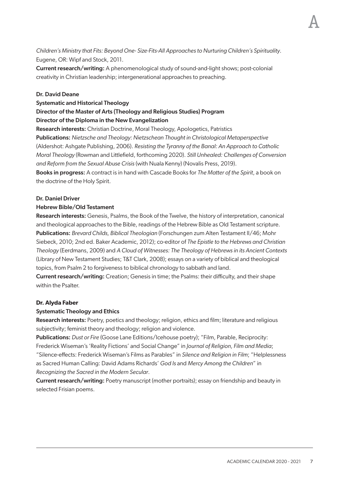*Children's Ministry that Fits: Beyond One- Size-Fits-All Approaches to Nurturing Children's Spirituality*. Eugene, OR: Wipf and Stock, 2011.

Current research/writing: A phenomenological study of sound-and-light shows; post-colonial creativity in Christian leadership; intergenerational approaches to preaching.

#### Dr. David Deane

#### Systematic and Historical Theology

#### Director of the Master of Arts (Theology and Religious Studies) Program Director of the Diploma in the New Evangelization

Research interests: Christian Doctrine, Moral Theology, Apologetics, Patristics

Publications: *Nietzsche and Theology: Nietzschean Thought in Christological Metaperspective* (Aldershot: Ashgate Publishing, 2006). *Resisting the Tyranny of the Banal: An Approach to Catholic Moral Theology* (Rowman and Littlefield, forthcoming 2020). *Still Unhealed: Challenges of Conversion and Reform from the Sexual Abuse Crisis* (with Nuala Kenny) (Novalis Press, 2019).

Books in progress: A contract is in hand with Cascade Books for *The Matter of the Spirit*, a book on the doctrine of the Holy Spirit.

#### Dr. Daniel Driver

#### Hebrew Bible/Old Testament

Research interests: Genesis, Psalms, the Book of the Twelve, the history of interpretation, canonical and theological approaches to the Bible, readings of the Hebrew Bible as Old Testament scripture. Publications: *Brevard Childs, Biblical Theologian* (Forschungen zum Alten Testament II/46; Mohr Siebeck, 2010; 2nd ed. Baker Academic, 2012); co-editor of *The Epistle to the Hebrews and Christian Theology* (Eerdmans, 2009) and *A Cloud of Witnesses: The Theology of Hebrews in its Ancient Contexts* (Library of New Testament Studies; T&T Clark, 2008); essays on a variety of biblical and theological topics, from Psalm 2 to forgiveness to biblical chronology to sabbath and land.

Current research/writing: Creation; Genesis in time; the Psalms: their difficulty, and their shape within the Psalter.

#### **Dr. Alyda Faber**

#### Systematic Theology and Ethics

Research interests: Poetry, poetics and theology; religion, ethics and film; literature and religious subjectivity; feminist theory and theology; religion and violence.

Publications: *Dust or Fire* (Goose Lane Editions/Icehouse poetry); "Film, Parable, Reciprocity: Frederick Wiseman's 'Reality Fictions' and Social Change" in *Journal of Religion, Film and Media*; "Silence-effects: Frederick Wiseman's Films as Parables" in *Silence and Religion in Film*; "Helplessness as Sacred Human Calling: David Adams Richards' *God Is* and *Mercy Among the Children*" in *Recognizing the Sacred in the Modern Secular*.

Current research/writing: Poetry manuscript (mother portraits); essay on friendship and beauty in selected Frisian poems.

A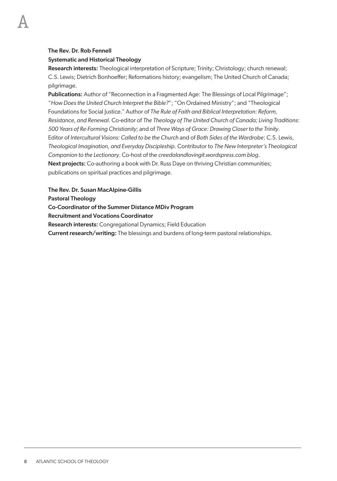#### The Rev. Dr. Rob Fennell

A

#### Systematic and Historical Theology

Research interests: Theological interpretation of Scripture; Trinity; Christology; church renewal; C.S. Lewis; Dietrich Bonhoeffer; Reformations history; evangelism; The United Church of Canada; pilgrimage.

Publications: Author of "Reconnection in a Fragmented Age: The Blessings of Local Pilgrimage"; "*How Does the United Church Interpret the Bible?*"; "On Ordained Ministry"; and "Theological Foundations for Social Justice." Author of *The Rule of Faith and Biblical Interpretation: Reform, Resistance, and Renewal*. Co-editor of *The Theology of The United Church of Canada; Living Traditions: 500 Years of Re-Forming Christianity*; and of *Three Ways of Grace: Drawing Closer to the Trinity*. Editor of *Intercultural Visions: Called to be the Church* and of *Both Sides of the Wardrobe*: C.S. Lewis, *Theological Imagination, and Everyday Discipleship*. Contributor to *The New Interpreter's Theological Companion to the Lectionary*. Co-host of the *creedalandlovingit.wordspress.com blog*. Next projects: Co-authoring a book with Dr. Russ Daye on thriving Christian communities; publications on spiritual practices and pilgrimage.

The Rev. Dr. Susan MacAlpine-Gillis

Pastoral Theology

Co-Coordinator of the Summer Distance MDiv Program

Recruitment and Vocations Coordinator

**Research interests: Congregational Dynamics: Field Education** 

Current research/writing: The blessings and burdens of long-term pastoral relationships.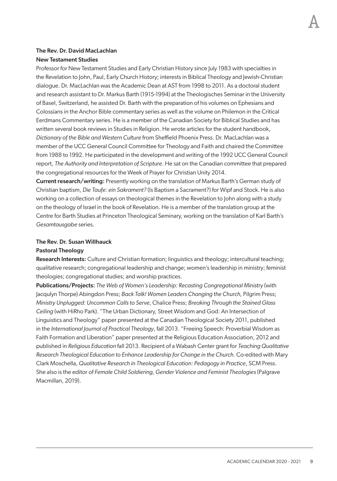#### The Rev. Dr. David MacLachlan New Testament Studies

Professor for New Testament Studies and Early Christian History since July 1983 with specialties in the Revelation to John, Paul, Early Church History; interests in Biblical Theology and Jewish-Christian dialogue. Dr. MacLachlan was the Academic Dean at AST from 1998 to 2011. As a doctoral student and research assistant to Dr. Markus Barth (1915-1994) at the Theologisches Seminar in the University of Basel, Switzerland, he assisted Dr. Barth with the preparation of his volumes on Ephesians and Colossians in the Anchor Bible commentary series as well as the volume on Philemon in the Critical Eerdmans Commentary series. He is a member of the Canadian Society for Biblical Studies and has written several book reviews in Studies in Religion. He wrote articles for the student handbook, *Dictionary of the Bible and Western Culture* from Sheffield Phoenix Press. Dr. MacLachlan was a member of the UCC General Council Committee for Theology and Faith and chaired the Committee from 1988 to 1992. He participated in the development and writing of the 1992 UCC General Council report, *The Authority and Interpretation of Scripture*. He sat on the Canadian committee that prepared the congregational resources for the Week of Prayer for Christian Unity 2014.

Current research/writing: Presently working on the translation of Markus Barth's German study of Christian baptism, *Die Taufe: ein Sakrament?* (Is Baptism a Sacrament?) for Wipf and Stock. He is also working on a collection of essays on theological themes in the Revelation to John along with a study on the theology of Israel in the book of Revelation. He is a member of the translation group at the Centre for Barth Studies at Princeton Theological Seminary, working on the translation of Karl Barth's *Gesamtausgabe* series.

#### The Rev. Dr. Susan Willhauck

#### Pastoral Theology

Research Interests: Culture and Christian formation; linguistics and theology; intercultural teaching; qualitative research; congregational leadership and change; women's leadership in ministry; feminist theologies; congregational studies; and worship practices.

Publications/Projects: *The Web of Women's Leadership: Recasting Congregational Ministry* (with Jacqulyn Thorpe) Abingdon Press; *Back Talk! Women Leaders Changing the Church,* Pilgrim Press; *Ministry Unplugged: Uncommon Calls to Serve*, Chalice Press; *Breaking Through the Stained Glass Ceiling* (with HiRho Park). "The Urban Dictionary, Street Wisdom and God: An Intersection of Linguistics and Theology" paper presented at the Canadian Theological Society 2011, published in the *International Journal of Practical Theology*, fall 2013. "Freeing Speech: Proverbial Wisdom as Faith Formation and Liberation" paper presented at the Religious Education Association, 2012 and published in *Religious Education* fall 2013. Recipient of a Wabash Center grant for *Teaching Qualitative Research Theological Education to Enhance Leadership for Change in the Church*. Co-edited with Mary Clark Moschella, *Qualitative Research in Theological Education: Pedagogy in Practice*, SCM Press. She also is the editor of *Female Child Soldiering, Gender Violence and Feminist Theologies* (Palgrave Macmillan, 2019).

A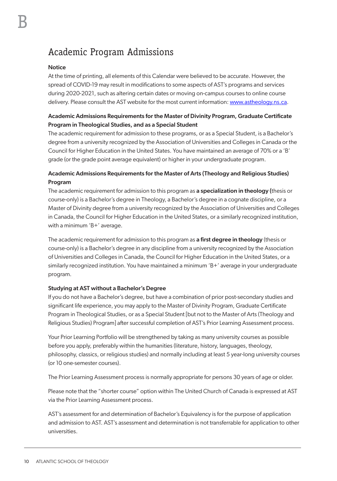## <span id="page-15-0"></span>Academic Program Admissions

#### **Notice**

At the time of printing, all elements of this Calendar were believed to be accurate. However, the spread of COVID-19 may result in modifications to some aspects of AST's programs and services during 2020-2021, such as altering certain dates or moving on-campus courses to online course delivery. Please consult the AST website for the most current information: [www.astheology.ns.ca](http://www.astheology.ns.ca).

#### Academic Admissions Requirements for the Master of Divinity Program, Graduate Certificate Program in Theological Studies, and as a Special Student

The academic requirement for admission to these programs, or as a Special Student, is a Bachelor's degree from a university recognized by the Association of Universities and Colleges in Canada or the Council for Higher Education in the United States. You have maintained an average of 70% or a 'B' grade (or the grade point average equivalent) or higher in your undergraduate program.

#### Academic Admissions Requirements for the Master of Arts (Theology and Religious Studies) Program

The academic requirement for admission to this program as a specialization in theology (thesis or course-only) is a Bachelor's degree in Theology, a Bachelor's degree in a cognate discipline, or a Master of Divinity degree from a university recognized by the Association of Universities and Colleges in Canada, the Council for Higher Education in the United States, or a similarly recognized institution, with a minimum 'B+' average.

The academic requirement for admission to this program as a first degree in theology (thesis or course-only) is a Bachelor's degree in any discipline from a university recognized by the Association of Universities and Colleges in Canada, the Council for Higher Education in the United States, or a similarly recognized institution. You have maintained a minimum 'B+' average in your undergraduate program.

#### Studying at AST without a Bachelor's Degree

If you do not have a Bachelor's degree, but have a combination of prior post-secondary studies and significant life experience, you may apply to the Master of Divinity Program, Graduate Certificate Program in Theological Studies, or as a Special Student [but not to the Master of Arts (Theology and Religious Studies) Program] after successful completion of AST's Prior Learning Assessment process.

Your Prior Learning Portfolio will be strengthened by taking as many university courses as possible before you apply, preferably within the humanities (literature, history, languages, theology, philosophy, classics, or religious studies) and normally including at least 5 year-long university courses (or 10 one-semester courses).

The Prior Learning Assessment process is normally appropriate for persons 30 years of age or older.

Please note that the "shorter course" option within The United Church of Canada is expressed at AST via the Prior Learning Assessment process.

AST's assessment for and determination of Bachelor's Equivalency is for the purpose of application and admission to AST. AST's assessment and determination is not transferrable for application to other universities.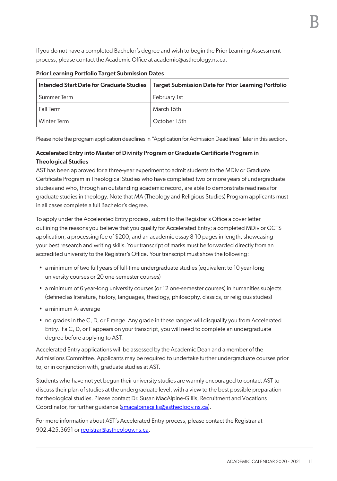If you do not have a completed Bachelor's degree and wish to begin the Prior Learning Assessment process, please contact the Academic Office at academic@astheology.ns.ca.

| Intended Start Date for Graduate Studies | Target Submission Date for Prior Learning Portfolio |
|------------------------------------------|-----------------------------------------------------|
| Summer Term                              | February 1st                                        |
| l Fall Term                              | March 15th                                          |
| Winter Term                              | October 15th                                        |

#### Prior Learning Portfolio Target Submission Dates

Please note the program application deadlines in "Application for Admission Deadlines" later in this section.

### Accelerated Entry into Master of Divinity Program or Graduate Certificate Program in Theological Studies

AST has been approved for a three-year experiment to admit students to the MDiv or Graduate Certificate Program in Theological Studies who have completed two or more years of undergraduate studies and who, through an outstanding academic record, are able to demonstrate readiness for graduate studies in theology. Note that MA (Theology and Religious Studies) Program applicants must in all cases complete a full Bachelor's degree.

To apply under the Accelerated Entry process, submit to the Registrar's Office a cover letter outlining the reasons you believe that you qualify for Accelerated Entry; a completed MDiv or GCTS application; a processing fee of \$200; and an academic essay 8-10 pages in length, showcasing your best research and writing skills. Your transcript of marks must be forwarded directly from an accredited university to the Registrar's Office. Your transcript must show the following:

- a minimum of two full years of full-time undergraduate studies (equivalent to 10 year-long university courses or 20 one-semester courses)
- a minimum of 6 year-long university courses (or 12 one-semester courses) in humanities subjects (defined as literature, history, languages, theology, philosophy, classics, or religious studies)
- a minimum A- average
- no grades in the C, D, or F range. Any grade in these ranges will disqualify you from Accelerated Entry. If a C, D, or F appears on your transcript, you will need to complete an undergraduate degree before applying to AST.

Accelerated Entry applications will be assessed by the Academic Dean and a member of the Admissions Committee. Applicants may be required to undertake further undergraduate courses prior to, or in conjunction with, graduate studies at AST.

Students who have not yet begun their university studies are warmly encouraged to contact AST to discuss their plan of studies at the undergraduate level, with a view to the best possible preparation for theological studies. Please contact Dr. Susan MacAlpine-Gillis, Recruitment and Vocations Coordinator, for further guidance (smacalpinegillis@astheology.ns.ca).

For more information about AST's Accelerated Entry process, please contact the Registrar at 902.425.3691 or registrar@astheology.ns.ca.

B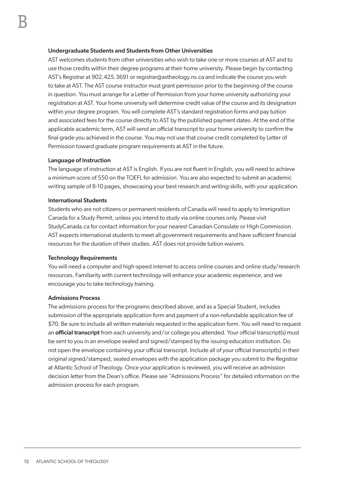#### Undergraduate Students and Students from Other Universities

AST welcomes students from other universities who wish to take one or more courses at AST and to use those credits within their degree programs at their home university. Please begin by contacting AST's Registrar at 902.425.3691 or registrar@astheology.ns.ca and indicate the course you wish to take at AST. The AST course instructor must grant permission prior to the beginning of the course in question. You must arrange for a Letter of Permission from your home university authorizing your registration at AST. Your home university will determine credit value of the course and its designation within your degree program. You will complete AST's standard registration forms and pay tuition and associated fees for the course directly to AST by the published payment dates. At the end of the applicable academic term, AST will send an official transcript to your home university to confirm the final grade you achieved in the course. You may not use that course credit completed by Letter of Permission toward graduate program requirements at AST in the future.

#### Language of Instruction

The language of instruction at AST is English. If you are not fluent in English, you will need to achieve a minimum score of 550 on the TOEFL for admission. You are also expected to submit an academic writing sample of 8-10 pages, showcasing your best research and writing skills, with your application.

#### International Students

Students who are not citizens or permanent residents of Canada will need to apply to Immigration Canada for a Study Permit, unless you intend to study via online courses only. Please visit StudyCanada.ca for contact information for your nearest Canadian Consulate or High Commission. AST expects international students to meet all government requirements and have sufficient financial resources for the duration of their studies. AST does not provide tuition waivers.

#### Technology Requirements

You will need a computer and high-speed internet to access online courses and online study/research resources. Familiarity with current technology will enhance your academic experience, and we encourage you to take technology training.

#### Admissions Process

The admissions process for the programs described above, and as a Special Student, includes submission of the appropriate application form and payment of a non-refundable application fee of \$70. Be sure to include all written materials requested in the application form. You will need to request an **official transcript** from each university and/or college you attended. Your official transcript(s) must be sent to you in an envelope sealed and signed/stamped by the issuing education institution. Do not open the envelope containing your official transcript. Include all of your official transcript(s) in their original signed/stamped, sealed envelopes with the application package you submit to the Registrar at Atlantic School of Theology. Once your application is reviewed, you will receive an admission decision letter from the Dean's office. Please see "Admissions Process" for detailed information on the admission process for each program.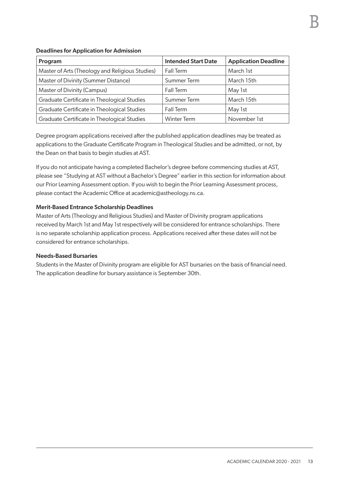| Program                                         | <b>Intended Start Date</b> | <b>Application Deadline</b> |
|-------------------------------------------------|----------------------------|-----------------------------|
| Master of Arts (Theology and Religious Studies) | Fall Term                  | March 1st                   |
| Master of Divinity (Summer Distance)            | Summer Term                | March 15th                  |
| Master of Divinity (Campus)                     | Fall Term                  | May 1st                     |
| Graduate Certificate in Theological Studies     | Summer Term                | March 15th                  |
| Graduate Certificate in Theological Studies     | Fall Term                  | May 1st                     |
| Graduate Certificate in Theological Studies     | <b>Winter Term</b>         | November 1st                |

Degree program applications received after the published application deadlines may be treated as applications to the Graduate Certificate Program in Theological Studies and be admitted, or not, by the Dean on that basis to begin studies at AST.

If you do not anticipate having a completed Bachelor's degree before commencing studies at AST, please see "Studying at AST without a Bachelor's Degree" earlier in this section for information about our Prior Learning Assessment option. If you wish to begin the Prior Learning Assessment process, please contact the Academic Office at academic@astheology.ns.ca.

#### Merit-Based Entrance Scholarship Deadlines

Master of Arts (Theology and Religious Studies) and Master of Divinity program applications received by March 1st and May 1st respectively will be considered for entrance scholarships. There is no separate scholarship application process. Applications received after these dates will not be considered for entrance scholarships.

#### Needs-Based Bursaries

Students in the Master of Divinity program are eligible for AST bursaries on the basis of financial need. The application deadline for bursary assistance is September 30th.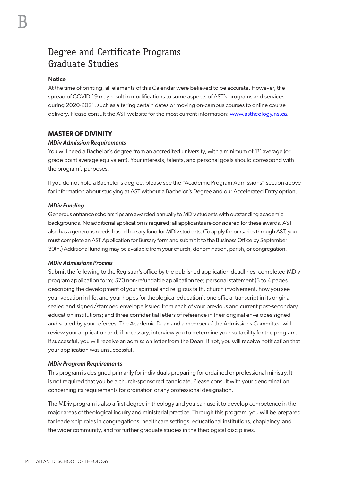## <span id="page-19-0"></span>Degree and Certificate Programs Graduate Studies

#### **Notice**

At the time of printing, all elements of this Calendar were believed to be accurate. However, the spread of COVID-19 may result in modifications to some aspects of AST's programs and services during 2020-2021, such as altering certain dates or moving on-campus courses to online course delivery. Please consult the AST website for the most current information: [www.astheology.ns.ca](http://www.astheology.ns.ca).

#### **MASTER OF DIVINITY**

#### *MDiv Admission Requirements*

You will need a Bachelor's degree from an accredited university, with a minimum of 'B' average (or grade point average equivalent). Your interests, talents, and personal goals should correspond with the program's purposes.

If you do not hold a Bachelor's degree, please see the "Academic Program Admissions" section above for information about studying at AST without a Bachelor's Degree and our Accelerated Entry option.

#### *MDiv Funding*

Generous entrance scholarships are awarded annually to MDiv students with outstanding academic backgrounds. No additional application is required; all applicants are considered for these awards. AST also has a generous needs-based bursary fund for MDiv students. (To apply for bursaries through AST, you must complete an AST Application for Bursary form and submit it to the Business Office by September 30th.) Additional funding may be available from your church, denomination, parish, or congregation.

#### *MDiv Admissions Process*

Submit the following to the Registrar's office by the published application deadlines: completed MDiv program application form; \$70 non-refundable application fee; personal statement (3 to 4 pages describing the development of your spiritual and religious faith, church involvement, how you see your vocation in life, and your hopes for theological education); one official transcript in its original sealed and signed/stamped envelope issued from each of your previous and current post-secondary education institutions; and three confidential letters of reference in their original envelopes signed and sealed by your referees. The Academic Dean and a member of the Admissions Committee will review your application and, if necessary, interview you to determine your suitability for the program. If successful, you will receive an admission letter from the Dean. If not, you will receive notification that your application was unsuccessful.

#### *MDiv Program Requirements*

This program is designed primarily for individuals preparing for ordained or professional ministry. It is not required that you be a church-sponsored candidate. Please consult with your denomination concerning its requirements for ordination or any professional designation.

The MDiv program is also a first degree in theology and you can use it to develop competence in the major areas of theological inquiry and ministerial practice. Through this program, you will be prepared for leadership roles in congregations, healthcare settings, educational institutions, chaplaincy, and the wider community, and for further graduate studies in the theological disciplines.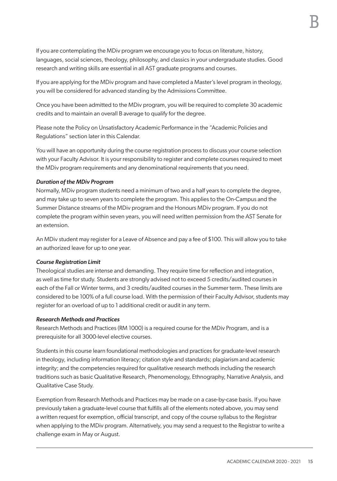If you are contemplating the MDiv program we encourage you to focus on literature, history, languages, social sciences, theology, philosophy, and classics in your undergraduate studies. Good research and writing skills are essential in all AST graduate programs and courses.

If you are applying for the MDiv program and have completed a Master's level program in theology, you will be considered for advanced standing by the Admissions Committee.

Once you have been admitted to the MDiv program, you will be required to complete 30 academic credits and to maintain an overall B average to qualify for the degree.

Please note the Policy on Unsatisfactory Academic Performance in the "Academic Policies and Regulations" section later in this Calendar.

You will have an opportunity during the course registration process to discuss your course selection with your Faculty Advisor. It is your responsibility to register and complete courses required to meet the MDiv program requirements and any denominational requirements that you need.

#### *Duration of the MDiv Program*

Normally, MDiv program students need a minimum of two and a half years to complete the degree, and may take up to seven years to complete the program. This applies to the On-Campus and the Summer Distance streams of the MDiv program and the Honours MDiv program. If you do not complete the program within seven years, you will need written permission from the AST Senate for an extension.

An MDiv student may register for a Leave of Absence and pay a fee of \$100. This will allow you to take an authorized leave for up to one year.

#### *Course Registration Limit*

Theological studies are intense and demanding. They require time for reflection and integration, as well as time for study. Students are strongly advised not to exceed 5 credits/audited courses in each of the Fall or Winter terms, and 3 credits/audited courses in the Summer term. These limits are considered to be 100% of a full course load. With the permission of their Faculty Advisor, students may register for an overload of up to 1 additional credit or audit in any term.

#### *Research Methods and Practices*

Research Methods and Practices (RM 1000) is a required course for the MDiv Program, and is a prerequisite for all 3000-level elective courses.

Students in this course learn foundational methodologies and practices for graduate-level research in theology, including information literacy; citation style and standards; plagiarism and academic integrity; and the competencies required for qualitative research methods including the research traditions such as basic Qualitative Research, Phenomenology, Ethnography, Narrative Analysis, and Qualitative Case Study.

Exemption from Research Methods and Practices may be made on a case-by-case basis. If you have previously taken a graduate-level course that fulfills all of the elements noted above, you may send a written request for exemption, official transcript, and copy of the course syllabus to the Registrar when applying to the MDiv program. Alternatively, you may send a request to the Registrar to write a challenge exam in May or August.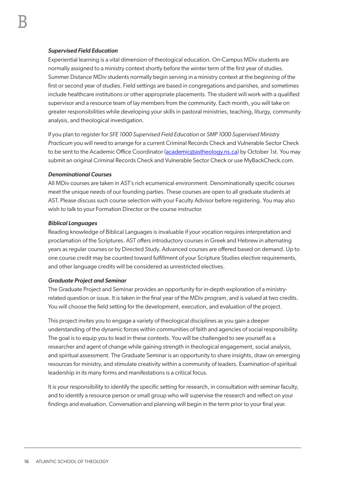#### *Supervised Field Education*

Experiential learning is a vital dimension of theological education. On-Campus MDiv students are normally assigned to a ministry context shortly before the winter term of the first year of studies. Summer Distance MDiv students normally begin serving in a ministry context at the beginning of the first or second year of studies. Field settings are based in congregations and parishes, and sometimes include healthcare institutions or other appropriate placements. The student will work with a qualified supervisor and a resource team of lay members from the community. Each month, you will take on greater responsibilities while developing your skills in pastoral ministries, teaching, liturgy, community analysis, and theological investigation.

If you plan to register for *SFE 1000 Supervised Field Education* or *SMP 1000 Supervised Ministry Practicum* you will need to arrange for a current Criminal Records Check and Vulnerable Sector Check to be sent to the Academic Office Coordinator [\(academic@astheology.ns.ca\)](mailto:academic@astheology.ns.ca) by October 1st. You may submit an original Criminal Records Check and Vulnerable Sector Check or use MyBackCheck.com.

#### *Denominational Courses*

All MDiv courses are taken in AST's rich ecumenical environment. Denominationally specific courses meet the unique needs of our founding parties. These courses are open to all graduate students at AST. Please discuss such course selection with your Faculty Advisor before registering. You may also wish to talk to your Formation Director or the course instructor.

#### *Biblical Languages*

Reading knowledge of Biblical Languages is invaluable if your vocation requires interpretation and proclamation of the Scriptures. AST offers introductory courses in Greek and Hebrew in alternating years as regular courses or by Directed Study. Advanced courses are offered based on demand. Up to one course credit may be counted toward fulfillment of your Scripture Studies elective requirements, and other language credits will be considered as unrestricted electives.

#### *Graduate Project and Seminar*

The Graduate Project and Seminar provides an opportunity for in-depth exploration of a ministryrelated question or issue. It is taken in the final year of the MDiv program, and is valued at two credits. You will choose the field setting for the development, execution, and evaluation of the project.

This project invites you to engage a variety of theological disciplines as you gain a deeper understanding of the dynamic forces within communities of faith and agencies of social responsibility. The goal is to equip you to lead in these contexts. You will be challenged to see yourself as a researcher and agent of change while gaining strength in theological engagement, social analysis, and spiritual assessment. The Graduate Seminar is an opportunity to share insights, draw on emerging resources for ministry, and stimulate creativity within a community of leaders. Examination of spiritual leadership in its many forms and manifestations is a critical focus.

It is your responsibility to identify the specific setting for research, in consultation with seminar faculty, and to identify a resource person or small group who will supervise the research and reflect on your findings and evaluation. Conversation and planning will begin in the term prior to your final year.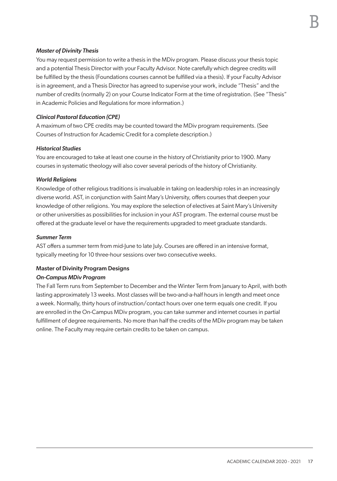#### *Master of Divinity Thesis*

You may request permission to write a thesis in the MDiv program. Please discuss your thesis topic and a potential Thesis Director with your Faculty Advisor. Note carefully which degree credits will be fulfilled by the thesis (Foundations courses cannot be fulfilled via a thesis). If your Faculty Advisor is in agreement, and a Thesis Director has agreed to supervise your work, include "Thesis" and the number of credits (normally 2) on your Course Indicator Form at the time of registration. (See "Thesis" in Academic Policies and Regulations for more information.)

#### *Clinical Pastoral Education (CPE)*

A maximum of two CPE credits may be counted toward the MDiv program requirements. (See Courses of Instruction for Academic Credit for a complete description.)

#### *Historical Studies*

You are encouraged to take at least one course in the history of Christianity prior to 1900. Many courses in systematic theology will also cover several periods of the history of Christianity.

#### *World Religions*

Knowledge of other religious traditions is invaluable in taking on leadership roles in an increasingly diverse world. AST, in conjunction with Saint Mary's University, offers courses that deepen your knowledge of other religions. You may explore the selection of electives at Saint Mary's University or other universities as possibilities for inclusion in your AST program. The external course must be offered at the graduate level or have the requirements upgraded to meet graduate standards.

#### *Summer Term*

AST offers a summer term from mid-June to late July. Courses are offered in an intensive format, typically meeting for 10 three-hour sessions over two consecutive weeks.

#### Master of Divinity Program Designs *On-Campus MDiv Program*

The Fall Term runs from September to December and the Winter Term from January to April, with both lasting approximately 13 weeks. Most classes will be two-and-a-half hours in length and meet once a week. Normally, thirty hours of instruction/contact hours over one term equals one credit. If you are enrolled in the On-Campus MDiv program, you can take summer and internet courses in partial fulfillment of degree requirements. No more than half the credits of the MDiv program may be taken online. The Faculty may require certain credits to be taken on campus.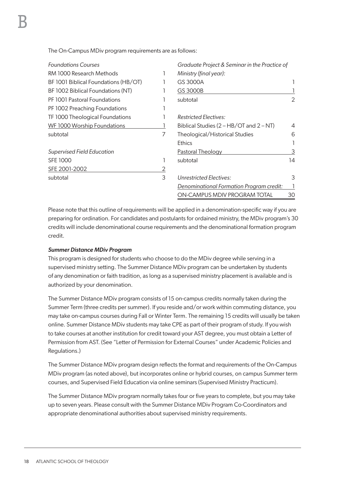The On-Campus MDiv program requirements are as follows:

| <b>Foundations Courses</b>           |   | Graduate Project & Seminar in the Practice of |    |
|--------------------------------------|---|-----------------------------------------------|----|
| RM 1000 Research Methods             |   | Ministry (final year):                        |    |
| BF 1001 Biblical Foundations (HB/OT) |   | GS 3000A                                      |    |
| BF 1002 Biblical Foundations (NT)    |   | GS 3000B                                      |    |
| PF 1001 Pastoral Foundations         |   | subtotal                                      | 2  |
| PF 1002 Preaching Foundations        |   |                                               |    |
| TF 1000 Theological Foundations      |   | <b>Restricted Electives:</b>                  |    |
| WF 1000 Worship Foundations          |   | Biblical Studies $(2 - HB/OT$ and $2 - NT$ )  | 4  |
| subtotal                             | 7 | Theological/Historical Studies                | 6  |
|                                      |   | <b>Ethics</b>                                 |    |
| Supervised Field Education           |   | Pastoral Theology                             | 3  |
| <b>SFE 1000</b>                      |   | subtotal                                      | 14 |
| SFE 2001-2002                        | 2 |                                               |    |
| subtotal                             | 3 | Unrestricted Electives:                       | 3  |
|                                      |   | Denominational Formation Program credit:      |    |
|                                      |   | ON-CAMPUS MDIV PROGRAM TOTAL                  | 30 |

Please note that this outline of requirements will be applied in a denomination-specific way if you are preparing for ordination. For candidates and postulants for ordained ministry, the MDiv program's 30 credits will include denominational course requirements and the denominational formation program credit.

#### *Summer Distance MDiv Program*

This program is designed for students who choose to do the MDiv degree while serving in a supervised ministry setting. The Summer Distance MDiv program can be undertaken by students of any denomination or faith tradition, as long as a supervised ministry placement is available and is authorized by your denomination.

The Summer Distance MDiv program consists of 15 on-campus credits normally taken during the Summer Term (three credits per summer). If you reside and/or work within commuting distance, you may take on-campus courses during Fall or Winter Term. The remaining 15 credits will usually be taken online. Summer Distance MDiv students may take CPE as part of their program of study. If you wish to take courses at another institution for credit toward your AST degree, you must obtain a Letter of Permission from AST. (See "Letter of Permission for External Courses" under Academic Policies and Regulations.)

The Summer Distance MDiv program design reflects the format and requirements of the On-Campus MDiv program (as noted above), but incorporates online or hybrid courses, on campus Summer term courses, and Supervised Field Education via online seminars (Supervised Ministry Practicum).

The Summer Distance MDiv program normally takes four or five years to complete, but you may take up to seven years. Please consult with the Summer Distance MDiv Program Co-Coordinators and appropriate denominational authorities about supervised ministry requirements.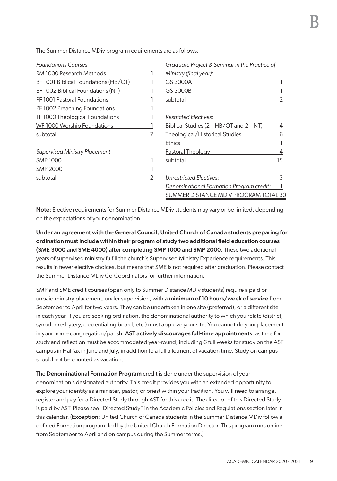| <b>Foundations Courses</b>           |                | Graduate Project & Seminar in the Practice of |    |
|--------------------------------------|----------------|-----------------------------------------------|----|
| RM 1000 Research Methods             |                | Ministry (final year):                        |    |
| BF 1001 Biblical Foundations (HB/OT) |                | GS 3000A                                      |    |
| BF 1002 Biblical Foundations (NT)    |                | GS 3000B                                      |    |
| PF 1001 Pastoral Foundations         |                | subtotal                                      | 2  |
| PF 1002 Preaching Foundations        |                |                                               |    |
| TF 1000 Theological Foundations      |                | <b>Restricted Electives:</b>                  |    |
| WF 1000 Worship Foundations          |                | Biblical Studies (2 - HB/OT and 2 - NT)       | 4  |
| subtotal                             | 7              | Theological/Historical Studies                | 6  |
|                                      |                | <b>Ethics</b>                                 |    |
| <b>Supervised Ministry Placement</b> |                | Pastoral Theology                             |    |
| <b>SMP 1000</b>                      |                | subtotal                                      | 15 |
| <b>SMP 2000</b>                      |                |                                               |    |
| subtotal                             | $\overline{2}$ | Unrestricted Electives:                       | 3  |
|                                      |                | Denominational Formation Program credit:      |    |
|                                      |                | SUMMER DISTANCE MDIV PROGRAM TOTAL 30         |    |

The Summer Distance MDiv program requirements are as follows:

Note: Elective requirements for Summer Distance MDiv students may vary or be limited, depending on the expectations of your denomination.

Under an agreement with the General Council, United Church of Canada students preparing for ordination must include within their program of study two additional field education courses (SME 3000 and SME 4000) after completing SMP 1000 and SMP 2000. These two additional years of supervised ministry fulfill the church's Supervised Ministry Experience requirements. This results in fewer elective choices, but means that SME is not required after graduation. Please contact the Summer Distance MDiv Co-Coordinators for further information.

SMP and SME credit courses (open only to Summer Distance MDiv students) require a paid or unpaid ministry placement, under supervision, with a minimum of 10 hours/week of service from September to April for two years. They can be undertaken in one site (preferred), or a different site in each year. If you are seeking ordination, the denominational authority to which you relate (district, synod, presbytery, credentialing board, etc.) must approve your site. You cannot do your placement in your home congregation/parish. AST actively discourages full-time appointments, as time for study and reflection must be accommodated year-round, including 6 full weeks for study on the AST campus in Halifax in June and July, in addition to a full allotment of vacation time. Study on campus should not be counted as vacation.

The **Denominational Formation Program** credit is done under the supervision of your denomination's designated authority. This credit provides you with an extended opportunity to explore your identity as a minister, pastor, or priest within your tradition. You will need to arrange, register and pay for a Directed Study through AST for this credit. The director of this Directed Study is paid by AST. Please see "Directed Study" in the Academic Policies and Regulations section later in this calendar. (Exception: United Church of Canada students in the Summer Distance MDiv follow a defined Formation program, led by the United Church Formation Director. This program runs online from September to April and on campus during the Summer terms.)

B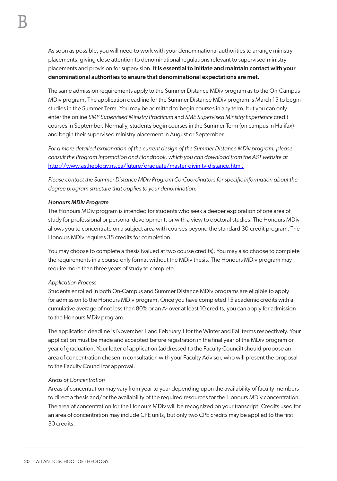As soon as possible, you will need to work with your denominational authorities to arrange ministry placements, giving close attention to denominational regulations relevant to supervised ministry placements and provision for supervision. It is essential to initiate and maintain contact with your denominational authorities to ensure that denominational expectations are met.

The same admission requirements apply to the Summer Distance MDiv program as to the On-Campus MDiv program. The application deadline for the Summer Distance MDiv program is March 15 to begin studies in the Summer Term. You may be admitted to begin courses in any term, but you can only enter the online *SMP Supervised Ministry Practicum* and *SME Supervised Ministry Experience* credit courses in September. Normally, students begin courses in the Summer Term (on campus in Halifax) and begin their supervised ministry placement in August or September.

*For a more detailed explanation of the current design of the Summer Distance MDiv program, please consult the Program Information and Handbook, which you can download from the AST website at*  http://www.astheology.ns.ca/future/graduate/master-divinity-distance.html.

*Please contact the Summer Distance MDiv Program Co-Coordinators for specific information about the degree program structure that applies to your denomination.* 

#### *Honours MDiv Program*

The Honours MDiv program is intended for students who seek a deeper exploration of one area of study for professional or personal development, or with a view to doctoral studies. The Honours MDiv allows you to concentrate on a subject area with courses beyond the standard 30-credit program. The Honours MDiv requires 35 credits for completion.

You may choose to complete a thesis (valued at two course credits). You may also choose to complete the requirements in a course-only format without the MDiv thesis. The Honours MDiv program may require more than three years of study to complete.

#### *Application Process*

Students enrolled in both On-Campus and Summer Distance MDiv programs are eligible to apply for admission to the Honours MDiv program. Once you have completed 15 academic credits with a cumulative average of not less than 80% or an A- over at least 10 credits, you can apply for admission to the Honours MDiv program.

The application deadline is November 1 and February 1 for the Winter and Fall terms respectively. Your application must be made and accepted before registration in the final year of the MDiv program or year of graduation. Your letter of application (addressed to the Faculty Council) should propose an area of concentration chosen in consultation with your Faculty Advisor, who will present the proposal to the Faculty Council for approval.

#### *Areas of Concentration*

Areas of concentration may vary from year to year depending upon the availability of faculty members to direct a thesis and/or the availability of the required resources for the Honours MDiv concentration. The area of concentration for the Honours MDiv will be recognized on your transcript. Credits used for an area of concentration may include CPE units, but only two CPE credits may be applied to the first 30 credits.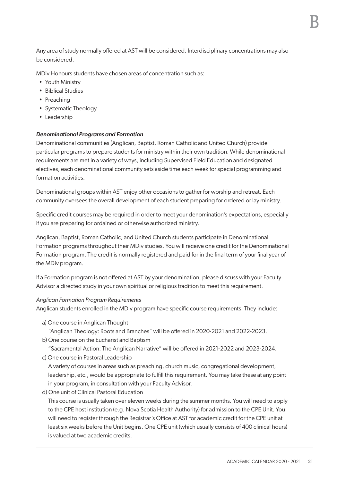Any area of study normally offered at AST will be considered. Interdisciplinary concentrations may also be considered.

MDiv Honours students have chosen areas of concentration such as:

- Youth Ministry
- Biblical Studies
- Preaching
- Systematic Theology
- Leadership

#### *Denominational Programs and Formation*

Denominational communities (Anglican, Baptist, Roman Catholic and United Church) provide particular programs to prepare students for ministry within their own tradition. While denominational requirements are met in a variety of ways, including Supervised Field Education and designated electives, each denominational community sets aside time each week for special programming and formation activities.

Denominational groups within AST enjoy other occasions to gather for worship and retreat. Each community oversees the overall development of each student preparing for ordered or lay ministry.

Specific credit courses may be required in order to meet your denomination's expectations, especially if you are preparing for ordained or otherwise authorized ministry.

Anglican, Baptist, Roman Catholic, and United Church students participate in Denominational Formation programs throughout their MDiv studies. You will receive one credit for the Denominational Formation program. The credit is normally registered and paid for in the final term of your final year of the MDiv program.

If a Formation program is not offered at AST by your denomination, please discuss with your Faculty Advisor a directed study in your own spiritual or religious tradition to meet this requirement.

#### *Anglican Formation Program Requirements*

Anglican students enrolled in the MDiv program have specific course requirements. They include:

- a) One course in Anglican Thought
	- "Anglican Theology: Roots and Branches" will be offered in 2020-2021 and 2022-2023.
- b) One course on the Eucharist and Baptism

"Sacramental Action: The Anglican Narrative" will be offered in 2021-2022 and 2023-2024.

c) One course in Pastoral Leadership

A variety of courses in areas such as preaching, church music, congregational development, leadership, etc., would be appropriate to fulfill this requirement. You may take these at any point in your program, in consultation with your Faculty Advisor.

d) One unit of Clinical Pastoral Education

This course is usually taken over eleven weeks during the summer months. You will need to apply to the CPE host institution (e.g. Nova Scotia Health Authority) for admission to the CPE Unit. You will need to register through the Registrar's Office at AST for academic credit for the CPE unit at least six weeks before the Unit begins. One CPE unit (which usually consists of 400 clinical hours) is valued at two academic credits.

B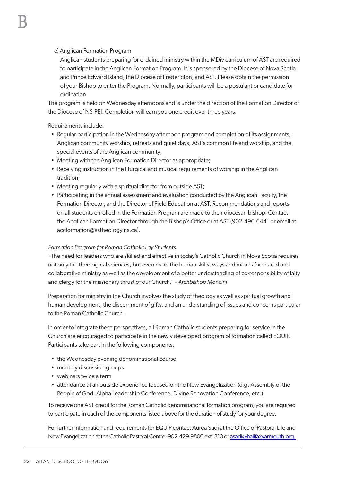#### e) Anglican Formation Program

Anglican students preparing for ordained ministry within the MDiv curriculum of AST are required to participate in the Anglican Formation Program. It is sponsored by the Diocese of Nova Scotia and Prince Edward Island, the Diocese of Fredericton, and AST. Please obtain the permission of your Bishop to enter the Program. Normally, participants will be a postulant or candidate for ordination.

The program is held on Wednesday afternoons and is under the direction of the Formation Director of the Diocese of NS-PEI. Completion will earn you one credit over three years.

Requirements include:

- Regular participation in the Wednesday afternoon program and completion of its assignments, Anglican community worship, retreats and quiet days, AST's common life and worship, and the special events of the Anglican community;
- Meeting with the Anglican Formation Director as appropriate;
- Receiving instruction in the liturgical and musical requirements of worship in the Anglican tradition;
- Meeting regularly with a spiritual director from outside AST;
- Participating in the annual assessment and evaluation conducted by the Anglican Faculty, the Formation Director, and the Director of Field Education at AST. Recommendations and reports on all students enrolled in the Formation Program are made to their diocesan bishop. Contact the Anglican Formation Director through the Bishop's Office or at AST (902.496.6441 or email at accformation@astheology.ns.ca).

#### *Formation Program for Roman Catholic Lay Students*

"The need for leaders who are skilled and effective in today's Catholic Church in Nova Scotia requires not only the theological sciences, but even more the human skills, ways and means for shared and collaborative ministry as well as the development of a better understanding of co-responsibility of laity and clergy for the missionary thrust of our Church." - *Archbishop Mancini* 

Preparation for ministry in the Church involves the study of theology as well as spiritual growth and human development, the discernment of gifts, and an understanding of issues and concerns particular to the Roman Catholic Church.

In order to integrate these perspectives, all Roman Catholic students preparing for service in the Church are encouraged to participate in the newly developed program of formation called EQUIP. Participants take part in the following components:

- the Wednesday evening denominational course
- monthly discussion groups
- webinars twice a term
- attendance at an outside experience focused on the New Evangelization (e.g. Assembly of the People of God, Alpha Leadership Conference, Divine Renovation Conference, etc.)

To receive one AST credit for the Roman Catholic denominational formation program, you are required to participate in each of the components listed above for the duration of study for your degree.

For further information and requirements for EQUIP contact Aurea Sadi at the Office of Pastoral Life and New Evangelization at the Catholic Pastoral Centre: 902.429.9800 ext. 310 or asadi@halifaxyarmouth.org.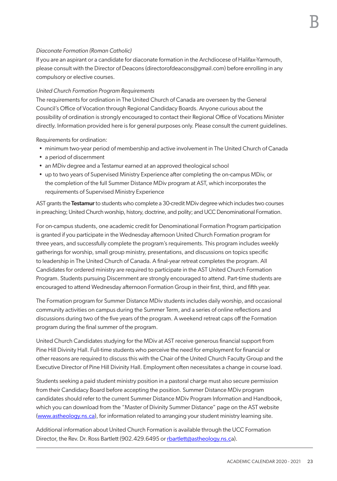#### *Diaconate Formation (Roman Catholic)*

If you are an aspirant or a candidate for diaconate formation in the Archdiocese of Halifax-Yarmouth, please consult with the Director of Deacons (directorofdeacons@gmail.com) before enrolling in any compulsory or elective courses.

#### *United Church Formation Program Requirements*

The requirements for ordination in The United Church of Canada are overseen by the General Council's Office of Vocation through Regional Candidacy Boards. Anyone curious about the possibility of ordination is strongly encouraged to contact their Regional Office of Vocations Minister directly. Information provided here is for general purposes only. Please consult the current guidelines.

Requirements for ordination:

- minimum two-year period of membership and active involvement in The United Church of Canada
- a period of discernment
- an MDiv degree and a Testamur earned at an approved theological school
- up to two years of Supervised Ministry Experience after completing the on-campus MDiv, or the completion of the full Summer Distance MDiv program at AST, which incorporates the requirements of Supervised Ministry Experience

AST grants the Testamur to students who complete a 30-credit MDiv degree which includes two courses in preaching; United Church worship, history, doctrine, and polity; and UCC Denominational Formation.

For on-campus students, one academic credit for Denominational Formation Program participation is granted if you participate in the Wednesday afternoon United Church Formation program for three years, and successfully complete the program's requirements. This program includes weekly gatherings for worship, small group ministry, presentations, and discussions on topics specific to leadership in The United Church of Canada. A final-year retreat completes the program. All Candidates for ordered ministry are required to participate in the AST United Church Formation Program. Students pursuing Discernment are strongly encouraged to attend. Part-time students are encouraged to attend Wednesday afternoon Formation Group in their first, third, and fifth year.

The Formation program for Summer Distance MDiv students includes daily worship, and occasional community activities on campus during the Summer Term, and a series of online reflections and discussions during two of the five years of the program. A weekend retreat caps off the Formation program during the final summer of the program.

United Church Candidates studying for the MDiv at AST receive generous financial support from Pine Hill Divinity Hall. Full-time students who perceive the need for employment for financial or other reasons are required to discuss this with the Chair of the United Church Faculty Group and the Executive Director of Pine Hill Divinity Hall. Employment often necessitates a change in course load.

Students seeking a paid student ministry position in a pastoral charge must also secure permission from their Candidacy Board before accepting the position. Summer Distance MDiv program candidates should refer to the current Summer Distance MDiv Program Information and Handbook, which you can download from the "Master of Divinity Summer Distance" page on the AST website (www.astheology.ns.ca), for information related to arranging your student ministry learning site.

Additional information about United Church Formation is available through the UCC Formation Director, the Rev. Dr. Ross Bartlett (902.429.6495 or rbartlett@astheology.ns.ca).

B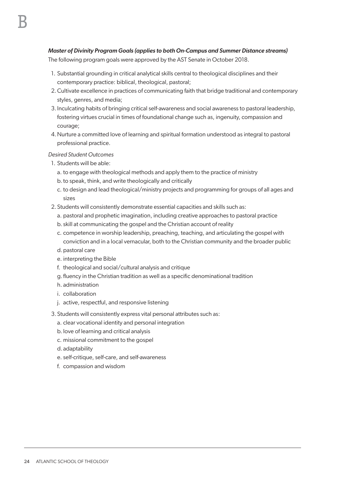#### *Master of Divinity Program Goals (applies to both On-Campus and Summer Distance streams)*

The following program goals were approved by the AST Senate in October 2018.

- 1. Substantial grounding in critical analytical skills central to theological disciplines and their contemporary practice: biblical, theological, pastoral;
- 2.Cultivate excellence in practices of communicating faith that bridge traditional and contemporary styles, genres, and media;
- 3.Inculcating habits of bringing critical self-awareness and social awareness to pastoral leadership, fostering virtues crucial in times of foundational change such as, ingenuity, compassion and courage;
- 4.Nurture a committed love of learning and spiritual formation understood as integral to pastoral professional practice.

*Desired Student Outcomes*

- 1. Students will be able:
	- a. to engage with theological methods and apply them to the practice of ministry
	- b.to speak, think, and write theologically and critically
	- c. to design and lead theological/ministry projects and programming for groups of all ages and sizes
- 2. Students will consistently demonstrate essential capacities and skills such as:
	- a. pastoral and prophetic imagination, including creative approaches to pastoral practice
	- b. skill at communicating the gospel and the Christian account of reality
	- c. competence in worship leadership, preaching, teaching, and articulating the gospel with conviction and in a local vernacular, both to the Christian community and the broader public
	- d.pastoral care
	- e. interpreting the Bible
	- f. theological and social/cultural analysis and critique
	- g. fluency in the Christian tradition as well as a specific denominational tradition
	- h. administration
	- i. collaboration
	- j. active, respectful, and responsive listening
- 3. Students will consistently express vital personal attributes such as:
	- a. clear vocational identity and personal integration
	- b.love of learning and critical analysis
	- c. missional commitment to the gospel
	- d. adaptability
	- e. self-critique, self-care, and self-awareness
	- f. compassion and wisdom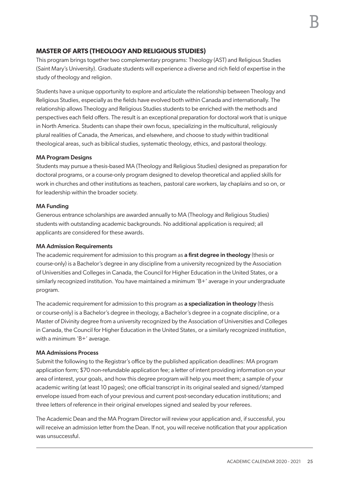#### **MASTER OF ARTS (THEOLOGY AND RELIGIOUS STUDIES)**

This program brings together two complementary programs: Theology (AST) and Religious Studies (Saint Mary's University). Graduate students will experience a diverse and rich field of expertise in the study of theology and religion.

Students have a unique opportunity to explore and articulate the relationship between Theology and Religious Studies, especially as the fields have evolved both within Canada and internationally. The relationship allows Theology and Religious Studies students to be enriched with the methods and perspectives each field offers. The result is an exceptional preparation for doctoral work that is unique in North America. Students can shape their own focus, specializing in the multicultural, religiously plural realities of Canada, the Americas, and elsewhere, and choose to study within traditional theological areas, such as biblical studies, systematic theology, ethics, and pastoral theology.

#### MA Program Designs

Students may pursue a thesis-based MA (Theology and Religious Studies) designed as preparation for doctoral programs, or a course-only program designed to develop theoretical and applied skills for work in churches and other institutions as teachers, pastoral care workers, lay chaplains and so on, or for leadership within the broader society.

#### MA Funding

Generous entrance scholarships are awarded annually to MA (Theology and Religious Studies) students with outstanding academic backgrounds. No additional application is required; all applicants are considered for these awards.

#### MA Admission Requirements

The academic requirement for admission to this program as a first degree in theology (thesis or course-only) is a Bachelor's degree in any discipline from a university recognized by the Association of Universities and Colleges in Canada, the Council for Higher Education in the United States, or a similarly recognized institution. You have maintained a minimum 'B+' average in your undergraduate program.

The academic requirement for admission to this program as a specialization in theology (thesis or course-only) is a Bachelor's degree in theology, a Bachelor's degree in a cognate discipline, or a Master of Divinity degree from a university recognized by the Association of Universities and Colleges in Canada, the Council for Higher Education in the United States, or a similarly recognized institution, with a minimum 'B+' average.

#### MA Admissions Process

Submit the following to the Registrar's office by the published application deadlines: MA program application form; \$70 non-refundable application fee; a letter of intent providing information on your area of interest, your goals, and how this degree program will help you meet them; a sample of your academic writing (at least 10 pages); one official transcript in its original sealed and signed/stamped envelope issued from each of your previous and current post-secondary education institutions; and three letters of reference in their original envelopes signed and sealed by your referees.

The Academic Dean and the MA Program Director will review your application and, if successful, you will receive an admission letter from the Dean. If not, you will receive notification that your application was unsuccessful.

B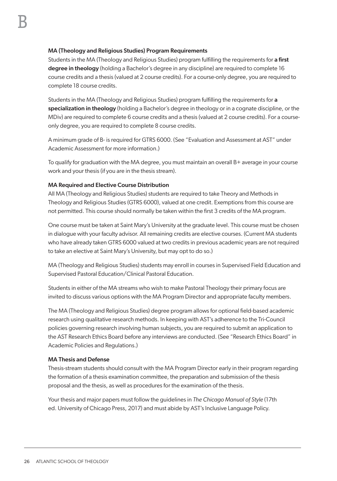#### MA (Theology and Religious Studies) Program Requirements

Students in the MA (Theology and Religious Studies) program fulfilling the requirements for a first degree in theology (holding a Bachelor's degree in any discipline) are required to complete 16 course credits and a thesis (valued at 2 course credits). For a course-only degree, you are required to complete 18 course credits.

Students in the MA (Theology and Religious Studies) program fulfilling the requirements for a specialization in theology (holding a Bachelor's degree in theology or in a cognate discipline, or the MDiv) are required to complete 6 course credits and a thesis (valued at 2 course credits). For a courseonly degree, you are required to complete 8 course credits.

A minimum grade of B- is required for GTRS 6000. (See "Evaluation and Assessment at AST" under Academic Assessment for more information.)

To qualify for graduation with the MA degree, you must maintain an overall B+ average in your course work and your thesis (if you are in the thesis stream).

#### MA Required and Elective Course Distribution

All MA (Theology and Religious Studies) students are required to take Theory and Methods in Theology and Religious Studies (GTRS 6000), valued at one credit. Exemptions from this course are not permitted. This course should normally be taken within the first 3 credits of the MA program.

One course must be taken at Saint Mary's University at the graduate level. This course must be chosen in dialogue with your faculty advisor. All remaining credits are elective courses. (Current MA students who have already taken GTRS 6000 valued at two credits in previous academic years are not required to take an elective at Saint Mary's University, but may opt to do so.)

MA (Theology and Religious Studies) students may enroll in courses in Supervised Field Education and Supervised Pastoral Education/Clinical Pastoral Education.

Students in either of the MA streams who wish to make Pastoral Theology their primary focus are invited to discuss various options with the MA Program Director and appropriate faculty members.

The MA (Theology and Religious Studies) degree program allows for optional field-based academic research using qualitative research methods. In keeping with AST's adherence to the Tri-Council policies governing research involving human subjects, you are required to submit an application to the AST Research Ethics Board before any interviews are conducted. (See "Research Ethics Board" in Academic Policies and Regulations.)

#### MA Thesis and Defense

Thesis-stream students should consult with the MA Program Director early in their program regarding the formation of a thesis examination committee, the preparation and submission of the thesis proposal and the thesis, as well as procedures for the examination of the thesis.

Your thesis and major papers must follow the guidelines in *The Chicago Manual of Style* (17th ed. University of Chicago Press, 2017) and must abide by AST's Inclusive Language Policy.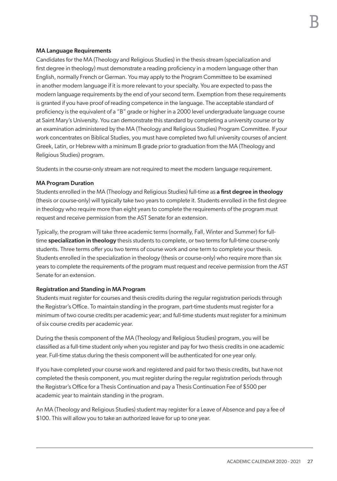#### MA Language Requirements

Candidates for the MA (Theology and Religious Studies) in the thesis stream (specialization and first degree in theology) must demonstrate a reading proficiency in a modern language other than English, normally French or German. You may apply to the Program Committee to be examined in another modern language if it is more relevant to your specialty. You are expected to pass the modern language requirements by the end of your second term. Exemption from these requirements is granted if you have proof of reading competence in the language. The acceptable standard of proficiency is the equivalent of a "B" grade or higher in a 2000 level undergraduate language course at Saint Mary's University. You can demonstrate this standard by completing a university course or by an examination administered by the MA (Theology and Religious Studies) Program Committee. If your work concentrates on Biblical Studies, you must have completed two full university courses of ancient Greek, Latin, or Hebrew with a minimum B grade prior to graduation from the MA (Theology and Religious Studies) program.

Students in the course-only stream are not required to meet the modern language requirement.

#### MA Program Duration

Students enrolled in the MA (Theology and Religious Studies) full-time as a first degree in theology (thesis or course-only) will typically take two years to complete it. Students enrolled in the first degree in theology who require more than eight years to complete the requirements of the program must request and receive permission from the AST Senate for an extension.

Typically, the program will take three academic terms (normally, Fall, Winter and Summer) for fulltime specialization in theology thesis students to complete, or two terms for full-time course-only students. Three terms offer you two terms of course work and one term to complete your thesis. Students enrolled in the specialization in theology (thesis or course-only) who require more than six years to complete the requirements of the program must request and receive permission from the AST Senate for an extension.

#### Registration and Standing in MA Program

Students must register for courses and thesis credits during the regular registration periods through the Registrar's Office. To maintain standing in the program, part-time students must register for a minimum of two course credits per academic year; and full-time students must register for a minimum of six course credits per academic year.

During the thesis component of the MA (Theology and Religious Studies) program, you will be classified as a full-time student only when you register and pay for two thesis credits in one academic year. Full-time status during the thesis component will be authenticated for one year only.

If you have completed your course work and registered and paid for two thesis credits, but have not completed the thesis component, you must register during the regular registration periods through the Registrar's Office for a Thesis Continuation and pay a Thesis Continuation Fee of \$500 per academic year to maintain standing in the program.

An MA (Theology and Religious Studies) student may register for a Leave of Absence and pay a fee of \$100. This will allow you to take an authorized leave for up to one year.

B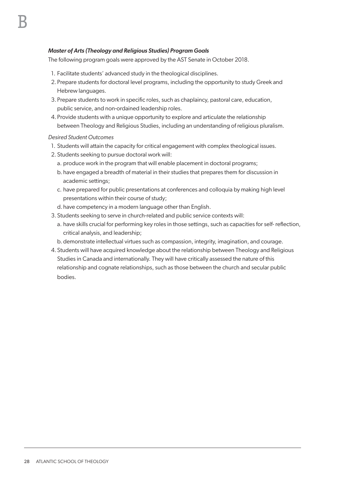#### *Master of Arts (Theology and Religious Studies) Program Goals*

The following program goals were approved by the AST Senate in October 2018.

- 1. Facilitate students' advanced study in the theological disciplines.
- 2. Prepare students for doctoral level programs, including the opportunity to study Greek and Hebrew languages.
- 3. Prepare students to work in specific roles, such as chaplaincy, pastoral care, education, public service, and non-ordained leadership roles.
- 4. Provide students with a unique opportunity to explore and articulate the relationship between Theology and Religious Studies, including an understanding of religious pluralism.

*Desired Student Outcomes*

- 1. Students will attain the capacity for critical engagement with complex theological issues.
- 2. Students seeking to pursue doctoral work will:
	- a. produce work in the program that will enable placement in doctoral programs;
	- b. have engaged a breadth of material in their studies that prepares them for discussion in academic settings;
	- c. have prepared for public presentations at conferences and colloquia by making high level presentations within their course of study;
	- d.have competency in a modern language other than English.
- 3. Students seeking to serve in church-related and public service contexts will:
	- a. have skills crucial for performing key roles in those settings, such as capacities for self- reflection, critical analysis, and leadership;
	- b.demonstrate intellectual virtues such as compassion, integrity, imagination, and courage.
- 4. Students will have acquired knowledge about the relationship between Theology and Religious Studies in Canada and internationally. They will have critically assessed the nature of this relationship and cognate relationships, such as those between the church and secular public bodies.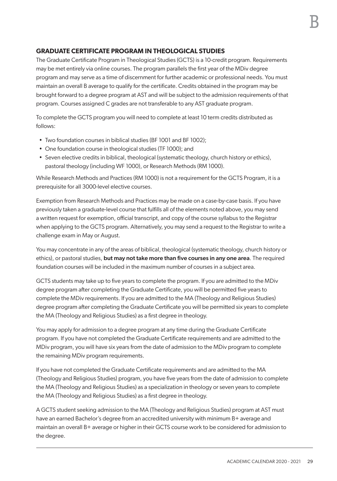#### **GRADUATE CERTIFICATE PROGRAM IN THEOLOGICAL STUDIES**

The Graduate Certificate Program in Theological Studies (GCTS) is a 10-credit program. Requirements may be met entirely via online courses. The program parallels the first year of the MDiv degree program and may serve as a time of discernment for further academic or professional needs. You must maintain an overall B average to qualify for the certificate. Credits obtained in the program may be brought forward to a degree program at AST and will be subject to the admission requirements of that program. Courses assigned C grades are not transferable to any AST graduate program.

To complete the GCTS program you will need to complete at least 10 term credits distributed as follows:

- Two foundation courses in biblical studies (BF 1001 and BF 1002);
- One foundation course in theological studies (TF 1000); and
- Seven elective credits in biblical, theological (systematic theology, church history or ethics), pastoral theology (including WF 1000), or Research Methods (RM 1000).

While Research Methods and Practices (RM 1000) is not a requirement for the GCTS Program, it is a prerequisite for all 3000-level elective courses.

Exemption from Research Methods and Practices may be made on a case-by-case basis. If you have previously taken a graduate-level course that fulfills all of the elements noted above, you may send a written request for exemption, official transcript, and copy of the course syllabus to the Registrar when applying to the GCTS program. Alternatively, you may send a request to the Registrar to write a challenge exam in May or August.

You may concentrate in any of the areas of biblical, theological (systematic theology, church history or ethics), or pastoral studies, but may not take more than five courses in any one area. The required foundation courses will be included in the maximum number of courses in a subject area.

GCTS students may take up to five years to complete the program. If you are admitted to the MDiv degree program after completing the Graduate Certificate, you will be permitted five years to complete the MDiv requirements. If you are admitted to the MA (Theology and Religious Studies) degree program after completing the Graduate Certificate you will be permitted six years to complete the MA (Theology and Religious Studies) as a first degree in theology.

You may apply for admission to a degree program at any time during the Graduate Certificate program. If you have not completed the Graduate Certificate requirements and are admitted to the MDiv program, you will have six years from the date of admission to the MDiv program to complete the remaining MDiv program requirements.

If you have not completed the Graduate Certificate requirements and are admitted to the MA (Theology and Religious Studies) program, you have five years from the date of admission to complete the MA (Theology and Religious Studies) as a specialization in theology or seven years to complete the MA (Theology and Religious Studies) as a first degree in theology.

A GCTS student seeking admission to the MA (Theology and Religious Studies) program at AST must have an earned Bachelor's degree from an accredited university with minimum B+ average and maintain an overall B+ average or higher in their GCTS course work to be considered for admission to the degree.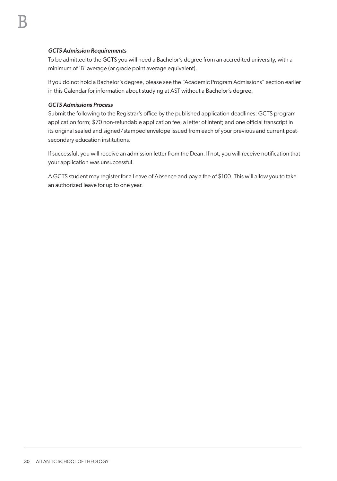#### *GCTS Admission Requirements*

To be admitted to the GCTS you will need a Bachelor's degree from an accredited university, with a minimum of 'B' average (or grade point average equivalent).

If you do not hold a Bachelor's degree, please see the "Academic Program Admissions" section earlier in this Calendar for information about studying at AST without a Bachelor's degree.

#### *GCTS Admissions Process*

Submit the following to the Registrar's office by the published application deadlines: GCTS program application form; \$70 non-refundable application fee; a letter of intent; and one official transcript in its original sealed and signed/stamped envelope issued from each of your previous and current postsecondary education institutions.

If successful, you will receive an admission letter from the Dean. If not, you will receive notification that your application was unsuccessful.

A GCTS student may register for a Leave of Absence and pay a fee of \$100. This will allow you to take an authorized leave for up to one year.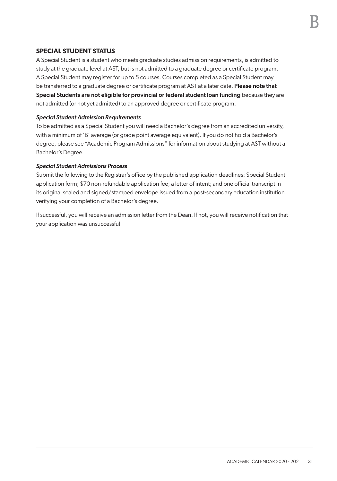# **SPECIAL STUDENT STATUS**

A Special Student is a student who meets graduate studies admission requirements, is admitted to study at the graduate level at AST, but is not admitted to a graduate degree or certificate program. A Special Student may register for up to 5 courses. Courses completed as a Special Student may be transferred to a graduate degree or certificate program at AST at a later date. Please note that Special Students are not eligible for provincial or federal student loan funding because they are not admitted (or not yet admitted) to an approved degree or certificate program.

#### *Special Student Admission Requirements*

To be admitted as a Special Student you will need a Bachelor's degree from an accredited university, with a minimum of 'B' average (or grade point average equivalent). If you do not hold a Bachelor's degree, please see "Academic Program Admissions" for information about studying at AST without a Bachelor's Degree.

#### *Special Student Admissions Process*

Submit the following to the Registrar's office by the published application deadlines: Special Student application form; \$70 non-refundable application fee; a letter of intent; and one official transcript in its original sealed and signed/stamped envelope issued from a post-secondary education institution verifying your completion of a Bachelor's degree.

If successful, you will receive an admission letter from the Dean. If not, you will receive notification that your application was unsuccessful.

B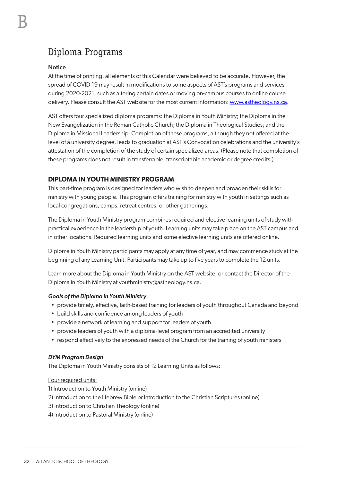# Diploma Programs

# **Notice**

At the time of printing, all elements of this Calendar were believed to be accurate. However, the spread of COVID-19 may result in modifications to some aspects of AST's programs and services during 2020-2021, such as altering certain dates or moving on-campus courses to online course delivery. Please consult the AST website for the most current information: [www.astheology.ns.ca](http://www.astheology.ns.ca).

AST offers four specialized diploma programs: the Diploma in Youth Ministry; the Diploma in the New Evangelization in the Roman Catholic Church; the Diploma in Theological Studies; and the Diploma in Missional Leadership. Completion of these programs, although they not offered at the level of a university degree, leads to graduation at AST's Convocation celebrations and the university's attestation of the completion of the study of certain specialized areas. (Please note that completion of these programs does not result in transferrable, transcriptable academic or degree credits.)

# **DIPLOMA IN YOUTH MINISTRY PROGRAM**

This part-time program is designed for leaders who wish to deepen and broaden their skills for ministry with young people. This program offers training for ministry with youth in settings such as local congregations, camps, retreat centres, or other gatherings.

The Diploma in Youth Ministry program combines required and elective learning units of study with practical experience in the leadership of youth. Learning units may take place on the AST campus and in other locations. Required learning units and some elective learning units are offered online.

Diploma in Youth Ministry participants may apply at any time of year, and may commence study at the beginning of any Learning Unit. Participants may take up to five years to complete the 12 units.

Learn more about the Diploma in Youth Ministry on the AST website, or contact the Director of the Diploma in Youth Ministry at youthministry@astheology.ns.ca.

#### *Goals of the Diploma in Youth Ministry*

- provide timely, effective, faith-based training for leaders of youth throughout Canada and beyond
- build skills and confidence among leaders of youth
- provide a network of learning and support for leaders of youth
- provide leaders of youth with a diploma-level program from an accredited university
- respond effectively to the expressed needs of the Church for the training of youth ministers

#### *DYM Program Design*

The Diploma in Youth Ministry consists of 12 Learning Units as follows:

#### Four required units:

- 1) Introduction to Youth Ministry (online)
- 2) Introduction to the Hebrew Bible *or* Introduction to the Christian Scriptures (online)
- 3) Introduction to Christian Theology (online)
- 4) Introduction to Pastoral Ministry (online)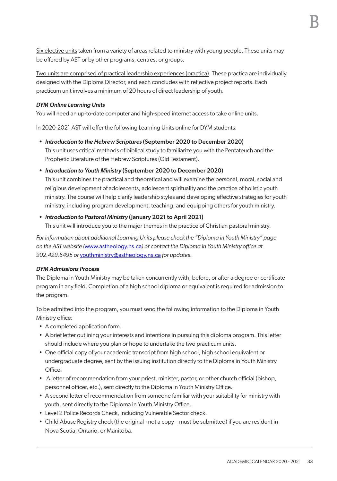Six elective units taken from a variety of areas related to ministry with young people. These units may be offered by AST or by other programs, centres, or groups.

Two units are comprised of practical leadership experiences (practica). These practica are individually designed with the Diploma Director, and each concludes with reflective project reports. Each practicum unit involves a minimum of 20 hours of direct leadership of youth.

#### *DYM Online Learning Units*

You will need an up-to-date computer and high-speed internet access to take online units.

In 2020-2021 AST will offer the following Learning Units online for DYM students:

- *• Introduction to the Hebrew Scriptures* (September 2020 to December 2020) This unit uses critical methods of biblical study to familiarize you with the Pentateuch and the Prophetic Literature of the Hebrew Scriptures (Old Testament).
- *• Introduction to Youth Ministry* (September 2020 to December 2020)

This unit combines the practical and theoretical and will examine the personal, moral, social and religious development of adolescents, adolescent spirituality and the practice of holistic youth ministry. The course will help clarify leadership styles and developing effective strategies for youth ministry, including program development, teaching, and equipping others for youth ministry.

#### *• Introduction to Pastoral Ministry* (January 2021 to April 2021)

This unit will introduce you to the major themes in the practice of Christian pastoral ministry.

*For information about additional Learning Units please check the "Diploma in Youth Ministry" page on the AST website (*www.astheology.ns.ca*) or contact the Diploma in Youth Ministry office at 902.429.6495 or* youthministry@astheology.ns.ca *for updates*.

#### *DYM Admissions Process*

The Diploma in Youth Ministry may be taken concurrently with, before, or after a degree or certificate program in any field. Completion of a high school diploma or equivalent is required for admission to the program.

To be admitted into the program, you must send the following information to the Diploma in Youth Ministry office:

- A completed application form.
- A brief letter outlining your interests and intentions in pursuing this diploma program. This letter should include where you plan or hope to undertake the two practicum units.
- One official copy of your academic transcript from high school, high school equivalent or undergraduate degree, sent by the issuing institution directly to the Diploma in Youth Ministry Office.
- A letter of recommendation from your priest, minister, pastor, or other church official (bishop, personnel officer, etc.), sent directly to the Diploma in Youth Ministry Office.
- A second letter of recommendation from someone familiar with your suitability for ministry with youth, sent directly to the Diploma in Youth Ministry Office.
- Level 2 Police Records Check, including Vulnerable Sector check.
- Child Abuse Registry check (the original not a copy must be submitted) if you are resident in Nova Scotia, Ontario, or Manitoba.

B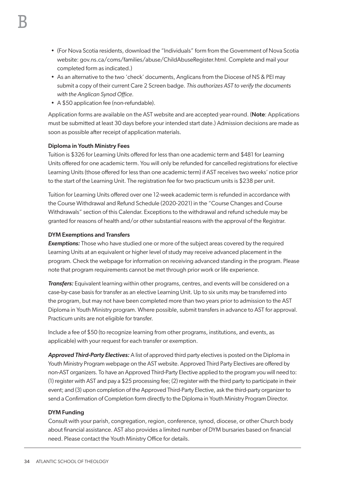- (For Nova Scotia residents, download the "Individuals" form from the Government of Nova Scotia website: gov.ns.ca/coms/families/abuse/ChildAbuseRegister.html. Complete and mail your completed form as indicated.)
- As an alternative to the two 'check' documents, Anglicans from the Diocese of NS & PEI may submit a copy of their current Care 2 Screen badge. *This authorizes AST to verify the documents with the Anglican Synod Office.*
- A \$50 application fee (non-refundable).

Application forms are available on the AST website and are accepted year-round. (Note: Applications must be submitted at least 30 days before your intended start date.) Admission decisions are made as soon as possible after receipt of application materials.

# Diploma in Youth Ministry Fees

Tuition is \$326 for Learning Units offered for less than one academic term and \$481 for Learning Units offered for one academic term. You will only be refunded for cancelled registrations for elective Learning Units (those offered for less than one academic term) if AST receives two weeks' notice prior to the start of the Learning Unit. The registration fee for two practicum units is \$238 per unit.

Tuition for Learning Units offered over one 12-week academic term is refunded in accordance with the Course Withdrawal and Refund Schedule (2020-2021) in the "Course Changes and Course Withdrawals" section of this Calendar. Exceptions to the withdrawal and refund schedule may be granted for reasons of health and/or other substantial reasons with the approval of the Registrar.

#### DYM Exemptions and Transfers

*Exemptions:* Those who have studied one or more of the subject areas covered by the required Learning Units at an equivalent or higher level of study may receive advanced placement in the program. Check the webpage for information on receiving advanced standing in the program. Please note that program requirements cannot be met through prior work or life experience.

*Transfers:* Equivalent learning within other programs, centres, and events will be considered on a case-by-case basis for transfer as an elective Learning Unit. Up to six units may be transferred into the program, but may not have been completed more than two years prior to admission to the AST Diploma in Youth Ministry program. Where possible, submit transfers in advance to AST for approval. Practicum units are not eligible for transfer.

Include a fee of \$50 (to recognize learning from other programs, institutions, and events, as applicable) with your request for each transfer or exemption.

*Approved Third-Party Electives:* A list of approved third party electives is posted on the Diploma in Youth Ministry Program webpage on the AST website. Approved Third Party Electives are offered by non-AST organizers. To have an Approved Third-Party Elective applied to the program you will need to: (1) register with AST and pay a \$25 processing fee; (2) register with the third party to participate in their event; and (3) upon completion of the Approved Third-Party Elective, ask the third-party organizer to send a Confirmation of Completion form directly to the Diploma in Youth Ministry Program Director.

# DYM Funding

Consult with your parish, congregation, region, conference, synod, diocese, or other Church body about financial assistance. AST also provides a limited number of DYM bursaries based on financial need. Please contact the Youth Ministry Office for details.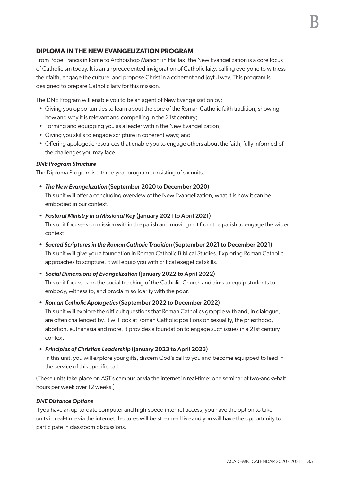# **DIPLOMA IN THE NEW EVANGELIZATION PROGRAM**

From Pope Francis in Rome to Archbishop Mancini in Halifax, the New Evangelization is a core focus of Catholicism today. It is an unprecedented invigoration of Catholic laity, calling everyone to witness their faith, engage the culture, and propose Christ in a coherent and joyful way. This program is designed to prepare Catholic laity for this mission.

The DNE Program will enable you to be an agent of New Evangelization by:

- Giving you opportunities to learn about the core of the Roman Catholic faith tradition, showing how and why it is relevant and compelling in the 21st century;
- Forming and equipping you as a leader within the New Evangelization;
- Giving you skills to engage scripture in coherent ways; and
- Offering apologetic resources that enable you to engage others about the faith, fully informed of the challenges you may face.

#### *DNE Program Structure*

The Diploma Program is a three-year program consisting of six units.

*• The New Evangelization* (September 2020 to December 2020)

This unit will offer a concluding overview of the New Evangelization, what it is how it can be embodied in our context.

#### *• Pastoral Ministry in a Missional Key* (January 2021 to April 2021)

This unit focusses on mission within the parish and moving out from the parish to engage the wider context.

- *• Sacred Scriptures in the Roman Catholic Tradition* (September 2021 to December 2021) This unit will give you a foundation in Roman Catholic Biblical Studies. Exploring Roman Catholic approaches to scripture, it will equip you with critical exegetical skills.
- *• Social Dimensions of Evangelization* (January 2022 to April 2022) This unit focusses on the social teaching of the Catholic Church and aims to equip students to embody, witness to, and proclaim solidarity with the poor.
- *• Roman Catholic Apologetics* (September 2022 to December 2022) This unit will explore the difficult questions that Roman Catholics grapple with and, in dialogue, are often challenged by. It will look at Roman Catholic positions on sexuality, the priesthood,

abortion, euthanasia and more. It provides a foundation to engage such issues in a 21st century context.

*• Principles of Christian Leadership* (January 2023 to April 2023)

In this unit, you will explore your gifts, discern God's call to you and become equipped to lead in the service of this specific call.

(These units take place on AST's campus or via the internet in real-time: one seminar of two-and-a-half hours per week over 12 weeks.)

#### *DNE Distance Options*

If you have an up-to-date computer and high-speed internet access, you have the option to take units in real-time via the internet. Lectures will be streamed live and you will have the opportunity to participate in classroom discussions.

B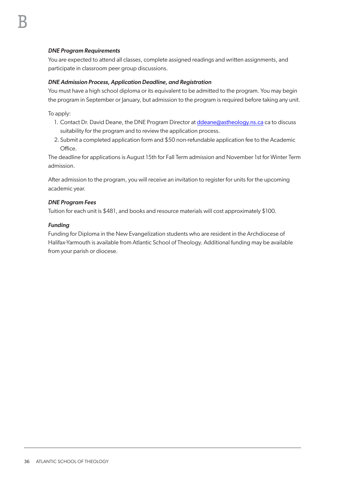# *DNE Program Requirements*

You are expected to attend all classes, complete assigned readings and written assignments, and participate in classroom peer group discussions.

#### *DNE Admission Process, Application Deadline, and Registration*

You must have a high school diploma or its equivalent to be admitted to the program. You may begin the program in September or January, but admission to the program is required before taking any unit.

To apply:

- 1. Contact Dr. David Deane, the DNE Program Director at ddeane@astheology.ns.ca ca to discuss suitability for the program and to review the application process.
- 2. Submit a completed application form and \$50 non-refundable application fee to the Academic Office.

The deadline for applications is August 15th for Fall Term admission and November 1st for Winter Term admission.

After admission to the program, you will receive an invitation to register for units for the upcoming academic year.

#### *DNE Program Fees*

Tuition for each unit is \$481, and books and resource materials will cost approximately \$100.

#### *Funding*

Funding for Diploma in the New Evangelization students who are resident in the Archdiocese of Halifax-Yarmouth is available from Atlantic School of Theology. Additional funding may be available from your parish or diocese.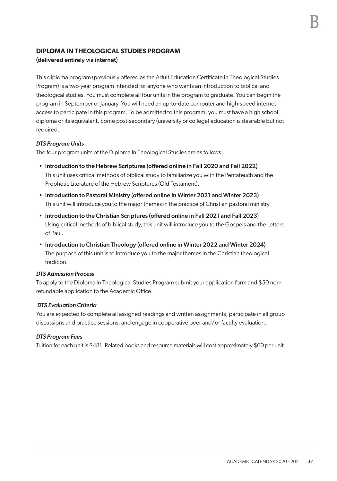# **DIPLOMA IN THEOLOGICAL STUDIES PROGRAM**

# (delivered entirely via internet)

This diploma program (previously offered as the Adult Education Certificate in Theological Studies Program) is a two-year program intended for anyone who wants an introduction to biblical and theological studies. You must complete all four units in the program to graduate. You can begin the program in September or January. You will need an up-to-date computer and high-speed internet access to participate in this program. To be admitted to this program, you must have a high school diploma or its equivalent. Some post-secondary (university or college) education is desirable but not required.

# *DTS Program Units*

The four program units of the Diploma in Theological Studies are as follows:

- Introduction to the Hebrew Scriptures (offered online in Fall 2020 and Fall 2022) This unit uses critical methods of biblical study to familiarize you with the Pentateuch and the Prophetic Literature of the Hebrew Scriptures (Old Testament).
- Introduction to Pastoral Ministry (offered online in Winter 2021 and Winter 2023) This unit will introduce you to the major themes in the practice of Christian pastoral ministry.
- Introduction to the Christian Scriptures (offered online in Fall 2021 and Fall 2023) Using critical methods of biblical study, this unit will introduce you to the Gospels and the Letters of Paul.
- Introduction to Christian Theology (offered online in Winter 2022 and Winter 2024) The purpose of this unit is to introduce you to the major themes in the Christian theological tradition.

#### *DTS Admission Process*

To apply to the Diploma in Theological Studies Program submit your application form and \$50 nonrefundable application to the Academic Office.

# *DTS Evaluation Criteria*

You are expected to complete all assigned readings and written assignments, participate in all group discussions and practice sessions, and engage in cooperative peer and/or faculty evaluation.

# *DTS Program Fees*

Tuition for each unit is \$481. Related books and resource materials will cost approximately \$60 per unit.

B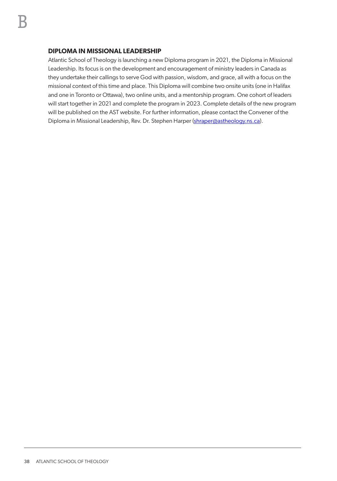# **DIPLOMA IN MISSIONAL LEADERSHIP**

Atlantic School of Theology is launching a new Diploma program in 2021, the Diploma in Missional Leadership. Its focus is on the development and encouragement of ministry leaders in Canada as they undertake their callings to serve God with passion, wisdom, and grace, all with a focus on the missional context of this time and place. This Diploma will combine two onsite units (one in Halifax and one in Toronto or Ottawa), two online units, and a mentorship program. One cohort of leaders will start together in 2021 and complete the program in 2023. Complete details of the new program will be published on the AST website. For further information, please contact the Convener of the Diploma in Missional Leadership, Rev. Dr. Stephen Harper (shraper@astheology.ns.ca).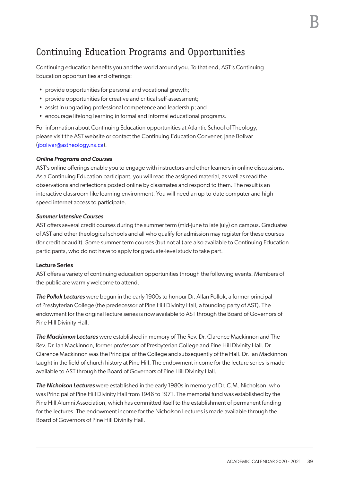# Continuing Education Programs and Opportunities

Continuing education benefits you and the world around you. To that end, AST's Continuing Education opportunities and offerings:

- provide opportunities for personal and vocational growth;
- provide opportunities for creative and critical self-assessment;
- assist in upgrading professional competence and leadership; and
- encourage lifelong learning in formal and informal educational programs.

For information about Continuing Education opportunities at Atlantic School of Theology, please visit the AST website or contact the Continuing Education Convener, Jane Bolivar (jbolivar@astheology.ns.ca).

#### *Online Programs and Courses*

AST's online offerings enable you to engage with instructors and other learners in online discussions. As a Continuing Education participant, you will read the assigned material, as well as read the observations and reflections posted online by classmates and respond to them. The result is an interactive classroom-like learning environment. You will need an up-to-date computer and highspeed internet access to participate.

#### *Summer Intensive Courses*

AST offers several credit courses during the summer term (mid-June to late July) on campus. Graduates of AST and other theological schools and all who qualify for admission may register for these courses (for credit or audit). Some summer term courses (but not all) are also available to Continuing Education participants, who do not have to apply for graduate-level study to take part.

#### Lecture Series

AST offers a variety of continuing education opportunities through the following events. Members of the public are warmly welcome to attend.

*The Pollok Lectures* were begun in the early 1900s to honour Dr. Allan Pollok, a former principal of Presbyterian College (the predecessor of Pine Hill Divinity Hall, a founding party of AST). The endowment for the original lecture series is now available to AST through the Board of Governors of Pine Hill Divinity Hall.

*The Mackinnon Lectures* were established in memory of The Rev. Dr. Clarence Mackinnon and The Rev. Dr. Ian Mackinnon, former professors of Presbyterian College and Pine Hill Divinity Hall. Dr. Clarence Mackinnon was the Principal of the College and subsequently of the Hall. Dr. Ian Mackinnon taught in the field of church history at Pine Hill. The endowment income for the lecture series is made available to AST through the Board of Governors of Pine Hill Divinity Hall.

*The Nicholson Lectures* were established in the early 1980s in memory of Dr. C.M. Nicholson, who was Principal of Pine Hill Divinity Hall from 1946 to 1971. The memorial fund was established by the Pine Hill Alumni Association, which has committed itself to the establishment of permanent funding for the lectures. The endowment income for the Nicholson Lectures is made available through the Board of Governors of Pine Hill Divinity Hall.

B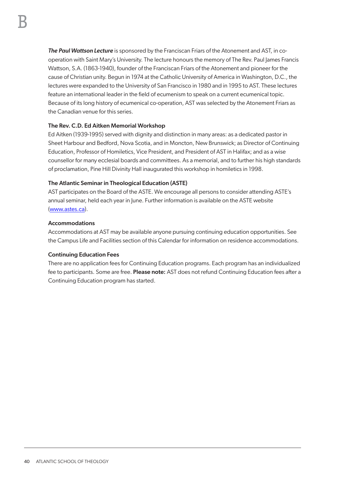*The Paul Wattson Lecture* is sponsored by the Franciscan Friars of the Atonement and AST, in cooperation with Saint Mary's University. The lecture honours the memory of The Rev. Paul James Francis Wattson, S.A. (1863-1940), founder of the Franciscan Friars of the Atonement and pioneer for the cause of Christian unity. Begun in 1974 at the Catholic University of America in Washington, D.C., the lectures were expanded to the University of San Francisco in 1980 and in 1995 to AST. These lectures feature an international leader in the field of ecumenism to speak on a current ecumenical topic. Because of its long history of ecumenical co-operation, AST was selected by the Atonement Friars as the Canadian venue for this series.

# The Rev. C.D. Ed Aitken Memorial Workshop

Ed Aitken (1939-1995) served with dignity and distinction in many areas: as a dedicated pastor in Sheet Harbour and Bedford, Nova Scotia, and in Moncton, New Brunswick; as Director of Continuing Education, Professor of Homiletics, Vice President, and President of AST in Halifax; and as a wise counsellor for many ecclesial boards and committees. As a memorial, and to further his high standards of proclamation, Pine Hill Divinity Hall inaugurated this workshop in homiletics in 1998.

# The Atlantic Seminar in Theological Education (ASTE)

AST participates on the Board of the ASTE. We encourage all persons to consider attending ASTE's annual seminar, held each year in June. Further information is available on the ASTE website (www.astes.ca).

# Accommodations

Accommodations at AST may be available anyone pursuing continuing education opportunities. See the Campus Life and Facilities section of this Calendar for information on residence accommodations.

# Continuing Education Fees

There are no application fees for Continuing Education programs. Each program has an individualized fee to participants. Some are free. Please note: AST does not refund Continuing Education fees after a Continuing Education program has started.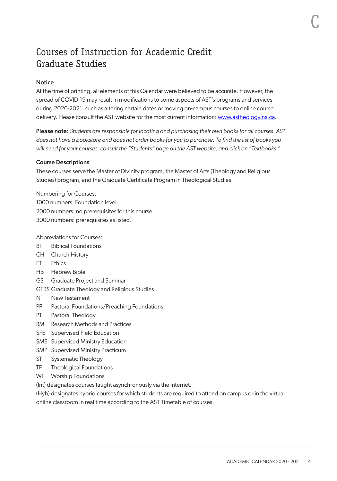# Courses of Instruction for Academic Credit Graduate Studies

# **Notice**

At the time of printing, all elements of this Calendar were believed to be accurate. However, the spread of COVID-19 may result in modifications to some aspects of AST's programs and services during 2020-2021, such as altering certain dates or moving on-campus courses to online course delivery. Please consult the AST website for the most current information: [www.astheology.ns.ca](http://www.astheology.ns.ca).

Please note: *Students are responsible for locating and purchasing their own books for all courses. AST does not have a bookstore and does not order books for you to purchase. To find the list of books you will need for your courses, consult the "Students" page on the AST website, and click on "Textbooks."*

#### Course Descriptions

These courses serve the Master of Divinity program, the Master of Arts (Theology and Religious Studies) program, and the Graduate Certificate Program in Theological Studies.

Numbering for Courses: 1000 numbers: Foundation level. 2000 numbers: no prerequisites for this course. 3000 numbers: prerequisites as listed.

Abbreviations for Courses:

- BF Biblical Foundations
- CH Church History
- ET Ethics
- HB Hebrew Bible
- GS Graduate Project and Seminar
- GTRS Graduate Theology and Religious Studies
- NT New Testament
- PF Pastoral Foundations/Preaching Foundations
- PT Pastoral Theology
- RM Research Methods and Practices
- SFE Supervised Field Education
- SME Supervised Ministry Education
- SMP Supervised Ministry Practicum
- ST Systematic Theology
- TF Theological Foundations
- WF Worship Foundations

(Int) designates courses taught asynchronously via the internet.

(Hyb) designates hybrid courses for which students are required to attend on campus or in the virtual online classroom in real time according to the AST Timetable of courses.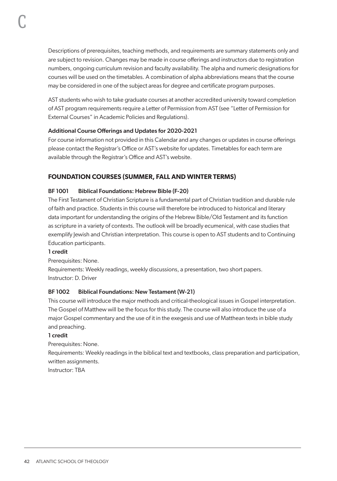Descriptions of prerequisites, teaching methods, and requirements are summary statements only and are subject to revision. Changes may be made in course offerings and instructors due to registration numbers, ongoing curriculum revision and faculty availability. The alpha and numeric designations for courses will be used on the timetables. A combination of alpha abbreviations means that the course may be considered in one of the subject areas for degree and certificate program purposes.

AST students who wish to take graduate courses at another accredited university toward completion of AST program requirements require a Letter of Permission from AST (see "Letter of Permission for External Courses" in Academic Policies and Regulations).

# Additional Course Offerings and Updates for 2020-2021

For course information not provided in this Calendar and any changes or updates in course offerings please contact the Registrar's Office or AST's website for updates. Timetables for each term are available through the Registrar's Office and AST's website.

# **FOUNDATION COURSES (SUMMER, FALL AND WINTER TERMS)**

# BF 1001 Biblical Foundations: Hebrew Bible (F-20)

The First Testament of Christian Scripture is a fundamental part of Christian tradition and durable rule of faith and practice. Students in this course will therefore be introduced to historical and literary data important for understanding the origins of the Hebrew Bible/Old Testament and its function as scripture in a variety of contexts. The outlook will be broadly ecumenical, with case studies that exemplify Jewish and Christian interpretation. This course is open to AST students and to Continuing Education participants.

# 1 credit

Prerequisites: None.

Requirements: Weekly readings, weekly discussions, a presentation, two short papers. Instructor: D. Driver

# BF 1002 Biblical Foundations: New Testament (W-21)

This course will introduce the major methods and critical-theological issues in Gospel interpretation. The Gospel of Matthew will be the focus for this study. The course will also introduce the use of a major Gospel commentary and the use of it in the exegesis and use of Matthean texts in bible study and preaching.

# 1 credit

Prerequisites: None.

Requirements: Weekly readings in the biblical text and textbooks, class preparation and participation, written assignments.

Instructor: TBA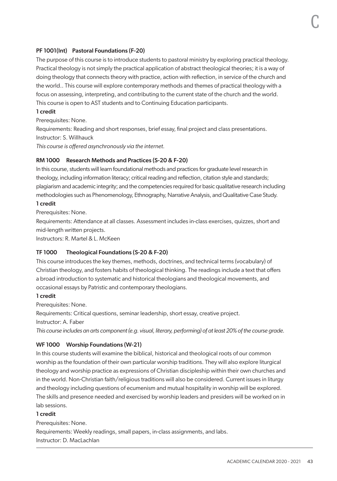# PF 1001(Int) Pastoral Foundations (F-20)

The purpose of this course is to introduce students to pastoral ministry by exploring practical theology. Practical theology is not simply the practical application of abstract theological theories; it is a way of doing theology that connects theory with practice, action with reflection, in service of the church and the world.. This course will explore contemporary methods and themes of practical theology with a focus on assessing, interpreting, and contributing to the current state of the church and the world. This course is open to AST students and to Continuing Education participants.

# 1 credit

Prerequisites: None.

Requirements: Reading and short responses, brief essay, final project and class presentations. Instructor: S. Willhauck

*This course is offered asynchronously via the internet.*

#### RM 1000 Research Methods and Practices (S-20 & F-20)

In this course, students will learn foundational methods and practices for graduate level research in theology, including information literacy; critical reading and reflection, citation style and standards; plagiarism and academic integrity; and the competencies required for basic qualitative research including methodologies such as Phenomenology, Ethnography, Narrative Analysis, and Qualitative Case Study.

## 1 credit

Prerequisites: None.

Requirements: Attendance at all classes. Assessment includes in-class exercises, quizzes, short and mid-length written projects.

Instructors: R. Martel & L. McKeen

# TF 1000 Theological Foundations (S-20 & F-20)

This course introduces the key themes, methods, doctrines, and technical terms (vocabulary) of Christian theology, and fosters habits of theological thinking. The readings include a text that offers a broad introduction to systematic and historical theologians and theological movements, and occasional essays by Patristic and contemporary theologians.

#### 1 credit

Prerequisites: None.

Requirements: Critical questions, seminar leadership, short essay, creative project.

Instructor: A. Faber

*This course includes an arts component (e.g. visual, literary, performing) of at least 20% of the course grade.*

# WF 1000 Worship Foundations (W-21)

In this course students will examine the biblical, historical and theological roots of our common worship as the foundation of their own particular worship traditions. They will also explore liturgical theology and worship practice as expressions of Christian discipleship within their own churches and in the world. Non-Christian faith/religious traditions will also be considered. Current issues in liturgy and theology including questions of ecumenism and mutual hospitality in worship will be explored. The skills and presence needed and exercised by worship leaders and presiders will be worked on in lab sessions.

# 1 credit

Prerequisites: None. Requirements: Weekly readings, small papers, in-class assignments, and labs. Instructor: D. MacLachlan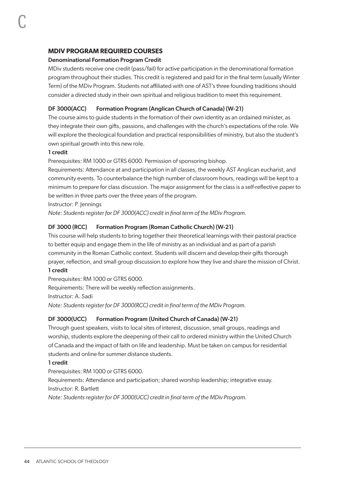# **MDIV PROGRAM REQUIRED COURSES**

#### Denominational Formation Program Credit

MDiv students receive one credit (pass/fail) for active participation in the denominational formation program throughout their studies. This credit is registered and paid for in the final term (usually Winter Term) of the MDiv Program. Students not affiliated with one of AST's three founding traditions should consider a directed study in their own spiritual and religious tradition to meet this requirement.

# DF 3000(ACC) Formation Program (Anglican Church of Canada) (W-21)

The course aims to guide students in the formation of their own identity as an ordained minister, as they integrate their own gifts, passions, and challenges with the church's expectations of the role. We will explore the theological foundation and practical responsibilities of ministry, but also the student's own spiritual growth into this new role.

#### 1 credit

Prerequisites: RM 1000 or GTRS 6000. Permission of sponsoring bishop.

Requirements: Attendance at and participation in all classes, the weekly AST Anglican eucharist, and community events. To counterbalance the high number of classroom hours, readings will be kept to a minimum to prepare for class discussion. The major assignment for the class is a self-reflective paper to be written in three parts over the three years of the program.

Instructor: P. Jennings

*Note: Students register for DF 3000(ACC) credit in final term of the MDiv Program.*

# DF 3000 (RCC) Formation Program (Roman Catholic Church) (W-21)

This course will help students to bring together their theoretical learnings with their pastoral practice to better equip and engage them in the life of ministry as an individual and as part of a parish community in the Roman Catholic context. Students will discern and develop their gifts thorough prayer, reflection, and small group discussion.to explore how they live and share the mission of Christ. 1 credit

# Prerequisites: RM 1000 or GTRS 6000.

Requirements: There will be weekly reflection assignments. Instructor: A. Sadi *Note: Students register for DF 3000(RCC) credit in final term of the MDiv Program.*

# DF 3000(UCC) Formation Program (United Church of Canada) (W-21)

Through guest speakers, visits to local sites of interest, discussion, small groups, readings and worship, students explore the deepening of their call to ordered ministry within the United Church of Canada and the impact of faith on life and leadership. Must be taken on campus for residential students and online for summer distance students.

#### 1 credit

Prerequisites: RM 1000 or GTRS 6000.

Requirements: Attendance and participation; shared worship leadership; integrative essay. Instructor: R. Bartlett

*Note: Students register for DF 3000(UCC) credit in final term of the MDiv Program.*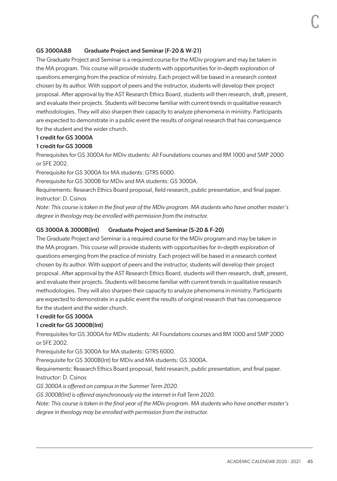## GS 3000A&B Graduate Project and Seminar (F-20 & W-21)

The Graduate Project and Seminar is a required course for the MDiv program and may be taken in the MA program. This course will provide students with opportunities for in-depth exploration of questions emerging from the practice of ministry. Each project will be based in a research context chosen by its author. With support of peers and the instructor, students will develop their project proposal. After approval by the AST Research Ethics Board, students will then research, draft, present, and evaluate their projects. Students will become familiar with current trends in qualitative research methodologies. They will also sharpen their capacity to analyze phenomena in ministry. Participants are expected to demonstrate in a public event the results of original research that has consequence for the student and the wider church.

#### 1 credit for GS 3000A

#### 1 credit for GS 3000B

Prerequisites for GS 3000A for MDiv students: All Foundations courses and RM 1000 and SMP 2000 or SFE 2002.

Prerequisite for GS 3000A for MA students: GTRS 6000.

Prerequisite for GS 3000B for MDiv and MA students: GS 3000A.

Requirements: Research Ethics Board proposal, field research, public presentation, and final paper. Instructor: D. Csinos

*Note: This course is taken in the final year of the MDiv program. MA students who have another master's degree in theology may be enrolled with permission from the instructor.*

#### GS 3000A & 3000B(Int) Graduate Project and Seminar (S-20 & F-20)

The Graduate Project and Seminar is a required course for the MDiv program and may be taken in the MA program. This course will provide students with opportunities for in-depth exploration of questions emerging from the practice of ministry. Each project will be based in a research context chosen by its author. With support of peers and the instructor, students will develop their project proposal. After approval by the AST Research Ethics Board, students will then research, draft, present, and evaluate their projects. Students will become familiar with current trends in qualitative research methodologies. They will also sharpen their capacity to analyze phenomena in ministry. Participants are expected to demonstrate in a public event the results of original research that has consequence for the student and the wider church.

#### 1 credit for GS 3000A

#### 1 credit for GS 3000B(Int)

Prerequisites for GS 3000A for MDiv students: All Foundations courses and RM 1000 and SMP 2000 or SFE 2002.

Prerequisite for GS 3000A for MA students: GTRS 6000.

Prerequisite for GS 3000B(Int) for MDiv and MA students: GS 3000A.

Requirements: Research Ethics Board proposal, field research, public presentation, and final paper. Instructor: D. Csinos

*GS 3000A is offered on campus in the Summer Term 2020.* 

*GS 3000B(Int) is offered asynchronously via the internet in Fall Term 2020.*

*Note: This course is taken in the final year of the MDiv program. MA students who have another master's degree in theology may be enrolled with permission from the instructor.*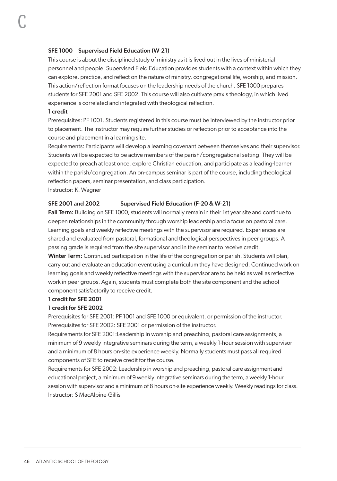#### SFE 1000 Supervised Field Education (W-21)

This course is about the disciplined study of ministry as it is lived out in the lives of ministerial personnel and people. Supervised Field Education provides students with a context within which they can explore, practice, and reflect on the nature of ministry, congregational life, worship, and mission. This action/reflection format focuses on the leadership needs of the church. SFE 1000 prepares students for SFE 2001 and SFE 2002. This course will also cultivate praxis theology, in which lived experience is correlated and integrated with theological reflection.

#### 1 credit

C

Prerequisites: PF 1001. Students registered in this course must be interviewed by the instructor prior to placement. The instructor may require further studies or reflection prior to acceptance into the course and placement in a learning site.

Requirements: Participants will develop a learning covenant between themselves and their supervisor. Students will be expected to be active members of the parish/congregational setting. They will be expected to preach at least once, explore Christian education, and participate as a leading-learner within the parish/congregation. An on-campus seminar is part of the course, including theological reflection papers, seminar presentation, and class participation. Instructor: K. Wagner

#### SFE 2001 and 2002 Supervised Field Education (F-20 & W-21)

Fall Term: Building on SFE 1000, students will normally remain in their 1st year site and continue to deepen relationships in the community through worship leadership and a focus on pastoral care. Learning goals and weekly reflective meetings with the supervisor are required. Experiences are shared and evaluated from pastoral, formational and theological perspectives in peer groups. A passing grade is required from the site supervisor and in the seminar to receive credit.

Winter Term: Continued participation in the life of the congregation or parish. Students will plan, carry out and evaluate an education event using a curriculum they have designed. Continued work on learning goals and weekly reflective meetings with the supervisor are to be held as well as reflective work in peer groups. Again, students must complete both the site component and the school component satisfactorily to receive credit.

# 1 credit for SFE 2001

#### 1 credit for SFE 2002

Prerequisites for SFE 2001: PF 1001 and SFE 1000 or equivalent, or permission of the instructor. Prerequisites for SFE 2002: SFE 2001 or permission of the instructor.

Requirements for SFE 2001:Leadership in worship and preaching, pastoral care assignments, a minimum of 9 weekly integrative seminars during the term, a weekly 1-hour session with supervisor and a minimum of 8 hours on-site experience weekly. Normally students must pass all required components of SFE to receive credit for the course.

Requirements for SFE 2002: Leadership in worship and preaching, pastoral care assignment and educational project, a minimum of 9 weekly integrative seminars during the term, a weekly 1-hour session with supervisor and a minimum of 8 hours on-site experience weekly. Weekly readings for class. Instructor: S MacAlpine-Gillis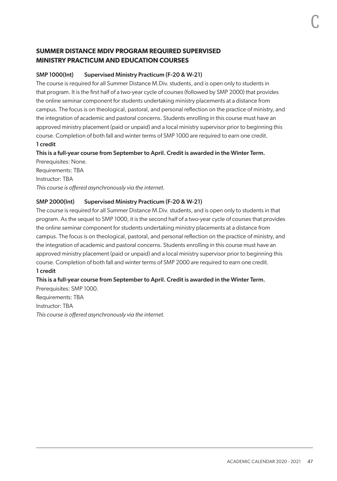# **SUMMER DISTANCE MDIV PROGRAM REQUIRED SUPERVISED MINISTRY PRACTICUM AND EDUCATION COURSES**

# SMP 1000(Int) Supervised Ministry Practicum (F-20 & W-21)

The course is required for all Summer Distance M.Div. students, and is open only to students in that program. It is the first half of a two-year cycle of courses (followed by SMP 2000) that provides the online seminar component for students undertaking ministry placements at a distance from campus. The focus is on theological, pastoral, and personal reflection on the practice of ministry, and the integration of academic and pastoral concerns. Students enrolling in this course must have an approved ministry placement (paid or unpaid) and a local ministry supervisor prior to beginning this course. Completion of both fall and winter terms of SMP 1000 are required to earn one credit. 1 credit

# This is a full-year course from September to April. Credit is awarded in the Winter Term.

Prerequisites: None. Requirements: TBA Instructor: TBA *This course is offered asynchronously via the internet.*

# SMP 2000(Int) Supervised Ministry Practicum (F-20 & W-21)

The course is required for all Summer Distance M.Div. students, and is open only to students in that program. As the sequel to SMP 1000, it is the second half of a two-year cycle of courses that provides the online seminar component for students undertaking ministry placements at a distance from campus. The focus is on theological, pastoral, and personal reflection on the practice of ministry, and the integration of academic and pastoral concerns. Students enrolling in this course must have an approved ministry placement (paid or unpaid) and a local ministry supervisor prior to beginning this course. Completion of both fall and winter terms of SMP 2000 are required to earn one credit. 1 credit

# This is a full-year course from September to April. Credit is awarded in the Winter Term.

Prerequisites: SMP 1000. Requirements: TBA Instructor: TBA *This course is offered asynchronously via the internet.*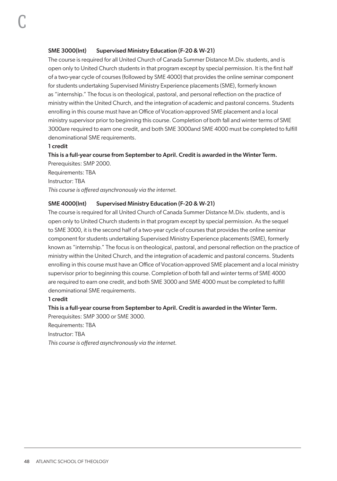## SME 3000(Int) Supervised Ministry Education (F-20 & W-21)

The course is required for all United Church of Canada Summer Distance M.Div. students, and is open only to United Church students in that program except by special permission. It is the first half of a two-year cycle of courses (followed by SME 4000) that provides the online seminar component for students undertaking Supervised Ministry Experience placements (SME), formerly known as "internship." The focus is on theological, pastoral, and personal reflection on the practice of ministry within the United Church, and the integration of academic and pastoral concerns. Students enrolling in this course must have an Office of Vocation-approved SME placement and a local ministry supervisor prior to beginning this course. Completion of both fall and winter terms of SME 3000are required to earn one credit, and both SME 3000and SME 4000 must be completed to fulfill denominational SME requirements.

#### 1 credit

# This is a full-year course from September to April. Credit is awarded in the Winter Term.

Prerequisites: SMP 2000. Requirements: TBA Instructor: TBA *This course is offered asynchronously via the internet.*

#### SME 4000(Int) Supervised Ministry Education (F-20 & W-21)

The course is required for all United Church of Canada Summer Distance M.Div. students, and is open only to United Church students in that program except by special permission. As the sequel to SME 3000, it is the second half of a two-year cycle of courses that provides the online seminar component for students undertaking Supervised Ministry Experience placements (SME), formerly known as "internship." The focus is on theological, pastoral, and personal reflection on the practice of ministry within the United Church, and the integration of academic and pastoral concerns. Students enrolling in this course must have an Office of Vocation-approved SME placement and a local ministry supervisor prior to beginning this course. Completion of both fall and winter terms of SME 4000 are required to earn one credit, and both SME 3000 and SME 4000 must be completed to fulfill denominational SME requirements.

#### 1 credit

#### This is a full-year course from September to April. Credit is awarded in the Winter Term.

Prerequisites: SMP 3000 or SME 3000. Requirements: TBA Instructor: TBA *This course is offered asynchronously via the internet.*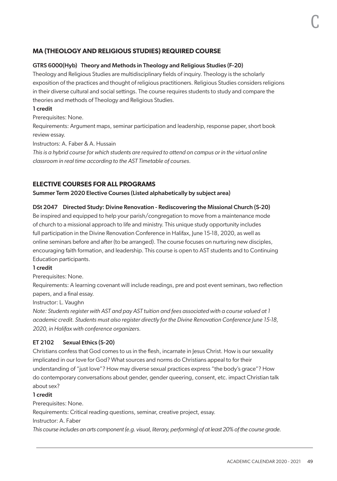# **MA (THEOLOGY AND RELIGIOUS STUDIES) REQUIRED COURSE**

#### GTRS 6000(Hyb) Theory and Methods in Theology and Religious Studies (F-20)

Theology and Religious Studies are multidisciplinary fields of inquiry. Theology is the scholarly exposition of the practices and thought of religious practitioners. Religious Studies considers religions in their diverse cultural and social settings. The course requires students to study and compare the theories and methods of Theology and Religious Studies.

# 1 credit

Prerequisites: None.

Requirements: Argument maps, seminar participation and leadership, response paper, short book review essay.

Instructors: A. Faber & A. Hussain

*This is a hybrid course for which students are required to attend on campus or in the virtual online classroom in real time according to the AST Timetable of courses.*

# **ELECTIVE COURSES FOR ALL PROGRAMS**

#### Summer Term 2020 Elective Courses (Listed alphabetically by subject area)

#### DSt 2047 Directed Study: Divine Renovation - Rediscovering the Missional Church (S-20)

Be inspired and equipped to help your parish/congregation to move from a maintenance mode of church to a missional approach to life and ministry. This unique study opportunity includes full participation in the Divine Renovation Conference in Halifax, June 15-18, 2020, as well as online seminars before and after (to be arranged). The course focuses on nurturing new disciples, encouraging faith formation, and leadership. This course is open to AST students and to Continuing Education participants.

#### 1 credit

Prerequisites: None.

Requirements: A learning covenant will include readings, pre and post event seminars, two reflection papers, and a final essay.

Instructor: L. Vaughn

*Note: Students register with AST and pay AST tuition and fees associated with a course valued at 1 academic credit. Students must also register directly for the Divine Renovation Conference June 15-18, 2020, in Halifax with conference organizers.*

#### ET 2102 Sexual Ethics (S-20)

Christians confess that God comes to us in the flesh, incarnate in Jesus Christ. How is our sexuality implicated in our love for God? What sources and norms do Christians appeal to for their understanding of "just love"? How may diverse sexual practices express "the body's grace"? How do contemporary conversations about gender, gender queering, consent, etc. impact Christian talk about sex?

#### 1 credit

Prerequisites: None.

Requirements: Critical reading questions, seminar, creative project, essay.

Instructor: A. Faber

*This course includes an arts component (e.g. visual, literary, performing) of at least 20% of the course grade.*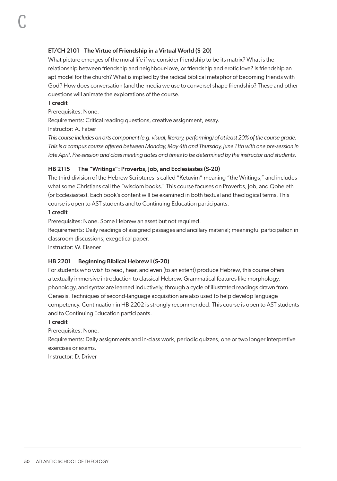# ET/CH 2101 The Virtue of Friendship in a Virtual World (S-20)

What picture emerges of the moral life if we consider friendship to be its matrix? What is the relationship between friendship and neighbour-love, or friendship and erotic love? Is friendship an apt model for the church? What is implied by the radical biblical metaphor of becoming friends with God? How does conversation (and the media we use to converse) shape friendship? These and other questions will animate the explorations of the course.

#### 1 credit

C

Prerequisites: None.

Requirements: Critical reading questions, creative assignment, essay.

Instructor: A. Faber

*This course includes an arts component (e.g. visual, literary, performing) of at least 20% of the course grade. This is a campus course offered between Monday, May 4th and Thursday, June 11th with one pre-session in late April. Pre-session and class meeting dates and times to be determined by the instructor and students.*

# HB 2115 The "Writings": Proverbs, Job, and Ecclesiastes (S-20)

The third division of the Hebrew Scriptures is called "Ketuvim" meaning "the Writings," and includes what some Christians call the "wisdom books." This course focuses on Proverbs, Job, and Qoheleth (or Ecclesiastes). Each book's content will be examined in both textual and theological terms. This course is open to AST students and to Continuing Education participants.

#### 1 credit

Prerequisites: None. Some Hebrew an asset but not required.

Requirements: Daily readings of assigned passages and ancillary material; meaningful participation in classroom discussions; exegetical paper.

Instructor: W. Eisener

# HB 2201 Beginning Biblical Hebrew I (S-20)

For students who wish to read, hear, and even (to an extent) produce Hebrew, this course offers a textually immersive introduction to classical Hebrew. Grammatical features like morphology, phonology, and syntax are learned inductively, through a cycle of illustrated readings drawn from Genesis. Techniques of second-language acquisition are also used to help develop language competency. Continuation in HB 2202 is strongly recommended. This course is open to AST students and to Continuing Education participants.

# 1 credit

Prerequisites: None.

Requirements: Daily assignments and in-class work, periodic quizzes, one or two longer interpretive exercises or exams.

Instructor: D. Driver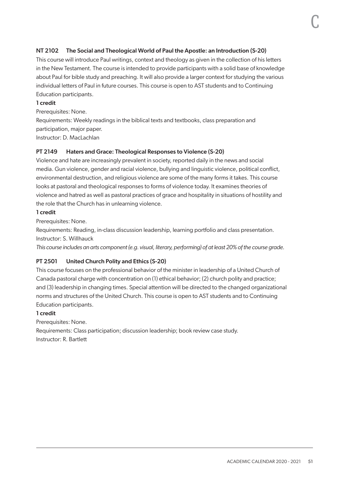# NT 2102 The Social and Theological World of Paul the Apostle: an Introduction (S-20)

This course will introduce Paul writings, context and theology as given in the collection of his letters in the New Testament. The course is intended to provide participants with a solid base of knowledge about Paul for bible study and preaching. It will also provide a larger context for studying the various individual letters of Paul in future courses. This course is open to AST students and to Continuing Education participants.

#### 1 credit

Prerequisites: None.

Requirements: Weekly readings in the biblical texts and textbooks, class preparation and participation, major paper.

Instructor: D. MacLachlan

# PT 2149 Haters and Grace: Theological Responses to Violence (S-20)

Violence and hate are increasingly prevalent in society, reported daily in the news and social media. Gun violence, gender and racial violence, bullying and linguistic violence, political conflict, environmental destruction, and religious violence are some of the many forms it takes. This course looks at pastoral and theological responses to forms of violence today. It examines theories of violence and hatred as well as pastoral practices of grace and hospitality in situations of hostility and the role that the Church has in unlearning violence.

#### 1 credit

Prerequisites: None.

Requirements: Reading, in-class discussion leadership, learning portfolio and class presentation. Instructor: S. Willhauck

*This course includes an arts component (e.g. visual, literary, performing) of at least 20% of the course grade.*

# PT 2501 United Church Polity and Ethics (S-20)

This course focuses on the professional behavior of the minister in leadership of a United Church of Canada pastoral charge with concentration on (1) ethical behavior; (2) church polity and practice; and (3) leadership in changing times. Special attention will be directed to the changed organizational norms and structures of the United Church. This course is open to AST students and to Continuing Education participants.

#### 1 credit

Prerequisites: None.

Requirements: Class participation; discussion leadership; book review case study. Instructor: R. Bartlett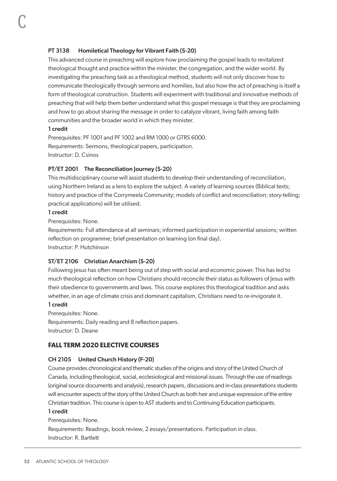# PT 3138 Homiletical Theology for Vibrant Faith (S-20)

This advanced course in preaching will explore how proclaiming the gospel leads to revitalized theological thought and practice within the minister, the congregation, and the wider world. By investigating the preaching task as a theological method, students will not only discover how to communicate theologically through sermons and homilies, but also how the act of preaching is itself a form of theological construction. Students will experiment with traditional and innovative methods of preaching that will help them better understand what this gospel message is that they are proclaiming and how to go about sharing the message in order to catalyze vibrant, living faith among faith communities and the broader world in which they minister.

#### 1 credit

C

Prerequisites: PF 1001 and PF 1002 and RM 1000 or GTRS 6000. Requirements: Sermons, theological papers, participation. Instructor: D. Csinos

#### PT/ET 2001 The Reconciliation Journey (S-20)

This multidisciplinary course will assist students to develop their understanding of reconciliation, using Northern Ireland as a lens to explore the subject. A variety of learning sources (Biblical texts; history and practice of the Corrymeela Community; models of conflict and reconciliation; story-telling; practical applications) will be utilised.

#### 1 credit

Prerequisites: None.

Requirements: Full attendance at all seminars; informed participation in experiential sessions; written reflection on programme; brief presentation on learning (on final day). Instructor: P. Hutchinson

#### ST/ET 2106 Christian Anarchism (S-20)

Following Jesus has often meant being out of step with social and economic power. This has led to much theological reflection on how Christians should reconcile their status as followers of Jesus with their obedience to governments and laws. This course explores this theological tradition and asks whether, in an age of climate crisis and dominant capitalism, Christians need to re-invigorate it.

#### 1 credit

Prerequisites: None.

Requirements: Daily reading and 8 reflection papers. Instructor: D. Deane

# **FALL TERM 2020 ELECTIVE COURSES**

#### CH 2105 United Church History (F-20)

Course provides chronological and thematic studies of the origins and story of the United Church of Canada, including theological, social, ecclesiological and missional issues. Through the use of readings (original source documents and analysis), research papers, discussions and in-class presentations students will encounter aspects of the story of the United Church as both heir and unique expression of the entire Christian tradition. This course is open to AST students and to Continuing Education participants.

## 1 credit

Prerequisites: None. Requirements: Readings, book review, 2 essays/presentations. Participation in class. Instructor: R. Bartlett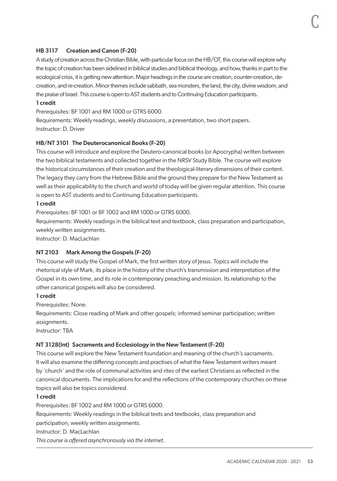# HB 3117 Creation and Canon (F-20)

A study of creation across the Christian Bible, with particular focus on the HB/OT, this course will explore why the topic of creation has been sidelined in biblical studies and biblical theology, and how, thanks in part to the ecological crisis, it is getting new attention. Major headings in the course are creation, counter-creation, decreation, and re-creation. Minor themes include sabbath, sea monsters, the land, the city, divine wisdom, and the praise of Israel. This course is open to AST students and to Continuing Education participants.

#### 1 credit

Prerequisites: BF 1001 and RM 1000 or GTRS 6000.

Requirements: Weekly readings, weekly discussions, a presentation, two short papers. Instructor: D. Driver

#### HB/NT 3101 The Deuterocanonical Books (F-20)

This course will introduce and explore the Deutero-canonical books (or Apocrypha) written between the two biblical testaments and collected together in the NRSV Study Bible. The course will explore the historical circumstances of their creation and the theological-literary dimensions of their content. The legacy they carry from the Hebrew Bible and the ground they prepare for the New Testament as well as their applicability to the church and world of today will be given regular attention. This course is open to AST students and to Continuing Education participants.

#### 1 credit

Prerequisites: BF 1001 or BF 1002 and RM 1000 or GTRS 6000.

Requirements: Weekly readings in the biblical text and textbook, class preparation and participation, weekly written assignments.

Instructor: D. MacLachlan

# NT 2103 Mark Among the Gospels (F-20)

This course will study the Gospel of Mark, the first written story of Jesus. Topics will include the rhetorical style of Mark, its place in the history of the church's transmission and interpretation of the Gospel in its own time, and its role in contemporary preaching and mission. Its relationship to the other canonical gospels will also be considered.

#### 1 credit

Prerequisites: None.

Requirements: Close reading of Mark and other gospels; informed seminar participation; written assignments.

Instructor: TBA

# NT 3128(Int) Sacraments and Ecclesiology in the New Testament (F-20)

This course will explore the New Testament foundation and meaning of the church's sacraments. It will also examine the differing concepts and practises of what the New Testament writers meant by 'church' and the role of communal activities and rites of the earliest Christians as reflected in the canonical documents. The implications for and the reflections of the contemporary churches on these topics will also be topics considered.

#### 1 credit

Prerequisites: BF 1002 and RM 1000 or GTRS 6000. Requirements: Weekly readings in the biblical texts and textbooks, class preparation and participation, weekly written assignments. Instructor: D. MacLachlan *This course is offered asynchronously via the internet.*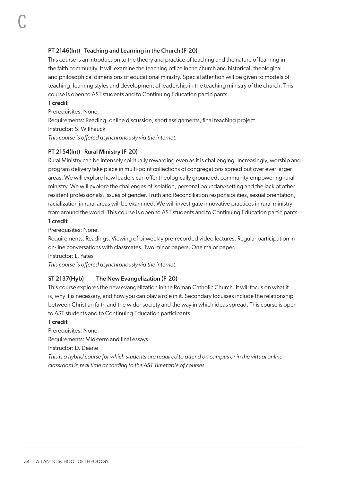# PT 2146(Int) Teaching and Learning in the Church (F-20)

This course is an introduction to the theory and practice of teaching and the nature of learning in the faith community. It will examine the teaching office in the church and historical, theological and philosophical dimensions of educational ministry. Special attention will be given to models of teaching, learning styles and development of leadership in the teaching ministry of the church. This course is open to AST students and to Continuing Education participants.

#### 1 credit

C

Prerequisites: None.

Requirements: Reading, online discussion, short assignments, final teaching project.

Instructor: S. Willhauck

*This course is offered asynchronously via the internet.*

#### PT 2154(Int) Rural Ministry (F-20)

Rural Ministry can be intensely spiritually rewarding even as it is challenging. Increasingly, worship and program delivery take place in multi-point collections of congregations spread out over ever larger areas. We will explore how leaders can offer theologically grounded, community-empowering rural ministry. We will explore the challenges of isolation, personal boundary-setting and the lack of other resident professionals. Issues of gender, Truth and Reconciliation responsibilities, sexual orientation, racialization in rural areas will be examined. We will investigate innovative practices in rural ministry from around the world. This course is open to AST students and to Continuing Education participants. 1 credit

Prerequisites: None.

Requirements: Readings. Viewing of bi-weekly pre-recorded video lectures. Regular participation in on-line conversations with classmates. Two minor papers. One major paper.

Instructor: L. Yates

*This course is offered asynchronously via the internet.*

#### ST 2137(Hyb) The New Evangelization (F-20)

This course explores the new evangelization in the Roman Catholic Church. It will focus on what it is, why it is necessary, and how you can play a role in it. Secondary focusses include the relationship between Christian faith and the wider society and the way in which ideas spread. This course is open to AST students and to Continuing Education participants.

#### 1 credit

Prerequisites: None.

Requirements: Mid-term and final essays.

Instructor: D. Deane

*This is a hybrid course for which students are required to attend on campus or in the virtual online classroom in real time according to the AST Timetable of courses.*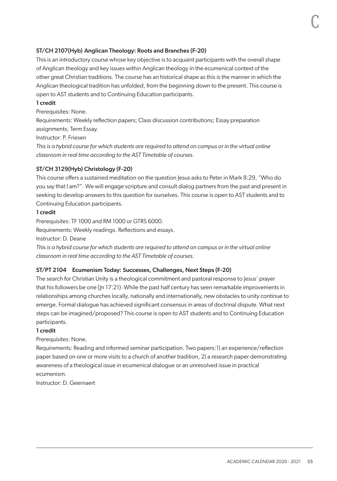# ST/CH 2107(Hyb) Anglican Theology: Roots and Branches (F-20)

This is an introductory course whose key objective is to acquaint participants with the overall shape of Anglican theology and key issues within Anglican theology in the ecumenical context of the other great Christian traditions. The course has an historical shape as this is the manner in which the Anglican theological tradition has unfolded, from the beginning down to the present. This course is open to AST students and to Continuing Education participants.

# 1 credit

Prerequisites: None.

Requirements: Weekly reflection papers; Class discussion contributions; Essay preparation assignments; Term Essay.

Instructor: P. Friesen

*This is a hybrid course for which students are required to attend on campus or in the virtual online classroom in real time according to the AST Timetable of courses.*

#### ST/CH 3129(Hyb) Christology (F-20)

This course offers a sustained meditation on the question Jesus asks to Peter in Mark 8:29, "Who do you say that I am?". We will engage scripture and consult dialog partners from the past and present in seeking to develop answers to this question for ourselves. This course is open to AST students and to Continuing Education participants.

#### 1 credit

Prerequisites: TF 1000 and RM 1000 or GTRS 6000.

Requirements: Weekly readings. Reflections and essays.

Instructor: D. Deane

*This is a hybrid course for which students are required to attend on campus or in the virtual online classroom in real time according to the AST Timetable of courses.*

### ST/PT 2104 Ecumenism Today: Successes, Challenges, Next Steps (F-20)

The search for Christian Unity is a theological commitment and pastoral response to Jesus' prayer that his followers be one (Jn 17:21). While the past half century has seen remarkable improvements in relationships among churches locally, nationally and internationally, new obstacles to unity continue to emerge. Formal dialogue has achieved significant consensus in areas of doctrinal dispute. What next steps can be imagined/proposed? This course is open to AST students and to Continuing Education participants.

#### 1 credit

Prerequisites: None.

Requirements: Reading and informed seminar participation. Two papers:1) an experience/reflection paper based on one or more visits to a church of another tradition, 2) a research paper demonstrating awareness of a theological issue in ecumenical dialogue or an unresolved issue in practical ecumenism.

Instructor: D. Geernaert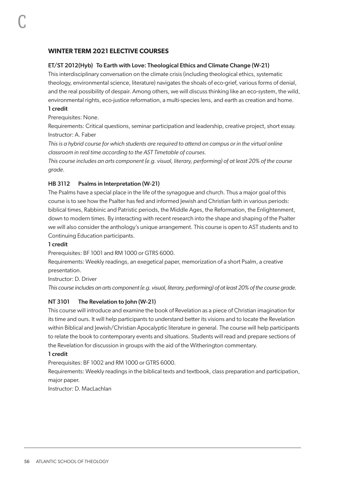# **WINTER TERM 2021 ELECTIVE COURSES**

# ET/ST 2012(Hyb) To Earth with Love: Theological Ethics and Climate Change (W-21)

This interdisciplinary conversation on the climate crisis (including theological ethics, systematic theology, environmental science, literature) navigates the shoals of eco-grief, various forms of denial, and the real possibility of despair. Among others, we will discuss thinking like an eco-system, the wild, environmental rights, eco-justice reformation, a multi-species lens, and earth as creation and home.

#### 1 credit

C

Prerequisites: None.

Requirements: Critical questions, seminar participation and leadership, creative project, short essay. Instructor: A. Faber

*This is a hybrid course for which students are required to attend on campus or in the virtual online classroom in real time according to the AST Timetable of courses.*

*This course includes an arts component (e.g. visual, literary, performing) of at least 20% of the course grade.*

# HB 3112 Psalms in Interpretation (W-21)

The Psalms have a special place in the life of the synagogue and church. Thus a major goal of this course is to see how the Psalter has fed and informed Jewish and Christian faith in various periods: biblical times, Rabbinic and Patristic periods, the Middle Ages, the Reformation, the Enlightenment, down to modern times. By interacting with recent research into the shape and shaping of the Psalter we will also consider the anthology's unique arrangement. This course is open to AST students and to Continuing Education participants.

#### 1 credit

Prerequisites: BF 1001 and RM 1000 or GTRS 6000.

Requirements: Weekly readings, an exegetical paper, memorization of a short Psalm, a creative presentation.

# Instructor: D. Driver

*This course includes an arts component (e.g. visual, literary, performing) of at least 20% of the course grade.*

# NT 3101 The Revelation to John (W-21)

This course will introduce and examine the book of Revelation as a piece of Christian imagination for its time and ours. It will help participants to understand better its visions and to locate the Revelation within Biblical and Jewish/Christian Apocalyptic literature in general. The course will help participants to relate the book to contemporary events and situations. Students will read and prepare sections of the Revelation for discussion in groups with the aid of the Witherington commentary.

#### 1 credit

Prerequisites: BF 1002 and RM 1000 or GTRS 6000.

Requirements: Weekly readings in the biblical texts and textbook, class preparation and participation, major paper.

Instructor: D. MacLachlan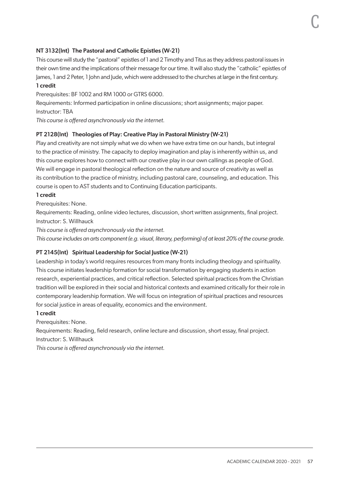# NT 3132(Int) The Pastoral and Catholic Epistles (W-21)

This course will study the "pastoral" epistles of 1 and 2 Timothy and Titus as they address pastoral issues in their own time and the implications of their message for our time. It will also study the "catholic" epistles of James, 1 and 2 Peter, 1 John and Jude, which were addressed to the churches at large in the first century.

#### 1 credit

Prerequisites: BF 1002 and RM 1000 or GTRS 6000.

Requirements: Informed participation in online discussions; short assignments; major paper. Instructor: TBA

*This course is offered asynchronously via the internet.*

#### PT 2128(Int) Theologies of Play: Creative Play in Pastoral Ministry (W-21)

Play and creativity are not simply what we do when we have extra time on our hands, but integral to the practice of ministry. The capacity to deploy imagination and play is inherently within us, and this course explores how to connect with our creative play in our own callings as people of God. We will engage in pastoral theological reflection on the nature and source of creativity as well as its contribution to the practice of ministry, including pastoral care, counseling, and education. This course is open to AST students and to Continuing Education participants.

#### 1 credit

Prerequisites: None.

Requirements: Reading, online video lectures, discussion, short written assignments, final project. Instructor: S. Willhauck

*This course is offered asynchronously via the internet.*

*This course includes an arts component (e.g. visual, literary, performing) of at least 20% of the course grade.*

#### PT 2145(Int) Spiritual Leadership for Social Justice (W-21)

Leadership in today's world requires resources from many fronts including theology and spirituality. This course initiates leadership formation for social transformation by engaging students in action research, experiential practices, and critical reflection. Selected spiritual practices from the Christian tradition will be explored in their social and historical contexts and examined critically for their role in contemporary leadership formation. We will focus on integration of spiritual practices and resources for social justice in areas of equality, economics and the environment.

#### 1 credit

Prerequisites: None.

Requirements: Reading, field research, online lecture and discussion, short essay, final project. Instructor: S. Willhauck

*This course is offered asynchronously via the internet.*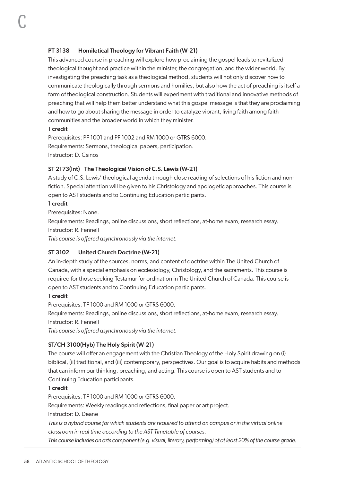# PT 3138 Homiletical Theology for Vibrant Faith (W-21)

This advanced course in preaching will explore how proclaiming the gospel leads to revitalized theological thought and practice within the minister, the congregation, and the wider world. By investigating the preaching task as a theological method, students will not only discover how to communicate theologically through sermons and homilies, but also how the act of preaching is itself a form of theological construction. Students will experiment with traditional and innovative methods of preaching that will help them better understand what this gospel message is that they are proclaiming and how to go about sharing the message in order to catalyze vibrant, living faith among faith communities and the broader world in which they minister.

#### 1 credit

C

Prerequisites: PF 1001 and PF 1002 and RM 1000 or GTRS 6000. Requirements: Sermons, theological papers, participation. Instructor: D. Csinos

#### ST 2173(Int) The Theological Vision of C.S. Lewis (W-21)

A study of C.S. Lewis' theological agenda through close reading of selections of his fiction and nonfiction. Special attention will be given to his Christology and apologetic approaches. This course is open to AST students and to Continuing Education participants.

#### 1 credit

Prerequisites: None.

Requirements: Readings, online discussions, short reflections, at-home exam, research essay. Instructor: R. Fennell

*This course is offered asynchronously via the internet.*

# ST 3102 United Church Doctrine (W-21)

An in-depth study of the sources, norms, and content of doctrine within The United Church of Canada, with a special emphasis on ecclesiology, Christology, and the sacraments. This course is required for those seeking Testamur for ordination in The United Church of Canada. This course is open to AST students and to Continuing Education participants.

#### 1 credit

Prerequisites: TF 1000 and RM 1000 or GTRS 6000. Requirements: Readings, online discussions, short reflections, at-home exam, research essay. Instructor: R. Fennell *This course is offered asynchronously via the internet.*

# ST/CH 3100(Hyb) The Holy Spirit (W-21)

The course will offer an engagement with the Christian Theology of the Holy Spirit drawing on (i) biblical, (ii) traditional, and (iii) contemporary, perspectives. Our goal is to acquire habits and methods that can inform our thinking, preaching, and acting. This course is open to AST students and to Continuing Education participants.

# 1 credit

Prerequisites: TF 1000 and RM 1000 or GTRS 6000. Requirements: Weekly readings and reflections, final paper or art project. Instructor: D. Deane *This is a hybrid course for which students are required to attend on campus or in the virtual online classroom in real time according to the AST Timetable of courses.*

*This course includes an arts component (e.g. visual, literary, performing) of at least 20% of the course grade.*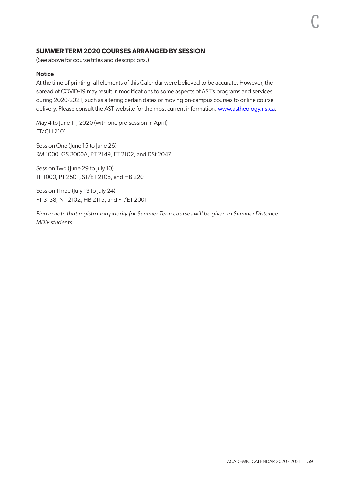# **SUMMER TERM 2020 COURSES ARRANGED BY SESSION**

(See above for course titles and descriptions.)

#### **Notice**

At the time of printing, all elements of this Calendar were believed to be accurate. However, the spread of COVID-19 may result in modifications to some aspects of AST's programs and services during 2020-2021, such as altering certain dates or moving on-campus courses to online course delivery. Please consult the AST website for the most current information: [www.astheology.ns.ca](http://www.astheology.ns.ca).

May 4 to June 11, 2020 (with one pre-session in April) ET/CH 2101

Session One (June 15 to June 26) RM 1000, GS 3000A, PT 2149, ET 2102, and DSt 2047

Session Two (June 29 to July 10) TF 1000, PT 2501, ST/ET 2106, and HB 2201

Session Three (July 13 to July 24) PT 3138, NT 2102, HB 2115, and PT/ET 2001

*Please note that registration priority for Summer Term courses will be given to Summer Distance MDiv students.*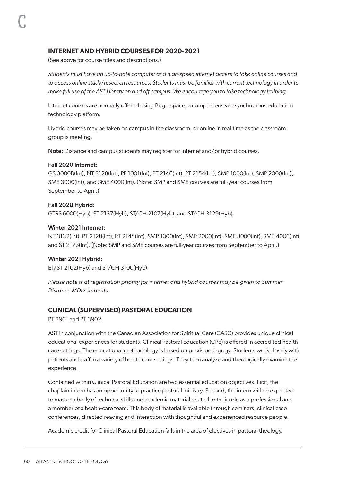# **INTERNET AND HYBRID COURSES FOR 2020-2021**

(See above for course titles and descriptions.)

*Students must have an up-to-date computer and high-speed internet access to take online courses and to access online study/research resources. Students must be familiar with current technology in order to make full use of the AST Library on and off campus. We encourage you to take technology training.*

Internet courses are normally offered using Brightspace, a comprehensive asynchronous education technology platform.

Hybrid courses may be taken on campus in the classroom, or online in real time as the classroom group is meeting.

Note: Distance and campus students may register for internet and/or hybrid courses.

#### Fall 2020 Internet:

C

GS 3000B(Int), NT 3128(Int), PF 1001(Int), PT 2146(Int), PT 2154(Int), SMP 1000(Int), SMP 2000(Int), SME 3000(Int), and SME 4000(Int). (Note: SMP and SME courses are full-year courses from September to April.)

#### Fall 2020 Hybrid:

GTRS 6000(Hyb), ST 2137(Hyb), ST/CH 2107(Hyb), and ST/CH 3129(Hyb).

#### Winter 2021 Internet:

NT 3132(Int), PT 2128(Int), PT 2145(Int), SMP 1000(Int), SMP 2000(Int), SME 3000(Int), SME 4000(Int) and ST 2173(Int). (Note: SMP and SME courses are full-year courses from September to April.)

#### Winter 2021 Hybrid:

ET/ST 2102(Hyb) and ST/CH 3100(Hyb).

*Please note that registration priority for internet and hybrid courses may be given to Summer Distance MDiv students.*

# **CLINICAL (SUPERVISED) PASTORAL EDUCATION**

PT 3901 and PT 3902

AST in conjunction with the Canadian Association for Spiritual Care (CASC) provides unique clinical educational experiences for students. Clinical Pastoral Education (CPE) is offered in accredited health care settings. The educational methodology is based on praxis pedagogy. Students work closely with patients and staff in a variety of health care settings. They then analyze and theologically examine the experience.

Contained within Clinical Pastoral Education are two essential education objectives. First, the chaplain-intern has an opportunity to practice pastoral ministry. Second, the intern will be expected to master a body of technical skills and academic material related to their role as a professional and a member of a health-care team. This body of material is available through seminars, clinical case conferences, directed reading and interaction with thoughtful and experienced resource people.

Academic credit for Clinical Pastoral Education falls in the area of electives in pastoral theology.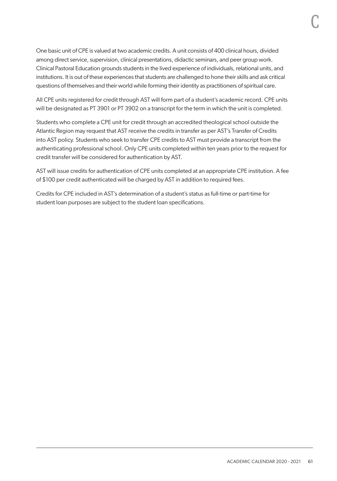One basic unit of CPE is valued at two academic credits. A unit consists of 400 clinical hours, divided among direct service, supervision, clinical presentations, didactic seminars, and peer group work. Clinical Pastoral Education grounds students in the lived experience of individuals, relational units, and institutions. It is out of these experiences that students are challenged to hone their skills and ask critical questions of themselves and their world while forming their identity as practitioners of spiritual care.

All CPE units registered for credit through AST will form part of a student's academic record. CPE units will be designated as PT 3901 or PT 3902 on a transcript for the term in which the unit is completed.

Students who complete a CPE unit for credit through an accredited theological school outside the Atlantic Region may request that AST receive the credits in transfer as per AST's Transfer of Credits into AST policy. Students who seek to transfer CPE credits to AST must provide a transcript from the authenticating professional school. Only CPE units completed within ten years prior to the request for credit transfer will be considered for authentication by AST.

AST will issue credits for authentication of CPE units completed at an appropriate CPE institution. A fee of \$100 per credit authenticated will be charged by AST in addition to required fees.

Credits for CPE included in AST's determination of a student's status as full-time or part-time for student loan purposes are subject to the student loan specifications.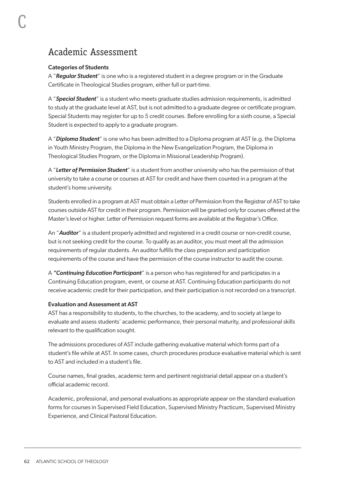# Academic Assessment

# Categories of Students

C

A "*Regular Student*" is one who is a registered student in a degree program or in the Graduate Certificate in Theological Studies program, either full or part-time.

A "*Special Student*" is a student who meets graduate studies admission requirements, is admitted to study at the graduate level at AST, but is not admitted to a graduate degree or certificate program. Special Students may register for up to 5 credit courses. Before enrolling for a sixth course, a Special Student is expected to apply to a graduate program.

A "*Diploma Student*" is one who has been admitted to a Diploma program at AST (e.g. the Diploma in Youth Ministry Program, the Diploma in the New Evangelization Program, the Diploma in Theological Studies Program, or the Diploma in Missional Leadership Program).

A "*Letter of Permission Student*" is a student from another university who has the permission of that university to take a course or courses at AST for credit and have them counted in a program at the student's home university.

Students enrolled in a program at AST must obtain a Letter of Permission from the Registrar of AST to take courses outside AST for credit in their program. Permission will be granted only for courses offered at the Master's level or higher. Letter of Permission request forms are available at the Registrar's Office.

An "*Auditor*" is a student properly admitted and registered in a credit course or non-credit course, but is not seeking credit for the course. To qualify as an auditor, you must meet all the admission requirements of regular students. An auditor fulfills the class preparation and participation requirements of the course and have the permission of the course instructor to audit the course.

A *"Continuing Education Participant*" is a person who has registered for and participates in a Continuing Education program, event, or course at AST. Continuing Education participants do not receive academic credit for their participation, and their participation is not recorded on a transcript.

#### Evaluation and Assessment at AST

AST has a responsibility to students, to the churches, to the academy, and to society at large to evaluate and assess students' academic performance, their personal maturity, and professional skills relevant to the qualification sought.

The admissions procedures of AST include gathering evaluative material which forms part of a student's file while at AST. In some cases, church procedures produce evaluative material which is sent to AST and included in a student's file.

Course names, final grades, academic term and pertinent registrarial detail appear on a student's official academic record.

Academic, professional, and personal evaluations as appropriate appear on the standard evaluation forms for courses in Supervised Field Education, Supervised Ministry Practicum, Supervised Ministry Experience, and Clinical Pastoral Education.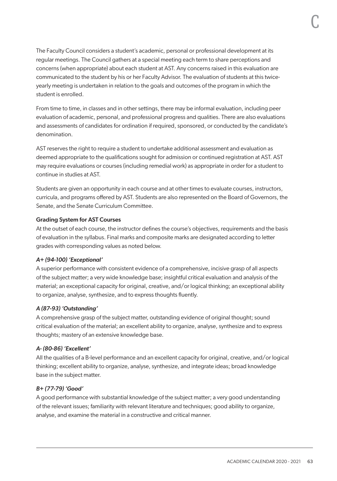The Faculty Council considers a student's academic, personal or professional development at its regular meetings. The Council gathers at a special meeting each term to share perceptions and concerns (when appropriate) about each student at AST. Any concerns raised in this evaluation are communicated to the student by his or her Faculty Advisor. The evaluation of students at this twiceyearly meeting is undertaken in relation to the goals and outcomes of the program in which the student is enrolled.

From time to time, in classes and in other settings, there may be informal evaluation, including peer evaluation of academic, personal, and professional progress and qualities. There are also evaluations and assessments of candidates for ordination if required, sponsored, or conducted by the candidate's denomination.

AST reserves the right to require a student to undertake additional assessment and evaluation as deemed appropriate to the qualifications sought for admission or continued registration at AST. AST may require evaluations or courses (including remedial work) as appropriate in order for a student to continue in studies at AST.

Students are given an opportunity in each course and at other times to evaluate courses, instructors, curricula, and programs offered by AST. Students are also represented on the Board of Governors, the Senate, and the Senate Curriculum Committee.

#### Grading System for AST Courses

At the outset of each course, the instructor defines the course's objectives, requirements and the basis of evaluation in the syllabus. Final marks and composite marks are designated according to letter grades with corresponding values as noted below.

# *A+ (94-100) 'Exceptional'*

A superior performance with consistent evidence of a comprehensive, incisive grasp of all aspects of the subject matter; a very wide knowledge base; insightful critical evaluation and analysis of the material; an exceptional capacity for original, creative, and/or logical thinking; an exceptional ability to organize, analyse, synthesize, and to express thoughts fluently.

# *A (87-93) 'Outstanding'*

A comprehensive grasp of the subject matter, outstanding evidence of original thought; sound critical evaluation of the material; an excellent ability to organize, analyse, synthesize and to express thoughts; mastery of an extensive knowledge base.

#### *A- (80-86) 'Excellent'*

All the qualities of a B-level performance and an excellent capacity for original, creative, and/or logical thinking; excellent ability to organize, analyse, synthesize, and integrate ideas; broad knowledge base in the subject matter.

#### *B+ (77-79) 'Good'*

A good performance with substantial knowledge of the subject matter; a very good understanding of the relevant issues; familiarity with relevant literature and techniques; good ability to organize, analyse, and examine the material in a constructive and critical manner.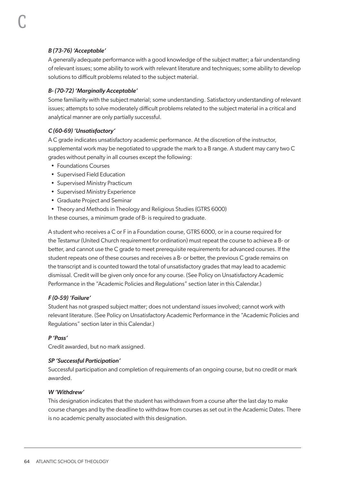# *B (73-76) 'Acceptable'*

C

A generally adequate performance with a good knowledge of the subject matter; a fair understanding of relevant issues; some ability to work with relevant literature and techniques; some ability to develop solutions to difficult problems related to the subject material.

# *B- (70-72) 'Marginally Acceptable'*

Some familiarity with the subject material; some understanding. Satisfactory understanding of relevant issues; attempts to solve moderately difficult problems related to the subject material in a critical and analytical manner are only partially successful.

# *C (60-69) 'Unsatisfactory'*

A C grade indicates unsatisfactory academic performance. At the discretion of the instructor, supplemental work may be negotiated to upgrade the mark to a B range. A student may carry two C grades without penalty in all courses except the following:

- Foundations Courses
- Supervised Field Education
- Supervised Ministry Practicum
- Supervised Ministry Experience
- Graduate Project and Seminar
- Theory and Methods in Theology and Religious Studies (GTRS 6000)

In these courses, a minimum grade of B- is required to graduate.

A student who receives a C or F in a Foundation course, GTRS 6000, or in a course required for the Testamur (United Church requirement for ordination) must repeat the course to achieve a B- or better, and cannot use the C grade to meet prerequisite requirements for advanced courses. If the student repeats one of these courses and receives a B- or better, the previous C grade remains on the transcript and is counted toward the total of unsatisfactory grades that may lead to academic dismissal. Credit will be given only once for any course. (See Policy on Unsatisfactory Academic Performance in the "Academic Policies and Regulations" section later in this Calendar.)

# *F (0-59) 'Failure'*

Student has not grasped subject matter; does not understand issues involved; cannot work with relevant literature. (See Policy on Unsatisfactory Academic Performance in the "Academic Policies and Regulations" section later in this Calendar.)

# *P 'Pass'*

Credit awarded, but no mark assigned.

# *SP 'Successful Participation'*

Successful participation and completion of requirements of an ongoing course, but no credit or mark awarded.

# *W 'Withdrew'*

This designation indicates that the student has withdrawn from a course after the last day to make course changes and by the deadline to withdraw from courses as set out in the Academic Dates. There is no academic penalty associated with this designation.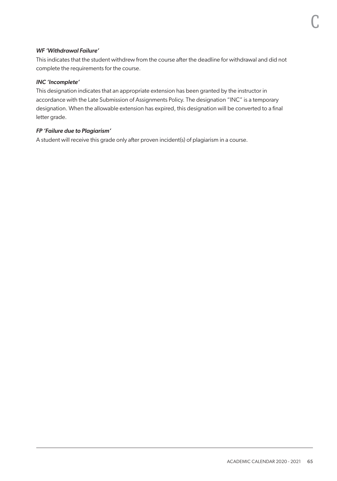# *WF 'Withdrawal Failure'*

This indicates that the student withdrew from the course after the deadline for withdrawal and did not complete the requirements for the course.

#### *INC 'Incomplete'*

This designation indicates that an appropriate extension has been granted by the instructor in accordance with the Late Submission of Assignments Policy. The designation "INC" is a temporary designation. When the allowable extension has expired, this designation will be converted to a final letter grade.

#### *FP 'Failure due to Plagiarism'*

A student will receive this grade only after proven incident(s) of plagiarism in a course.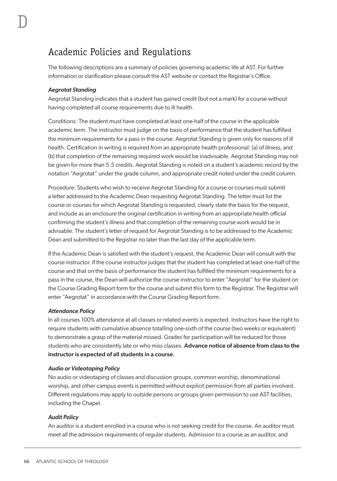# Academic Policies and Regulations

The following descriptions are a summary of policies governing academic life at AST. For further information or clarification please consult the AST website or contact the Registrar's Office.

# *Aegrotat Standing*

Aegrotat Standing indicates that a student has gained credit (but not a mark) for a course without having completed all course requirements due to ill health.

Conditions: The student must have completed at least one-half of the course in the applicable academic term. The instructor must judge on the basis of performance that the student has fulfilled the minimum requirements for a pass in the course. Aegrotat Standing is given only for reasons of ill health. Certification in writing is required from an appropriate health professional: (a) of illness, and (b) that completion of the remaining required work would be inadvisable. Aegrotat Standing may not be given for more than 5.5 credits. Aegrotat Standing is noted on a student's academic record by the notation "Aegrotat" under the grade column, and appropriate credit noted under the credit column.

Procedure: Students who wish to receive Aegrotat Standing for a course or courses must submit a letter addressed to the Academic Dean requesting Aegrotat Standing. The letter must list the course or courses for which Aegrotat Standing is requested, clearly state the basis for the request, and include as an enclosure the original certification in writing from an appropriate health official confirming the student's illness and that completion of the remaining course work would be in advisable. The student's letter of request for Aegrotat Standing is to be addressed to the Academic Dean and submitted to the Registrar no later than the last day of the applicable term.

If the Academic Dean is satisfied with the student's request, the Academic Dean will consult with the course instructor. If the course instructor judges that the student has completed at least one-half of the course and that on the basis of performance the student has fulfilled the minimum requirements for a pass in the course, the Dean will authorize the course instructor to enter "Aegrotat" for the student on the Course Grading Report form for the course and submit this form to the Registrar. The Registrar will enter "Aegrotat" in accordance with the Course Grading Report form.

#### *Attendance Policy*

In all courses 100% attendance at all classes or related events is expected. Instructors have the right to require students with cumulative absence totalling one-sixth of the course (two weeks or equivalent) to demonstrate a grasp of the material missed. Grades for participation will be reduced for those students who are consistently late or who miss classes. Advance notice of absence from class to the instructor is expected of all students in a course.

#### *Audio or Videotaping Policy*

No audio or videotaping of classes and discussion groups, common worship, denominational worship, and other campus events is permitted without explicit permission from all parties involved. Different regulations may apply to outside persons or groups given permission to use AST facilities, including the Chapel.

# *Audit Policy*

An auditor is a student enrolled in a course who is not seeking credit for the course. An auditor must meet all the admission requirements of regular students. Admission to a course as an auditor, and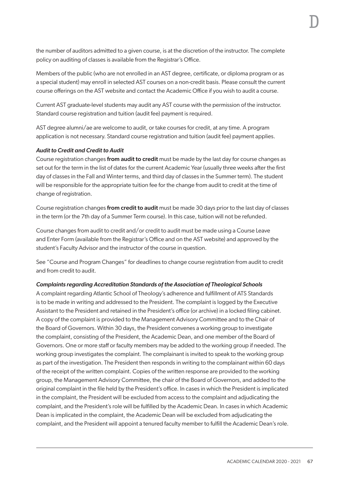Members of the public (who are not enrolled in an AST degree, certificate, or diploma program or as a special student) may enroll in selected AST courses on a non-credit basis. Please consult the current course offerings on the AST website and contact the Academic Office if you wish to audit a course.

Current AST graduate-level students may audit any AST course with the permission of the instructor. Standard course registration and tuition (audit fee) payment is required.

AST degree alumni/ae are welcome to audit, or take courses for credit, at any time. A program application is not necessary. Standard course registration and tuition (audit fee) payment applies.

# *Audit to Credit and Credit to Audit*

Course registration changes from audit to credit must be made by the last day for course changes as set out for the term in the list of dates for the current Academic Year (usually three weeks after the first day of classes in the Fall and Winter terms, and third day of classes in the Summer term). The student will be responsible for the appropriate tuition fee for the change from audit to credit at the time of change of registration.

Course registration changes from credit to audit must be made 30 days prior to the last day of classes in the term (or the 7th day of a Summer Term course). In this case, tuition will not be refunded.

Course changes from audit to credit and/or credit to audit must be made using a Course Leave and Enter Form (available from the Registrar's Office and on the AST website) and approved by the student's Faculty Advisor and the instructor of the course in question.

See "Course and Program Changes" for deadlines to change course registration from audit to credit and from credit to audit.

# *Complaints regarding Accreditation Standards of the Association of Theological Schools*

A complaint regarding Atlantic School of Theology's adherence and fulfillment of ATS Standards is to be made in writing and addressed to the President. The complaint is logged by the Executive Assistant to the President and retained in the President's office (or archive) in a locked filing cabinet. A copy of the complaint is provided to the Management Advisory Committee and to the Chair of the Board of Governors. Within 30 days, the President convenes a working group to investigate the complaint, consisting of the President, the Academic Dean, and one member of the Board of Governors. One or more staff or faculty members may be added to the working group if needed. The working group investigates the complaint. The complainant is invited to speak to the working group as part of the investigation. The President then responds in writing to the complainant within 60 days of the receipt of the written complaint. Copies of the written response are provided to the working group, the Management Advisory Committee, the chair of the Board of Governors, and added to the original complaint in the file held by the President's office. In cases in which the President is implicated in the complaint, the President will be excluded from access to the complaint and adjudicating the complaint, and the President's role will be fulfilled by the Academic Dean. In cases in which Academic Dean is implicated in the complaint, the Academic Dean will be excluded from adjudicating the complaint, and the President will appoint a tenured faculty member to fulfill the Academic Dean's role. D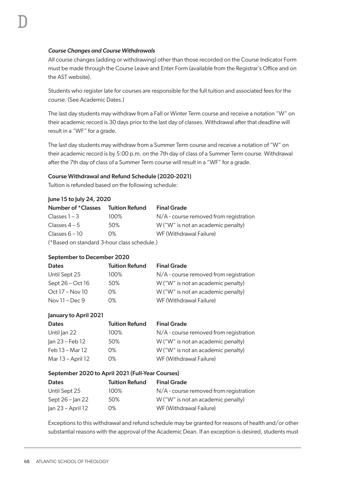#### *Course Changes and Course Withdrawals*

All course changes (adding or withdrawing) other than those recorded on the Course Indicator Form must be made through the Course Leave and Enter Form (available from the Registrar's Office and on the AST website).

Students who register late for courses are responsible for the full tuition and associated fees for the course. (See Academic Dates.)

The last day students may withdraw from a Fall or Winter Term course and receive a notation "W" on their academic record is 30 days prior to the last day of classes. Withdrawal after that deadline will result in a "WF" for a grade.

The last day students may withdraw from a Summer Term course and receive a notation of "W" on their academic record is by 5:00 p.m. on the 7th day of class of a Summer Term course. Withdrawal after the 7th day of class of a Summer Term course will result in a "WF" for a grade.

# Course Withdrawal and Refund Schedule (2020-2021)

Tuition is refunded based on the following schedule:

| June 15 to July 24, 2020 |                       |                                          |  |
|--------------------------|-----------------------|------------------------------------------|--|
| Number of *Classes       | <b>Tuition Refund</b> | <b>Final Grade</b>                       |  |
| Classes $1 - 3$          | 100%                  | $N/A$ - course removed from registration |  |
| Classes $4-5$            | 50%                   | W ("W" is not an academic penalty)       |  |
| Classes $6 - 10$         | O%                    | WF (Withdrawal Failure)                  |  |
| (5R)                     |                       |                                          |  |

(\*Based on standard 3-hour class schedule.)

# September to December 2020

| <b>Tuition Refund</b> | <b>Final Grade</b>                       |
|-----------------------|------------------------------------------|
| 100%                  | $N/A$ - course removed from registration |
| 50%                   | W ("W" is not an academic penalty)       |
| 0%                    | W ("W" is not an academic penalty)       |
| 0%                    | WF (Withdrawal Failure)                  |
|                       |                                          |

#### January to April 2021

| <b>Dates</b>      | <b>Tuition Refund</b> | <b>Final Grade</b>                     |
|-------------------|-----------------------|----------------------------------------|
| Until Jan 22      | 100%                  | N/A - course removed from registration |
| Jan 23 – Feb 12   | 50%                   | W ("W" is not an academic penalty)     |
| Feb 13 – Mar 12   | 0%                    | W ("W" is not an academic penalty)     |
| Mar 13 – April 12 | 0%                    | WF (Withdrawal Failure)                |

#### September 2020 to April 2021 (Full-Year Courses)

| <b>Dates</b>         | <b>Tuition Refund</b> | <b>Final Grade</b>                       |
|----------------------|-----------------------|------------------------------------------|
| Until Sept 25        | 100%                  | $N/A$ - course removed from registration |
| Sept $26$ – $\ln 22$ | 50%                   | W ("W" is not an academic penalty)       |
| Jan 23 – April 12    | 0%                    | WF (Withdrawal Failure)                  |

Exceptions to this withdrawal and refund schedule may be granted for reasons of health and/or other substantial reasons with the approval of the Academic Dean. If an exception is desired, students must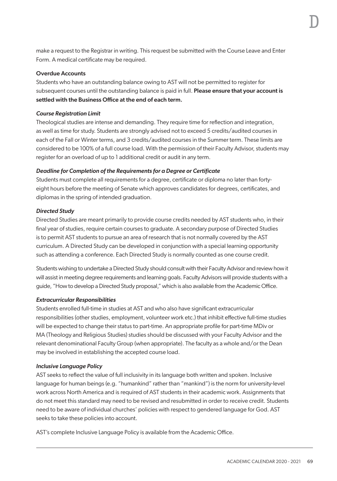make a request to the Registrar in writing. This request be submitted with the Course Leave and Enter Form. A medical certificate may be required.

#### Overdue Accounts

Students who have an outstanding balance owing to AST will not be permitted to register for subsequent courses until the outstanding balance is paid in full. Please ensure that your account is settled with the Business Office at the end of each term.

#### *Course Registration Limit*

Theological studies are intense and demanding. They require time for reflection and integration, as well as time for study. Students are strongly advised not to exceed 5 credits/audited courses in each of the Fall or Winter terms, and 3 credits/audited courses in the Summer term. These limits are considered to be 100% of a full course load. With the permission of their Faculty Advisor, students may register for an overload of up to 1 additional credit or audit in any term.

# *Deadline for Completion of the Requirements for a Degree or Certificate*

Students must complete all requirements for a degree, certificate or diploma no later than fortyeight hours before the meeting of Senate which approves candidates for degrees, certificates, and diplomas in the spring of intended graduation.

# *Directed Study*

Directed Studies are meant primarily to provide course credits needed by AST students who, in their final year of studies, require certain courses to graduate. A secondary purpose of Directed Studies is to permit AST students to pursue an area of research that is not normally covered by the AST curriculum. A Directed Study can be developed in conjunction with a special learning opportunity such as attending a conference. Each Directed Study is normally counted as one course credit.

Students wishing to undertake a Directed Study should consult with their Faculty Advisor and review how it will assist in meeting degree requirements and learning goals. Faculty Advisors will provide students with a guide, "How to develop a Directed Study proposal," which is also available from the Academic Office.

# *Extracurricular Responsibilities*

Students enrolled full-time in studies at AST and who also have significant extracurricular responsibilities (other studies, employment, volunteer work etc.) that inhibit effective full-time studies will be expected to change their status to part-time. An appropriate profile for part-time MDiv or MA (Theology and Religious Studies) studies should be discussed with your Faculty Advisor and the relevant denominational Faculty Group (when appropriate). The faculty as a whole and/or the Dean may be involved in establishing the accepted course load.

# *Inclusive Language Policy*

AST seeks to reflect the value of full inclusivity in its language both written and spoken. Inclusive language for human beings (e.g. "humankind" rather than "mankind") is the norm for university-level work across North America and is required of AST students in their academic work. Assignments that do not meet this standard may need to be revised and resubmitted in order to receive credit. Students need to be aware of individual churches' policies with respect to gendered language for God. AST seeks to take these policies into account.

AST's complete Inclusive Language Policy is available from the Academic Office.

D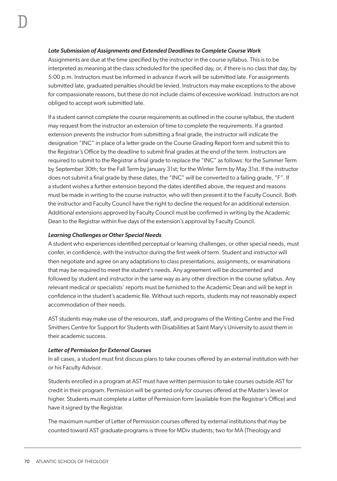#### *Late Submission of Assignments and Extended Deadlines to Complete Course Work*

Assignments are due at the time specified by the instructor in the course syllabus. This is to be interpreted as meaning at the class scheduled for the specified day, or, if there is no class that day, by 5:00 p.m. Instructors must be informed in advance if work will be submitted late. For assignments submitted late, graduated penalties should be levied. Instructors may make exceptions to the above for compassionate reasons, but these do not include claims of excessive workload. Instructors are not obliged to accept work submitted late.

If a student cannot complete the course requirements as outlined in the course syllabus, the student may request from the instructor an extension of time to complete the requirements. If a granted extension prevents the instructor from submitting a final grade, the instructor will indicate the designation "INC" in place of a letter grade on the Course Grading Report form and submit this to the Registrar's Office by the deadline to submit final grades at the end of the term. Instructors are required to submit to the Registrar a final grade to replace the "INC" as follows: for the Summer Term by September 30th; for the Fall Term by January 31st; for the Winter Term by May 31st. If the instructor does not submit a final grade by these dates, the "INC" will be converted to a failing grade, "F". If a student wishes a further extension beyond the dates identified above, the request and reasons must be made in writing to the course instructor, who will then present it to the Faculty Council. Both the instructor and Faculty Council have the right to decline the request for an additional extension. Additional extensions approved by Faculty Council must be confirmed in writing by the Academic Dean to the Registrar within five days of the extension's approval by Faculty Council.

#### *Learning Challenges or Other Special Needs*

A student who experiences identified perceptual or learning challenges, or other special needs, must confer, in confidence, with the instructor during the first week of term. Student and instructor will then negotiate and agree on any adaptations to class presentations, assignments, or examinations that may be required to meet the student's needs. Any agreement will be documented and followed by student and instructor in the same way as any other direction in the course syllabus. Any relevant medical or specialists' reports must be furnished to the Academic Dean and will be kept in confidence in the student's academic file. Without such reports, students may not reasonably expect accommodation of their needs.

AST students may make use of the resources, staff, and programs of the Writing Centre and the Fred Smithers Centre for Support for Students with Disabilities at Saint Mary's University to assist them in their academic success.

#### *Letter of Permission for External Courses*

In all cases, a student must first discuss plans to take courses offered by an external institution with her or his Faculty Advisor.

Students enrolled in a program at AST must have written permission to take courses outside AST for credit in their program. Permission will be granted only for courses offered at the Master's level or higher. Students must complete a Letter of Permission form (available from the Registrar's Office) and have it signed by the Registrar.

The maximum number of Letter of Permission courses offered by external institutions that may be counted toward AST graduate programs is three for MDiv students; two for MA (Theology and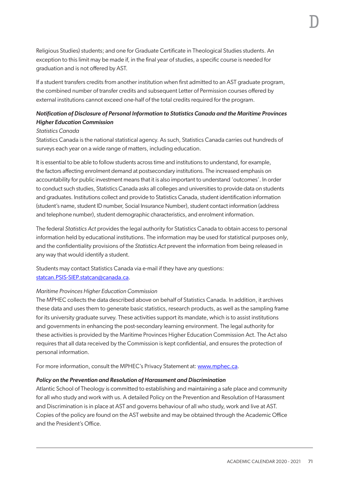Religious Studies) students; and one for Graduate Certificate in Theological Studies students. An exception to this limit may be made if, in the final year of studies, a specific course is needed for graduation and is not offered by AST.

If a student transfers credits from another institution when first admitted to an AST graduate program, the combined number of transfer credits and subsequent Letter of Permission courses offered by external institutions cannot exceed one-half of the total credits required for the program.

# *Notification of Disclosure of Personal Information to Statistics Canada and the Maritime Provinces Higher Education Commission*

#### *Statistics Canada*

Statistics Canada is the national statistical agency. As such, Statistics Canada carries out hundreds of surveys each year on a wide range of matters, including education.

It is essential to be able to follow students across time and institutions to understand, for example, the factors affecting enrolment demand at postsecondary institutions. The increased emphasis on accountability for public investment means that it is also important to understand 'outcomes'. In order to conduct such studies, Statistics Canada asks all colleges and universities to provide data on students and graduates. Institutions collect and provide to Statistics Canada, student identification information (student's name, student ID number, Social Insurance Number), student contact information (address and telephone number), student demographic characteristics, and enrolment information.

The federal *Statistics Act* provides the legal authority for Statistics Canada to obtain access to personal information held by educational institutions. The information may be used for statistical purposes *only*, and the confidentiality provisions of the *Statistics Act* prevent the information from being released in any way that would identify a student.

Students may contact Statistics Canada via e-mail if they have any questions: [statcan.PSIS-SIEP.statcan@canada.ca](mailto:statcan.PSIS-SIEP.statcan@canada.ca).

# *Maritime Provinces Higher Education Commission*

The MPHEC collects the data described above on behalf of Statistics Canada. In addition, it archives these data and uses them to generate basic statistics, research products, as well as the sampling frame for its university graduate survey. These activities support its mandate, which is to assist institutions and governments in enhancing the post-secondary learning environment. The legal authority for these activities is provided by the Maritime Provinces Higher Education Commission Act. The Act also requires that all data received by the Commission is kept confidential, and ensures the protection of personal information.

For more information, consult the MPHEC's Privacy Statement at: [www.mphec.ca](http://www.mphec.ca).

#### *Policy on the Prevention and Resolution of Harassment and Discrimination*

Atlantic School of Theology is committed to establishing and maintaining a safe place and community for all who study and work with us. A detailed Policy on the Prevention and Resolution of Harassment and Discrimination is in place at AST and governs behaviour of all who study, work and live at AST. Copies of the policy are found on the AST website and may be obtained through the Academic Office and the President's Office.

D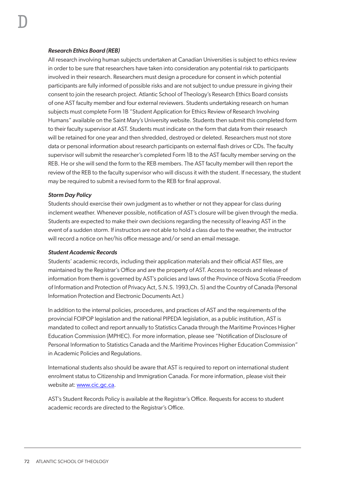#### *Research Ethics Board (REB)*

All research involving human subjects undertaken at Canadian Universities is subject to ethics review in order to be sure that researchers have taken into consideration any potential risk to participants involved in their research. Researchers must design a procedure for consent in which potential participants are fully informed of possible risks and are not subject to undue pressure in giving their consent to join the research project. Atlantic School of Theology's Research Ethics Board consists of one AST faculty member and four external reviewers. Students undertaking research on human subjects must complete Form 1B "Student Application for Ethics Review of Research Involving Humans" available on the Saint Mary's University website. Students then submit this completed form to their faculty supervisor at AST. Students must indicate on the form that data from their research will be retained for one year and then shredded, destroyed or deleted. Researchers must not store data or personal information about research participants on external flash drives or CDs. The faculty supervisor will submit the researcher's completed Form 1B to the AST faculty member serving on the REB. He or she will send the form to the REB members. The AST faculty member will then report the review of the REB to the faculty supervisor who will discuss it with the student. If necessary, the student may be required to submit a revised form to the REB for final approval.

#### *Storm Day Policy*

Students should exercise their own judgment as to whether or not they appear for class during inclement weather. Whenever possible, notification of AST's closure will be given through the media. Students are expected to make their own decisions regarding the necessity of leaving AST in the event of a sudden storm. If instructors are not able to hold a class due to the weather, the instructor will record a notice on her/his office message and/or send an email message.

#### *Student Academic Records*

Students' academic records, including their application materials and their official AST files, are maintained by the Registrar's Office and are the property of AST. Access to records and release of information from them is governed by AST's policies and laws of the Province of Nova Scotia (Freedom of Information and Protection of Privacy Act, S.N.S. 1993,Ch. 5) and the Country of Canada (Personal Information Protection and Electronic Documents Act.)

In addition to the internal policies, procedures, and practices of AST and the requirements of the provincial FOIPOP legislation and the national PIPEDA legislation, as a public institution, AST is mandated to collect and report annually to Statistics Canada through the Maritime Provinces Higher Education Commission (MPHEC). For more information, please see "Notification of Disclosure of Personal Information to Statistics Canada and the Maritime Provinces Higher Education Commission" in Academic Policies and Regulations.

International students also should be aware that AST is required to report on international student enrolment status to Citizenship and Immigration Canada. For more information, please visit their website at: www.cic.gc.ca.

AST's Student Records Policy is available at the Registrar's Office. Requests for access to student academic records are directed to the Registrar's Office.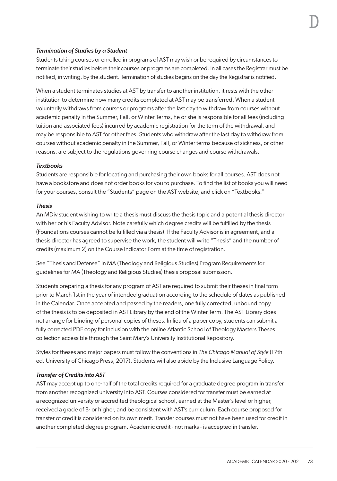#### *Termination of Studies by a Student*

Students taking courses or enrolled in programs of AST may wish or be required by circumstances to terminate their studies before their courses or programs are completed. In all cases the Registrar must be notified, in writing, by the student. Termination of studies begins on the day the Registrar is notified.

When a student terminates studies at AST by transfer to another institution, it rests with the other institution to determine how many credits completed at AST may be transferred. When a student voluntarily withdraws from courses or programs after the last day to withdraw from courses without academic penalty in the Summer, Fall, or Winter Terms, he or she is responsible for all fees (including tuition and associated fees) incurred by academic registration for the term of the withdrawal, and may be responsible to AST for other fees. Students who withdraw after the last day to withdraw from courses without academic penalty in the Summer, Fall, or Winter terms because of sickness, or other reasons, are subject to the regulations governing course changes and course withdrawals.

#### *Textbooks*

Students are responsible for locating and purchasing their own books for all courses. AST does not have a bookstore and does not order books for you to purchase. To find the list of books you will need for your courses, consult the "Students" page on the AST website, and click on "Textbooks."

#### *Thesis*

An MDiv student wishing to write a thesis must discuss the thesis topic and a potential thesis director with her or his Faculty Advisor. Note carefully which degree credits will be fulfilled by the thesis (Foundations courses cannot be fulfilled via a thesis). If the Faculty Advisor is in agreement, and a thesis director has agreed to supervise the work, the student will write "Thesis" and the number of credits (maximum 2) on the Course Indicator Form at the time of registration.

See "Thesis and Defense" in MA (Theology and Religious Studies) Program Requirements for guidelines for MA (Theology and Religious Studies) thesis proposal submission.

Students preparing a thesis for any program of AST are required to submit their theses in final form prior to March 1st in the year of intended graduation according to the schedule of dates as published in the Calendar. Once accepted and passed by the readers, one fully corrected, unbound copy of the thesis is to be deposited in AST Library by the end of the Winter Term. The AST Library does not arrange for binding of personal copies of theses. In lieu of a paper copy, students can submit a fully corrected PDF copy for inclusion with the online Atlantic School of Theology Masters Theses collection accessible through the Saint Mary's University Institutional Repository.

Styles for theses and major papers must follow the conventions in *The Chicago Manual of Style* (17th ed. University of Chicago Press, 2017). Students will also abide by the Inclusive Language Policy.

#### *Transfer of Credits into AST*

AST may accept up to one-half of the total credits required for a graduate degree program in transfer from another recognized university into AST. Courses considered for transfer must be earned at a recognized university or accredited theological school, earned at the Master's level or higher, received a grade of B- or higher, and be consistent with AST's curriculum. Each course proposed for transfer of credit is considered on its own merit. Transfer courses must not have been used for credit in another completed degree program. Academic credit - not marks - is accepted in transfer.

D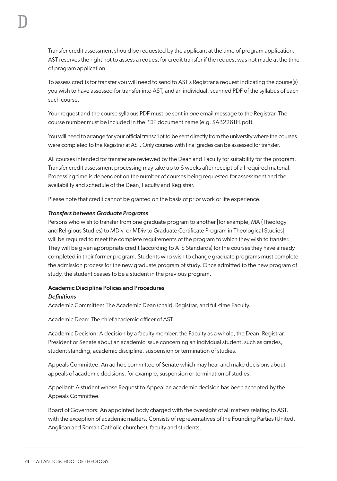Transfer credit assessment should be requested by the applicant at the time of program application. AST reserves the right not to assess a request for credit transfer if the request was not made at the time of program application.

To assess credits for transfer you will need to send to AST's Registrar a request indicating the course(s) you wish to have assessed for transfer into AST, and an individual, scanned PDF of the syllabus of each such course.

Your request and the course syllabus PDF must be sent in *one* email message to the Registrar. The course number must be included in the PDF document name (e.g. SAB2261H.pdf).

You will need to arrange for your official transcript to be sent directly from the university where the courses were completed to the Registrar at AST. Only courses with final grades can be assessed for transfer.

All courses intended for transfer are reviewed by the Dean and Faculty for suitability for the program. Transfer credit assessment processing may take up to 6 weeks after receipt of all required material. Processing time is dependent on the number of courses being requested for assessment and the availability and schedule of the Dean, Faculty and Registrar.

Please note that credit cannot be granted on the basis of prior work or life experience.

#### *Transfers between Graduate Programs*

Persons who wish to transfer from one graduate program to another [for example, MA (Theology and Religious Studies) to MDiv, or MDiv to Graduate Certificate Program in Theological Studies], will be required to meet the complete requirements of the program to which they wish to transfer. They will be given appropriate credit (according to ATS Standards) for the courses they have already completed in their former program. Students who wish to change graduate programs must complete the admission process for the new graduate program of study. Once admitted to the new program of study, the student ceases to be a student in the previous program.

# Academic Discipline Polices and Procedures *Definitions*

Academic Committee: The Academic Dean (chair), Registrar, and full-time Faculty.

Academic Dean: The chief academic officer of AST.

Academic Decision: A decision by a faculty member, the Faculty as a whole, the Dean, Registrar, President or Senate about an academic issue concerning an individual student, such as grades, student standing, academic discipline, suspension or termination of studies.

Appeals Committee: An ad hoc committee of Senate which may hear and make decisions about appeals of academic decisions; for example, suspension or termination of studies.

Appellant: A student whose Request to Appeal an academic decision has been accepted by the Appeals Committee.

Board of Governors: An appointed body charged with the oversight of all matters relating to AST, with the exception of academic matters. Consists of representatives of the Founding Parties (United, Anglican and Roman Catholic churches), faculty and students.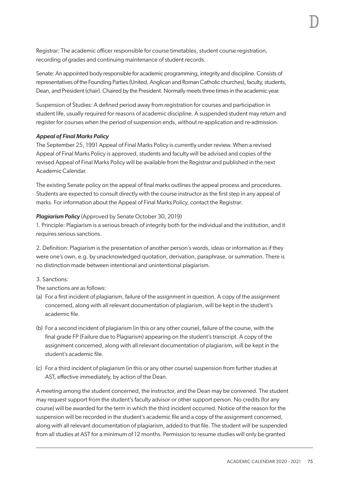Registrar: The academic officer responsible for course timetables, student course registration, recording of grades and continuing maintenance of student records.

Senate: An appointed body responsible for academic programming, integrity and discipline. Consists of representatives of the Founding Parties (United, Anglican and Roman Catholic churches), faculty, students, Dean, and President (chair). Chaired by the President. Normally meets three times in the academic year.

Suspension of Studies: A defined period away from registration for courses and participation in student life, usually required for reasons of academic discipline. A suspended student may return and register for courses when the period of suspension ends, without re-application and re-admission.

#### *Appeal of Final Marks Policy*

The September 25, 1991 Appeal of Final Marks Policy is currently under review. When a revised Appeal of Final Marks Policy is approved, students and faculty will be advised and copies of the revised Appeal of Final Marks Policy will be available from the Registrar and published in the next Academic Calendar.

The existing Senate policy on the appeal of final marks outlines the appeal process and procedures. Students are expected to consult directly with the course instructor as the first step in any appeal of marks. For information about the Appeal of Final Marks Policy, contact the Registrar.

#### *Plagiarism Policy* (Approved by Senate October 30, 2019)

1. Principle: Plagiarism is a serious breach of integrity both for the individual and the institution, and it requires serious sanctions.

2. Definition: Plagiarism is the presentation of another person's words, ideas or information as if they were one's own, e.g. by unacknowledged quotation, derivation, paraphrase, or summation. There is no distinction made between intentional and unintentional plagiarism.

#### 3. Sanctions:

The sanctions are as follows:

- (a) For a first incident of plagiarism, failure of the assignment in question. A copy of the assignment concerned, along with all relevant documentation of plagiarism, will be kept in the student's academic file.
- (b) For a second incident of plagiarism (in this or any other course), failure of the course, with the final grade FP (Failure due to Plagiarism) appearing on the student's transcript. A copy of the assignment concerned, along with all relevant documentation of plagiarism, will be kept in the student's academic file.
- (c) For a third incident of plagiarism (in this or any other course) suspension from further studies at AST, effective immediately, by action of the Dean.

A meeting among the student concerned, the instructor, and the Dean may be convened. The student may request support from the student's faculty advisor or other support person. No credits (for any course) will be awarded for the term in which the third incident occurred. Notice of the reason for the suspension will be recorded in the student's academic file and a copy of the assignment concerned, along with all relevant documentation of plagiarism, added to that file. The student will be suspended from all studies at AST for a minimum of 12 months. Permission to resume studies will only be granted

D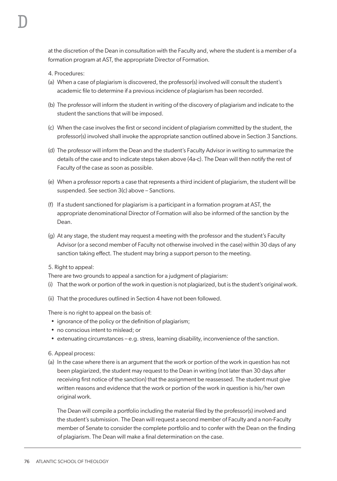4. Procedures:

D

- (a) When a case of plagiarism is discovered, the professor(s) involved will consult the student's academic file to determine if a previous incidence of plagiarism has been recorded.
- (b) The professor will inform the student in writing of the discovery of plagiarism and indicate to the student the sanctions that will be imposed.
- (c) When the case involves the first or second incident of plagiarism committed by the student, the professor(s) involved shall invoke the appropriate sanction outlined above in Section 3 Sanctions.
- (d) The professor will inform the Dean and the student's Faculty Advisor in writing to summarize the details of the case and to indicate steps taken above (4a-c). The Dean will then notify the rest of Faculty of the case as soon as possible.
- (e) When a professor reports a case that represents a third incident of plagiarism, the student will be suspended. See section 3(c) above – Sanctions.
- (f) If a student sanctioned for plagiarism is a participant in a formation program at AST, the appropriate denominational Director of Formation will also be informed of the sanction by the Dean.
- (g) At any stage, the student may request a meeting with the professor and the student's Faculty Advisor (or a second member of Faculty not otherwise involved in the case) within 30 days of any sanction taking effect. The student may bring a support person to the meeting.
- 5. Right to appeal:

There are two grounds to appeal a sanction for a judgment of plagiarism:

- (i) That the work or portion of the work in question is not plagiarized, but is the student's original work.
- (ii) That the procedures outlined in Section 4 have not been followed.

There is no right to appeal on the basis of:

- ignorance of the policy or the definition of plagiarism;
- no conscious intent to mislead; or
- extenuating circumstances e.g. stress, learning disability, inconvenience of the sanction.

6. Appeal process:

(a) In the case where there is an argument that the work or portion of the work in question has not been plagiarized, the student may request to the Dean in writing (not later than 30 days after receiving first notice of the sanction) that the assignment be reassessed. The student must give written reasons and evidence that the work or portion of the work in question is his/her own original work.

The Dean will compile a portfolio including the material filed by the professor(s) involved and the student's submission. The Dean will request a second member of Faculty and a non-Faculty member of Senate to consider the complete portfolio and to confer with the Dean on the finding of plagiarism. The Dean will make a final determination on the case.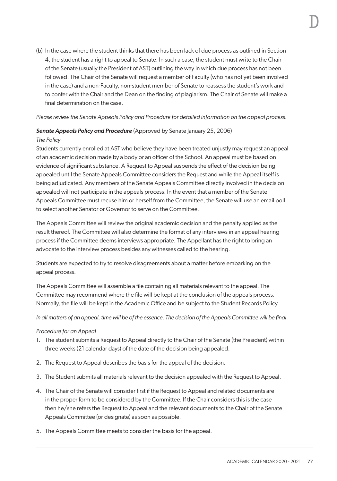(b) In the case where the student thinks that there has been lack of due process as outlined in Section

D

4, the student has a right to appeal to Senate. In such a case, the student must write to the Chair of the Senate (usually the President of AST) outlining the way in which due process has not been followed. The Chair of the Senate will request a member of Faculty (who has not yet been involved in the case) and a non-Faculty, non-student member of Senate to reassess the student's work and to confer with the Chair and the Dean on the finding of plagiarism. The Chair of Senate will make a final determination on the case.

# *Please review the Senate Appeals Policy and Procedure for detailed information on the appeal process.*

# **Senate Appeals Policy and Procedure** (Approved by Senate January 25, 2006)

# *The Policy*

Students currently enrolled at AST who believe they have been treated unjustly may request an appeal of an academic decision made by a body or an officer of the School. An appeal must be based on evidence of significant substance. A Request to Appeal suspends the effect of the decision being appealed until the Senate Appeals Committee considers the Request and while the Appeal itself is being adjudicated. Any members of the Senate Appeals Committee directly involved in the decision appealed will not participate in the appeals process. In the event that a member of the Senate Appeals Committee must recuse him or herself from the Committee, the Senate will use an email poll to select another Senator or Governor to serve on the Committee.

The Appeals Committee will review the original academic decision and the penalty applied as the result thereof. The Committee will also determine the format of any interviews in an appeal hearing process if the Committee deems interviews appropriate. The Appellant has the right to bring an advocate to the interview process besides any witnesses called to the hearing.

Students are expected to try to resolve disagreements about a matter before embarking on the appeal process.

The Appeals Committee will assemble a file containing all materials relevant to the appeal. The Committee may recommend where the file will be kept at the conclusion of the appeals process. Normally, the file will be kept in the Academic Office and be subject to the Student Records Policy.

In all matters of an appeal, time will be of the essence. The decision of the Appeals Committee will be final.

# *Procedure for an Appeal*

- 1. The student submits a Request to Appeal directly to the Chair of the Senate (the President) within three weeks (21 calendar days) of the date of the decision being appealed.
- 2. The Request to Appeal describes the basis for the appeal of the decision.
- 3. The Student submits all materials relevant to the decision appealed with the Request to Appeal.
- 4. The Chair of the Senate will consider first if the Request to Appeal and related documents are in the proper form to be considered by the Committee. If the Chair considers this is the case then he/she refers the Request to Appeal and the relevant documents to the Chair of the Senate Appeals Committee (or designate) as soon as possible.
- 5. The Appeals Committee meets to consider the basis for the appeal.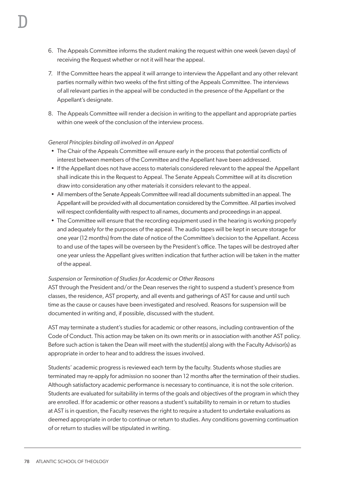- 6. The Appeals Committee informs the student making the request within one week (seven days) of receiving the Request whether or not it will hear the appeal.
- 7. If the Committee hears the appeal it will arrange to interview the Appellant and any other relevant parties normally within two weeks of the first sitting of the Appeals Committee. The interviews of all relevant parties in the appeal will be conducted in the presence of the Appellant or the Appellant's designate.
- 8. The Appeals Committee will render a decision in writing to the appellant and appropriate parties within one week of the conclusion of the interview process.

# *General Principles binding all involved in an Appeal*

- The Chair of the Appeals Committee will ensure early in the process that potential conflicts of interest between members of the Committee and the Appellant have been addressed.
- If the Appellant does not have access to materials considered relevant to the appeal the Appellant shall indicate this in the Request to Appeal. The Senate Appeals Committee will at its discretion draw into consideration any other materials it considers relevant to the appeal.
- All members of the Senate Appeals Committee will read all documents submitted in an appeal. The Appellant will be provided with all documentation considered by the Committee. All parties involved will respect confidentiality with respect to all names, documents and proceedings in an appeal.
- The Committee will ensure that the recording equipment used in the hearing is working properly and adequately for the purposes of the appeal. The audio tapes will be kept in secure storage for one year (12 months) from the date of notice of the Committee's decision to the Appellant. Access to and use of the tapes will be overseen by the President's office. The tapes will be destroyed after one year unless the Appellant gives written indication that further action will be taken in the matter of the appeal.

# *Suspension or Termination of Studies for Academic or Other Reasons*

AST through the President and/or the Dean reserves the right to suspend a student's presence from classes, the residence, AST property, and all events and gatherings of AST for cause and until such time as the cause or causes have been investigated and resolved. Reasons for suspension will be documented in writing and, if possible, discussed with the student.

AST may terminate a student's studies for academic or other reasons, including contravention of the Code of Conduct. This action may be taken on its own merits or in association with another AST policy. Before such action is taken the Dean will meet with the student(s) along with the Faculty Advisor(s) as appropriate in order to hear and to address the issues involved.

Students' academic progress is reviewed each term by the faculty. Students whose studies are terminated may re-apply for admission no sooner than 12 months after the termination of their studies. Although satisfactory academic performance is necessary to continuance, it is not the sole criterion. Students are evaluated for suitability in terms of the goals and objectives of the program in which they are enrolled. If for academic or other reasons a student's suitability to remain in or return to studies at AST is in question, the Faculty reserves the right to require a student to undertake evaluations as deemed appropriate in order to continue or return to studies. Any conditions governing continuation of or return to studies will be stipulated in writing.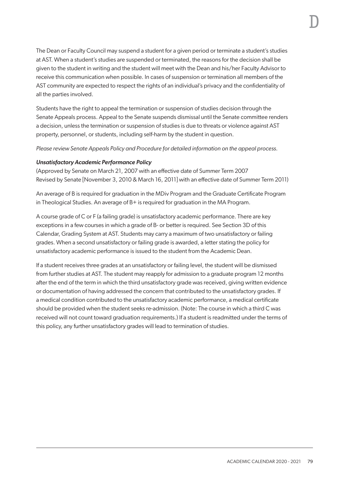The Dean or Faculty Council may suspend a student for a given period or terminate a student's studies at AST. When a student's studies are suspended or terminated, the reasons for the decision shall be given to the student in writing and the student will meet with the Dean and his/her Faculty Advisor to receive this communication when possible. In cases of suspension or termination all members of the AST community are expected to respect the rights of an individual's privacy and the confidentiality of all the parties involved.

Students have the right to appeal the termination or suspension of studies decision through the Senate Appeals process. Appeal to the Senate suspends dismissal until the Senate committee renders a decision, unless the termination or suspension of studies is due to threats or violence against AST property, personnel, or students, including self-harm by the student in question.

*Please review Senate Appeals Policy and Procedure for detailed information on the appeal process.*

#### *Unsatisfactory Academic Performance Policy*

(Approved by Senate on March 21, 2007 with an effective date of Summer Term 2007 Revised by Senate [November 3, 2010 & March 16, 2011] with an effective date of Summer Term 2011)

An average of B is required for graduation in the MDiv Program and the Graduate Certificate Program in Theological Studies. An average of B+ is required for graduation in the MA Program.

A course grade of C or F (a failing grade) is unsatisfactory academic performance. There are key exceptions in a few courses in which a grade of B- or better is required. See Section 3D of this Calendar, Grading System at AST. Students may carry a maximum of two unsatisfactory or failing grades. When a second unsatisfactory or failing grade is awarded, a letter stating the policy for unsatisfactory academic performance is issued to the student from the Academic Dean.

If a student receives three grades at an unsatisfactory or failing level, the student will be dismissed from further studies at AST. The student may reapply for admission to a graduate program 12 months after the end of the term in which the third unsatisfactory grade was received, giving written evidence or documentation of having addressed the concern that contributed to the unsatisfactory grades. If a medical condition contributed to the unsatisfactory academic performance, a medical certificate should be provided when the student seeks re-admission. (Note: The course in which a third C was received will not count toward graduation requirements.) If a student is readmitted under the terms of this policy, any further unsatisfactory grades will lead to termination of studies.

D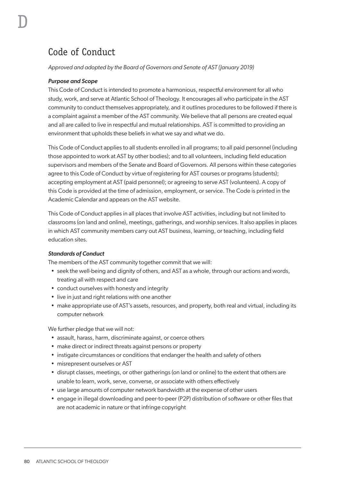# Code of Conduct

#### *Approved and adopted by the Board of Governors and Senate of AST (January 2019)*

# *Purpose and Scope*

D

This Code of Conduct is intended to promote a harmonious, respectful environment for all who study, work, and serve at Atlantic School of Theology. It encourages all who participate in the AST community to conduct themselves appropriately, and it outlines procedures to be followed if there is a complaint against a member of the AST community. We believe that all persons are created equal and all are called to live in respectful and mutual relationships. AST is committed to providing an environment that upholds these beliefs in what we say and what we do.

This Code of Conduct applies to all students enrolled in all programs; to all paid personnel (including those appointed to work at AST by other bodies); and to all volunteers, including field education supervisors and members of the Senate and Board of Governors. All persons within these categories agree to this Code of Conduct by virtue of registering for AST courses or programs (students); accepting employment at AST (paid personnel); or agreeing to serve AST (volunteers). A copy of this Code is provided at the time of admission, employment, or service. The Code is printed in the Academic Calendar and appears on the AST website.

This Code of Conduct applies in all places that involve AST activities, including but not limited to classrooms (on land and online), meetings, gatherings, and worship services. It also applies in places in which AST community members carry out AST business, learning, or teaching, including field education sites.

#### *Standards of Conduct*

The members of the AST community together commit that we will:

- seek the well-being and dignity of others, and AST as a whole, through our actions and words, treating all with respect and care
- conduct ourselves with honesty and integrity
- live in just and right relations with one another
- make appropriate use of AST's assets, resources, and property, both real and virtual, including its computer network

We further pledge that we will not:

- assault, harass, harm, discriminate against, or coerce others
- make direct or indirect threats against persons or property
- instigate circumstances or conditions that endanger the health and safety of others
- misrepresent ourselves or AST
- disrupt classes, meetings, or other gatherings (on land or online) to the extent that others are unable to learn, work, serve, converse, or associate with others effectively
- use large amounts of computer network bandwidth at the expense of other users
- engage in illegal downloading and peer-to-peer (P2P) distribution of software or other files that are not academic in nature or that infringe copyright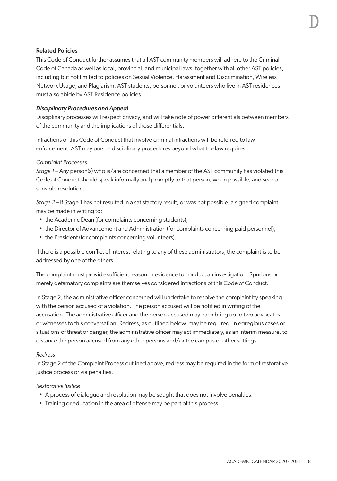#### Related Policies

This Code of Conduct further assumes that all AST community members will adhere to the Criminal Code of Canada as well as local, provincial, and municipal laws, together with all other AST policies, including but not limited to policies on Sexual Violence, Harassment and Discrimination, Wireless Network Usage, and Plagiarism. AST students, personnel, or volunteers who live in AST residences must also abide by AST Residence policies.

#### *Disciplinary Procedures and Appeal*

Disciplinary processes will respect privacy, and will take note of power differentials between members of the community and the implications of those differentials.

Infractions of this Code of Conduct that involve criminal infractions will be referred to law enforcement. AST may pursue disciplinary procedures beyond what the law requires.

#### *Complaint Processes*

*Stage 1* – Any person(s) who is/are concerned that a member of the AST community has violated this Code of Conduct should speak informally and promptly to that person, when possible, and seek a sensible resolution.

*Stage 2* – If Stage 1 has not resulted in a satisfactory result, or was not possible, a signed complaint may be made in writing to:

- the Academic Dean (for complaints concerning students);
- the Director of Advancement and Administration (for complaints concerning paid personnel);
- the President (for complaints concerning volunteers).

If there is a possible conflict of interest relating to any of these administrators, the complaint is to be addressed by one of the others.

The complaint must provide sufficient reason or evidence to conduct an investigation. Spurious or merely defamatory complaints are themselves considered infractions of this Code of Conduct.

In Stage 2, the administrative officer concerned will undertake to resolve the complaint by speaking with the person accused of a violation. The person accused will be notified in writing of the accusation. The administrative officer and the person accused may each bring up to two advocates or witnesses to this conversation. Redress, as outlined below, may be required. In egregious cases or situations of threat or danger, the administrative officer may act immediately, as an interim measure, to distance the person accused from any other persons and/or the campus or other settings.

#### *Redress*

In Stage 2 of the Complaint Process outlined above, redress may be required in the form of restorative justice process or via penalties.

#### *Restorative Justice*

- A process of dialogue and resolution may be sought that does not involve penalties.
- Training or education in the area of offense may be part of this process.

D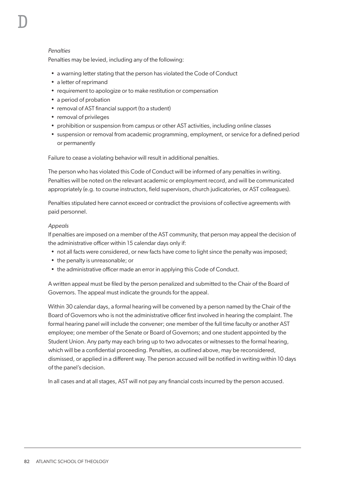#### *Penalties*

D

Penalties may be levied, including any of the following:

- a warning letter stating that the person has violated the Code of Conduct
- a letter of reprimand
- requirement to apologize or to make restitution or compensation
- a period of probation
- removal of AST financial support (to a student)
- removal of privileges
- prohibition or suspension from campus or other AST activities, including online classes
- suspension or removal from academic programming, employment, or service for a defined period or permanently

Failure to cease a violating behavior will result in additional penalties.

The person who has violated this Code of Conduct will be informed of any penalties in writing. Penalties will be noted on the relevant academic or employment record, and will be communicated appropriately (e.g. to course instructors, field supervisors, church judicatories, or AST colleagues).

Penalties stipulated here cannot exceed or contradict the provisions of collective agreements with paid personnel.

#### *Appeals*

If penalties are imposed on a member of the AST community, that person may appeal the decision of the administrative officer within 15 calendar days only if:

- not all facts were considered, or new facts have come to light since the penalty was imposed;
- the penalty is unreasonable; or
- the administrative officer made an error in applying this Code of Conduct.

A written appeal must be filed by the person penalized and submitted to the Chair of the Board of Governors. The appeal must indicate the grounds for the appeal.

Within 30 calendar days, a formal hearing will be convened by a person named by the Chair of the Board of Governors who is not the administrative officer first involved in hearing the complaint. The formal hearing panel will include the convener; one member of the full time faculty or another AST employee; one member of the Senate or Board of Governors; and one student appointed by the Student Union. Any party may each bring up to two advocates or witnesses to the formal hearing, which will be a confidential proceeding. Penalties, as outlined above, may be reconsidered, dismissed, or applied in a different way. The person accused will be notified in writing within 10 days of the panel's decision.

In all cases and at all stages, AST will not pay any financial costs incurred by the person accused.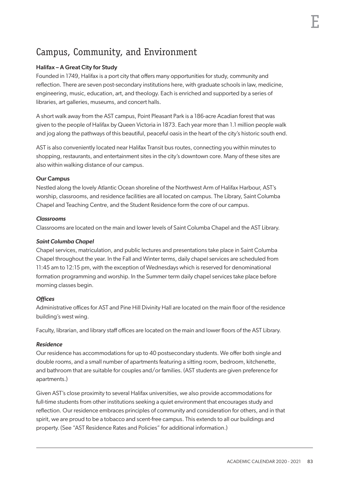# Campus, Community, and Environment

# Halifax – A Great City for Study

Founded in 1749, Halifax is a port city that offers many opportunities for study, community and reflection. There are seven post-secondary institutions here, with graduate schools in law, medicine, engineering, music, education, art, and theology. Each is enriched and supported by a series of libraries, art galleries, museums, and concert halls.

A short walk away from the AST campus, Point Pleasant Park is a 186-acre Acadian forest that was given to the people of Halifax by Queen Victoria in 1873. Each year more than 1.1 million people walk and jog along the pathways of this beautiful, peaceful oasis in the heart of the city's historic south end.

AST is also conveniently located near Halifax Transit bus routes, connecting you within minutes to shopping, restaurants, and entertainment sites in the city's downtown core. Many of these sites are also within walking distance of our campus.

# Our Campus

Nestled along the lovely Atlantic Ocean shoreline of the Northwest Arm of Halifax Harbour, AST's worship, classrooms, and residence facilities are all located on campus. The Library, Saint Columba Chapel and Teaching Centre, and the Student Residence form the core of our campus.

#### *Classrooms*

Classrooms are located on the main and lower levels of Saint Columba Chapel and the AST Library.

#### *Saint Columba Chapel*

Chapel services, matriculation, and public lectures and presentations take place in Saint Columba Chapel throughout the year. In the Fall and Winter terms, daily chapel services are scheduled from 11:45 am to 12:15 pm, with the exception of Wednesdays which is reserved for denominational formation programming and worship. In the Summer term daily chapel services take place before morning classes begin.

# *Offices*

Administrative offices for AST and Pine Hill Divinity Hall are located on the main floor of the residence building's west wing.

Faculty, librarian, and library staff offices are located on the main and lower floors of the AST Library.

#### *Residence*

Our residence has accommodations for up to 40 postsecondary students. We offer both single and double rooms, and a small number of apartments featuring a sitting room, bedroom, kitchenette, and bathroom that are suitable for couples and/or families. (AST students are given preference for apartments.)

Given AST's close proximity to several Halifax universities, we also provide accommodations for full-time students from other institutions seeking a quiet environment that encourages study and reflection. Our residence embraces principles of community and consideration for others, and in that spirit, we are proud to be a tobacco and scent-free campus. This extends to all our buildings and property. (See "AST Residence Rates and Policies" for additional information.)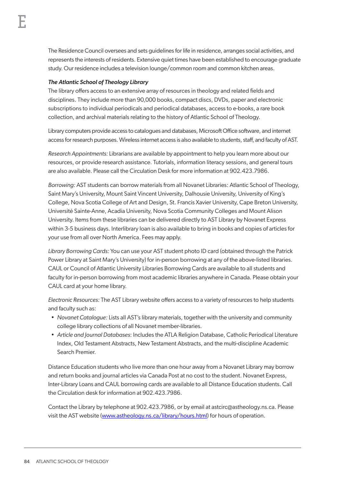The Residence Council oversees and sets guidelines for life in residence, arranges social activities, and represents the interests of residents. Extensive quiet times have been established to encourage graduate study. Our residence includes a television lounge/common room and common kitchen areas.

# *The Atlantic School of Theology Library*

The library offers access to an extensive array of resources in theology and related fields and disciplines. They include more than 90,000 books, compact discs, DVDs, paper and electronic subscriptions to individual periodicals and periodical databases, access to e-books, a rare book collection, and archival materials relating to the history of Atlantic School of Theology.

Library computers provide access to catalogues and databases, Microsoft Office software, and internet access for research purposes. Wireless internet access is also available to students, staff, and faculty of AST.

*Research Appointments:* Librarians are available by appointment to help you learn more about our resources, or provide research assistance. Tutorials, information literacy sessions, and general tours are also available. Please call the Circulation Desk for more information at 902.423.7986.

*Borrowing:* AST students can borrow materials from all Novanet Libraries: Atlantic School of Theology, Saint Mary's University, Mount Saint Vincent University, Dalhousie University, University of King's College, Nova Scotia College of Art and Design, St. Francis Xavier University, Cape Breton University, Université Sainte-Anne, Acadia University, Nova Scotia Community Colleges and Mount Alison University. Items from these libraries can be delivered directly to AST Library by Novanet Express within 3-5 business days. Interlibrary loan is also available to bring in books and copies of articles for your use from all over North America. Fees may apply.

*Library Borrowing Cards:* You can use your AST student photo ID card (obtained through the Patrick Power Library at Saint Mary's University) for in-person borrowing at any of the above-listed libraries. CAUL or Council of Atlantic University Libraries Borrowing Cards are available to all students and faculty for in-person borrowing from most academic libraries anywhere in Canada. Please obtain your CAUL card at your home library.

*Electronic Resources:* The AST Library website offers access to a variety of resources to help students and faculty such as:

- *Novanet Catalogue:* Lists all AST's library materials, together with the university and community college library collections of all Novanet member-libraries.
- *Article and Journal Databases*: Includes the ATLA Religion Database, Catholic Periodical Literature Index, Old Testament Abstracts, New Testament Abstracts, and the multi-discipline Academic Search Premier.

Distance Education students who live more than one hour away from a Novanet Library may borrow and return books and journal articles via Canada Post at no cost to the student. Novanet Express, Inter-Library Loans and CAUL borrowing cards are available to all Distance Education students. Call the Circulation desk for information at 902.423.7986.

Contact the Library by telephone at 902.423.7986, or by email at astcirc@astheology.ns.ca. Please visit the AST website (www.astheology.ns.ca/library/hours.html) for hours of operation.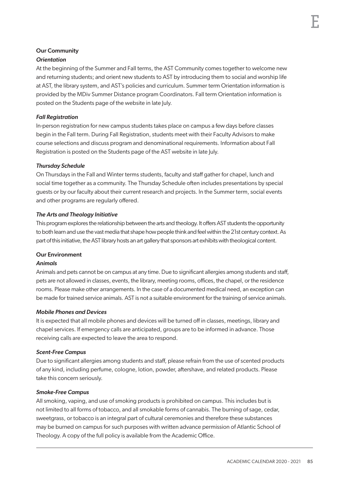#### Our Community *Orientation*

At the beginning of the Summer and Fall terms, the AST Community comes together to welcome new and returning students; and orient new students to AST by introducing them to social and worship life at AST, the library system, and AST's policies and curriculum. Summer term Orientation information is provided by the MDiv Summer Distance program Coordinators. Fall term Orientation information is posted on the Students page of the website in late July.

# *Fall Registration*

In-person registration for new campus students takes place on campus a few days before classes begin in the Fall term. During Fall Registration, students meet with their Faculty Advisors to make course selections and discuss program and denominational requirements. Information about Fall Registration is posted on the Students page of the AST website in late July.

# *Thursday Schedule*

On Thursdays in the Fall and Winter terms students, faculty and staff gather for chapel, lunch and social time together as a community. The Thursday Schedule often includes presentations by special guests or by our faculty about their current research and projects. In the Summer term, social events and other programs are regularly offered.

# *The Arts and Theology Initiative*

This program explores the relationship between the arts and theology. It offers AST students the opportunity to both learn and use the vast media that shape how people think and feel within the 21st century context. As part of this initiative, the AST library hosts an art gallery that sponsors art exhibits with theological content.

# Our Environment

# *Animals*

Animals and pets cannot be on campus at any time. Due to significant allergies among students and staff, pets are not allowed in classes, events, the library, meeting rooms, offices, the chapel, or the residence rooms. Please make other arrangements. In the case of a documented medical need, an exception can be made for trained service animals. AST is not a suitable environment for the training of service animals.

# *Mobile Phones and Devices*

It is expected that all mobile phones and devices will be turned off in classes, meetings, library and chapel services. If emergency calls are anticipated, groups are to be informed in advance. Those receiving calls are expected to leave the area to respond.

# *Scent-Free Campus*

Due to significant allergies among students and staff, please refrain from the use of scented products of any kind, including perfume, cologne, lotion, powder, aftershave, and related products. Please take this concern seriously.

# *Smoke-Free Campus*

All smoking, vaping, and use of smoking products is prohibited on campus. This includes but is not limited to all forms of tobacco, and all smokable forms of cannabis. The burning of sage, cedar, sweetgrass, or tobacco is an integral part of cultural ceremonies and therefore these substances may be burned on campus for such purposes with written advance permission of Atlantic School of Theology. A copy of the full policy is available from the Academic Office.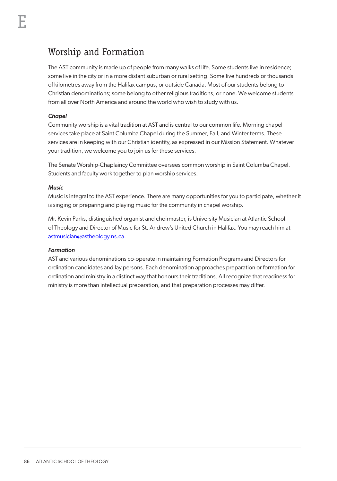The AST community is made up of people from many walks of life. Some students live in residence; some live in the city or in a more distant suburban or rural setting. Some live hundreds or thousands of kilometres away from the Halifax campus, or outside Canada. Most of our students belong to Christian denominations; some belong to other religious traditions, or none. We welcome students from all over North America and around the world who wish to study with us.

# *Chapel*

Community worship is a vital tradition at AST and is central to our common life. Morning chapel services take place at Saint Columba Chapel during the Summer, Fall, and Winter terms. These services are in keeping with our Christian identity, as expressed in our Mission Statement. Whatever your tradition, we welcome you to join us for these services.

The Senate Worship-Chaplaincy Committee oversees common worship in Saint Columba Chapel. Students and faculty work together to plan worship services.

#### *Music*

Music is integral to the AST experience. There are many opportunities for you to participate, whether it is singing or preparing and playing music for the community in chapel worship.

Mr. Kevin Parks, distinguished organist and choirmaster, is University Musician at Atlantic School of Theology and Director of Music for St. Andrew's United Church in Halifax. You may reach him at astmusician@astheology.ns.ca.

# *Formation*

AST and various denominations co-operate in maintaining Formation Programs and Directors for ordination candidates and lay persons. Each denomination approaches preparation or formation for ordination and ministry in a distinct way that honours their traditions. All recognize that readiness for ministry is more than intellectual preparation, and that preparation processes may differ.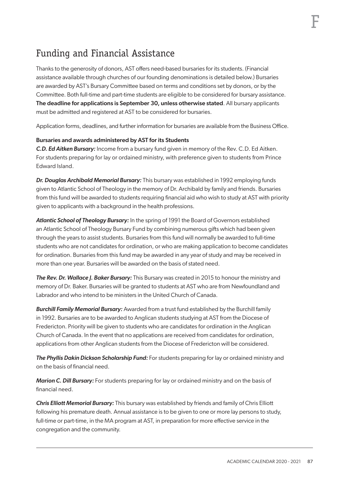# F

# Funding and Financial Assistance

Thanks to the generosity of donors, AST offers need-based bursaries for its students. (Financial assistance available through churches of our founding denominations is detailed below.) Bursaries are awarded by AST's Bursary Committee based on terms and conditions set by donors, or by the Committee. Both full-time and part-time students are eligible to be considered for bursary assistance. The deadline for applications is September 30, unless otherwise stated. All bursary applicants must be admitted and registered at AST to be considered for bursaries.

Application forms, deadlines, and further information for bursaries are available from the Business Office.

# Bursaries and awards administered by AST for its Students

*C.D. Ed Aitken Bursary:* Income from a bursary fund given in memory of the Rev. C.D. Ed Aitken. For students preparing for lay or ordained ministry, with preference given to students from Prince Edward Island.

*Dr. Douglas Archibald Memorial Bursary:* This bursary was established in 1992 employing funds given to Atlantic School of Theology in the memory of Dr. Archibald by family and friends. Bursaries from this fund will be awarded to students requiring financial aid who wish to study at AST with priority given to applicants with a background in the health professions.

*Atlantic School of Theology Bursary:* In the spring of 1991 the Board of Governors established an Atlantic School of Theology Bursary Fund by combining numerous gifts which had been given through the years to assist students. Bursaries from this fund will normally be awarded to full-time students who are not candidates for ordination, or who are making application to become candidates for ordination. Bursaries from this fund may be awarded in any year of study and may be received in more than one year. Bursaries will be awarded on the basis of stated need.

*The Rev. Dr. Wallace J. Baker Bursary:* This Bursary was created in 2015 to honour the ministry and memory of Dr. Baker. Bursaries will be granted to students at AST who are from Newfoundland and Labrador and who intend to be ministers in the United Church of Canada.

*Burchill Family Memorial Bursary:* Awarded from a trust fund established by the Burchill family in 1992. Bursaries are to be awarded to Anglican students studying at AST from the Diocese of Fredericton. Priority will be given to students who are candidates for ordination in the Anglican Church of Canada. In the event that no applications are received from candidates for ordination, applications from other Anglican students from the Diocese of Fredericton will be considered.

*The Phyllis Dakin Dickson Scholarship Fund:* For students preparing for lay or ordained ministry and on the basis of financial need.

*Marion C. Dill Bursary:* For students preparing for lay or ordained ministry and on the basis of financial need.

*Chris Elliott Memorial Bursary:* This bursary was established by friends and family of Chris Elliott following his premature death. Annual assistance is to be given to one or more lay persons to study, full-time or part-time, in the MA program at AST, in preparation for more effective service in the congregation and the community.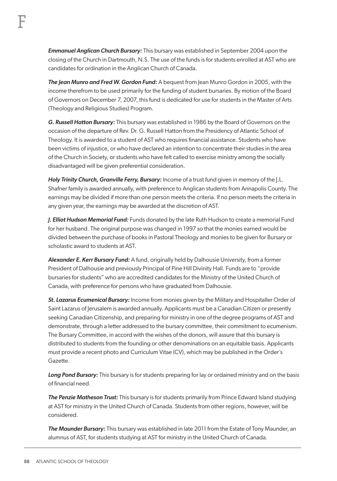*Emmanuel Anglican Church Bursary:* This bursary was established in September 2004 upon the closing of the Church in Dartmouth, N.S. The use of the funds is for students enrolled at AST who are candidates for ordination in the Anglican Church of Canada.

*The Jean Munro and Fred W. Gordon Fund:* A bequest from Jean Munro Gordon in 2005, with the income therefrom to be used primarily for the funding of student bursaries. By motion of the Board of Governors on December 7, 2007, this fund is dedicated for use for students in the Master of Arts (Theology and Religious Studies) Program.

*G. Russell Hatton Bursary:* This bursary was established in 1986 by the Board of Governors on the occasion of the departure of Rev. Dr. G. Russell Hatton from the Presidency of Atlantic School of Theology. It is awarded to a student of AST who requires financial assistance. Students who have been victims of injustice, or who have declared an intention to concentrate their studies in the area of the Church in Society, or students who have felt called to exercise ministry among the socially disadvantaged will be given preferential consideration.

*Holy Trinity Church, Granville Ferry, Bursary:* Income of a trust fund given in memory of the J.L. Shafner family is awarded annually, with preference to Anglican students from Annapolis County. The earnings may be divided if more than one person meets the criteria. If no person meets the criteria in any given year, the earnings may be awarded at the discretion of AST.

*J. Elliot Hudson Memorial Fund:* Funds donated by the late Ruth Hudson to create a memorial Fund for her husband. The original purpose was changed in 1997 so that the monies earned would be divided between the purchase of books in Pastoral Theology and monies to be given for Bursary or scholastic award to students at AST.

*Alexander E. Kerr Bursary Fund:* A fund, originally held by Dalhousie University, from a former President of Dalhousie and previously Principal of Pine Hill Divinity Hall. Funds are to "provide bursaries for students" who are accredited candidates for the Ministry of the United Church of Canada, with preference for persons who have graduated from Dalhousie.

*St. Lazarus Ecumenical Bursary:* Income from monies given by the Military and Hospitaller Order of Saint Lazarus of Jerusalem is awarded annually. Applicants must be a Canadian Citizen or presently seeking Canadian Citizenship, and preparing for ministry in one of the degree programs of AST and demonstrate, through a letter addressed to the bursary committee, their commitment to ecumenism. The Bursary Committee, in accord with the wishes of the donors, will assure that this bursary is distributed to students from the founding or other denominations on an equitable basis. Applicants must provide a recent photo and Curriculum Vitae (CV), which may be published in the Order's Gazette.

Long Pond Bursary: This bursary is for students preparing for lay or ordained ministry and on the basis of financial need.

*The Penzie Matheson Trust:* This bursary is for students primarily from Prince Edward Island studying at AST for ministry in the United Church of Canada. Students from other regions, however, will be considered.

*The Maunder Bursary:* This bursary was established in late 2011 from the Estate of Tony Maunder, an alumnus of AST, for students studying at AST for ministry in the United Church of Canada.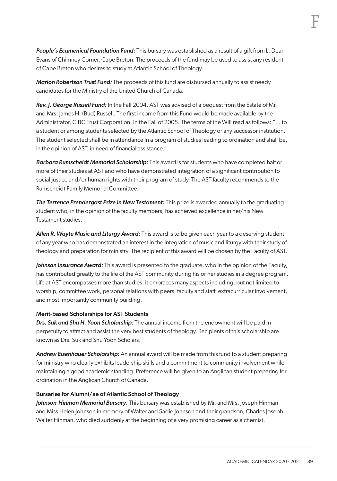*People's Ecumenical Foundation Fund:* This bursary was established as a result of a gift from L. Dean Evans of Chimney Corner, Cape Breton. The proceeds of the fund may be used to assist any resident of Cape Breton who desires to study at Atlantic School of Theology.

*Marion Robertson Trust Fund:* The proceeds of this fund are disbursed annually to assist needy candidates for the Ministry of the United Church of Canada.

*Rev. J. George Russell Fund:* In the Fall 2004, AST was advised of a bequest from the Estate of Mr. and Mrs. James H. (Bud) Russell. The first income from this Fund would be made available by the Administrator, CIBC Trust Corporation, in the Fall of 2005. The terms of the Will read as follows: "... to a student or among students selected by the Atlantic School of Theology or any successor institution. The student selected shall be in attendance in a program of studies leading to ordination and shall be, in the opinion of AST, in need of financial assistance."

*Barbara Rumscheidt Memorial Scholarship:* This award is for students who have completed half or more of their studies at AST and who have demonstrated integration of a significant contribution to social justice and/or human rights with their program of study. The AST faculty recommends to the Rumscheidt Family Memorial Committee.

*The Terrence Prendergast Prize in New Testament:* This prize is awarded annually to the graduating student who, in the opinion of the faculty members, has achieved excellence in her/his New Testament studies.

*Allen R. Wayte Music and Liturgy Award:* This award is to be given each year to a deserving student of any year who has demonstrated an interest in the integration of music and liturgy with their study of theology and preparation for ministry. The recipient of this award will be chosen by the Faculty of AST.

*Johnson Insurance Award:* This award is presented to the graduate, who in the opinion of the Faculty, has contributed greatly to the life of the AST community during his or her studies in a degree program. Life at AST encompasses more than studies, it embraces many aspects including, but not limited to: worship, committee work, personal relations with peers, faculty and staff, extracurricular involvement, and most importantly community building.

#### Merit-based Scholarships for AST Students

*Drs. Suk and Shu H. Yoon Scholarship:* The annual income from the endowment will be paid in perpetuity to attract and assist the very best students of theology. Recipients of this scholarship are known as Drs. Suk and Shu Yoon Scholars.

*Andrew Eisenhauer Scholarship:* An annual award will be made from this fund to a student preparing for ministry who clearly exhibits leadership skills and a commitment to community involvement while maintaining a good academic standing. Preference will be given to an Anglican student preparing for ordination in the Anglican Church of Canada.

#### Bursaries for Alumni/ae of Atlantic School of Theology

*Johnson-Hinman Memorial Bursary:* This bursary was established by Mr. and Mrs. Joseph Hinman and Miss Helen Johnson in memory of Walter and Sadie Johnson and their grandson, Charles Joseph Walter Hinman, who died suddenly at the beginning of a very promising career as a chemist.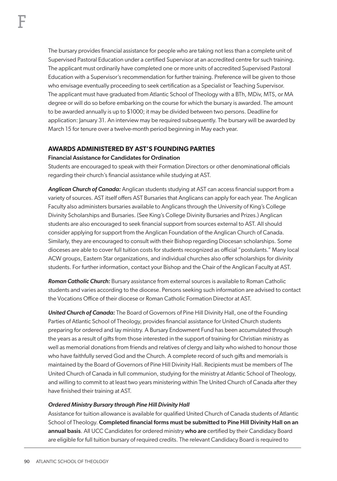The bursary provides financial assistance for people who are taking not less than a complete unit of Supervised Pastoral Education under a certified Supervisor at an accredited centre for such training. The applicant must ordinarily have completed one or more units of accredited Supervised Pastoral Education with a Supervisor's recommendation for further training. Preference will be given to those who envisage eventually proceeding to seek certification as a Specialist or Teaching Supervisor. The applicant must have graduated from Atlantic School of Theology with a BTh, MDiv, MTS, or MA degree or will do so before embarking on the course for which the bursary is awarded. The amount to be awarded annually is up to \$1000; it may be divided between two persons. Deadline for application: January 31. An interview may be required subsequently. The bursary will be awarded by March 15 for tenure over a twelve-month period beginning in May each year.

# **AWARDS ADMINISTERED BY AST'S FOUNDING PARTIES**

#### Financial Assistance for Candidates for Ordination

Students are encouraged to speak with their Formation Directors or other denominational officials regarding their church's financial assistance while studying at AST.

*Anglican Church of Canada:* Anglican students studying at AST can access financial support from a variety of sources. AST itself offers AST Bursaries that Anglicans can apply for each year. The Anglican Faculty also administers bursaries available to Anglicans through the University of King's College Divinity Scholarships and Bursaries. (See King's College Divinity Bursaries and Prizes.) Anglican students are also encouraged to seek financial support from sources external to AST. All should consider applying for support from the Anglican Foundation of the Anglican Church of Canada. Similarly, they are encouraged to consult with their Bishop regarding Diocesan scholarships. Some dioceses are able to cover full tuition costs for students recognized as official "postulants." Many local ACW groups, Eastern Star organizations, and individual churches also offer scholarships for divinity students. For further information, contact your Bishop and the Chair of the Anglican Faculty at AST.

*Roman Catholic Church:* Bursary assistance from external sources is available to Roman Catholic students and varies according to the diocese. Persons seeking such information are advised to contact the Vocations Office of their diocese or Roman Catholic Formation Director at AST.

*United Church of Canada:* The Board of Governors of Pine Hill Divinity Hall, one of the Founding Parties of Atlantic School of Theology, provides financial assistance for United Church students preparing for ordered and lay ministry. A Bursary Endowment Fund has been accumulated through the years as a result of gifts from those interested in the support of training for Christian ministry as well as memorial donations from friends and relatives of clergy and laity who wished to honour those who have faithfully served God and the Church. A complete record of such gifts and memorials is maintained by the Board of Governors of Pine Hill Divinity Hall. Recipients must be members of The United Church of Canada in full communion, studying for the ministry at Atlantic School of Theology, and willing to commit to at least two years ministering within The United Church of Canada after they have finished their training at AST.

#### *Ordered Ministry Bursary through Pine Hill Divinity Hall*

Assistance for tuition allowance is available for qualified United Church of Canada students of Atlantic School of Theology. Completed financial forms must be submitted to Pine Hill Divinity Hall on an annual basis. All UCC Candidates for ordered ministry who are certified by their Candidacy Board are eligible for full tuition bursary of required credits. The relevant Candidacy Board is required to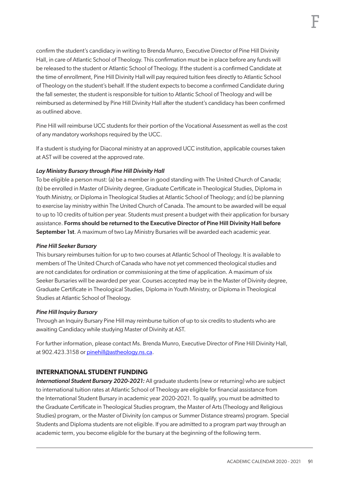confirm the student's candidacy in writing to Brenda Munro, Executive Director of Pine Hill Divinity Hall, in care of Atlantic School of Theology. This confirmation must be in place before any funds will be released to the student or Atlantic School of Theology. If the student is a confirmed Candidate at the time of enrollment, Pine Hill Divinity Hall will pay required tuition fees directly to Atlantic School of Theology on the student's behalf. If the student expects to become a confirmed Candidate during the fall semester, the student is responsible for tuition to Atlantic School of Theology and will be reimbursed as determined by Pine Hill Divinity Hall after the student's candidacy has been confirmed as outlined above.

Pine Hill will reimburse UCC students for their portion of the Vocational Assessment as well as the cost of any mandatory workshops required by the UCC.

If a student is studying for Diaconal ministry at an approved UCC institution, applicable courses taken at AST will be covered at the approved rate.

# *Lay Ministry Bursary through Pine Hill Divinity Hall*

To be eligible a person must: (a) be a member in good standing with The United Church of Canada; (b) be enrolled in Master of Divinity degree, Graduate Certificate in Theological Studies, Diploma in Youth Ministry, or Diploma in Theological Studies at Atlantic School of Theology; and (c) be planning to exercise lay ministry within The United Church of Canada. The amount to be awarded will be equal to up to 10 credits of tuition per year. Students must present a budget with their application for bursary assistance. Forms should be returned to the Executive Director of Pine Hill Divinity Hall before September 1st. A maximum of two Lay Ministry Bursaries will be awarded each academic year.

# *Pine Hill Seeker Bursary*

This bursary reimburses tuition for up to two courses at Atlantic School of Theology. It is available to members of The United Church of Canada who have not yet commenced theological studies and are not candidates for ordination or commissioning at the time of application. A maximum of six Seeker Bursaries will be awarded per year. Courses accepted may be in the Master of Divinity degree, Graduate Certificate in Theological Studies, Diploma in Youth Ministry, or Diploma in Theological Studies at Atlantic School of Theology.

# *Pine Hill Inquiry Bursary*

Through an Inquiry Bursary Pine Hill may reimburse tuition of up to six credits to students who are awaiting Candidacy while studying Master of Divinity at AST.

For further information, please contact Ms. Brenda Munro, Executive Director of Pine Hill Divinity Hall, at 902.423.3158 or [pinehill@astheology.ns.ca.](mailto:pinehill@astheology.ns.ca)

# **INTERNATIONAL STUDENT FUNDING**

*International Student Bursary 2020-2021:* All graduate students (new or returning) who are subject to international tuition rates at Atlantic School of Theology are eligible for financial assistance from the International Student Bursary in academic year 2020-2021. To qualify, you must be admitted to the Graduate Certificate in Theological Studies program, the Master of Arts (Theology and Religious Studies) program, or the Master of Divinity (on campus or Summer Distance streams) program. Special Students and Diploma students are not eligible. If you are admitted to a program part way through an academic term, you become eligible for the bursary at the beginning of the following term.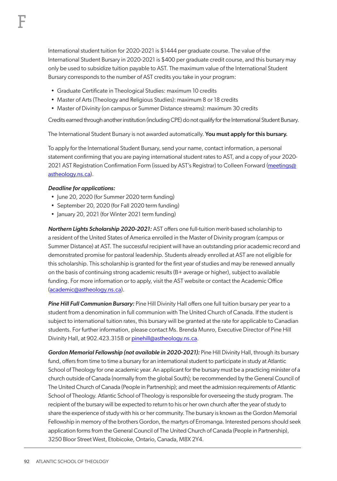International student tuition for 2020-2021 is \$1444 per graduate course. The value of the International Student Bursary in 2020-2021 is \$400 per graduate credit course, and this bursary may only be used to subsidize tuition payable to AST. The maximum value of the International Student Bursary corresponds to the number of AST credits you take in your program:

- Graduate Certificate in Theological Studies: maximum 10 credits
- Master of Arts (Theology and Religious Studies): maximum 8 or 18 credits
- Master of Divinity (on campus or Summer Distance streams): maximum 30 credits

Credits earned through another institution (including CPE) do not qualify for the International Student Bursary.

The International Student Bursary is not awarded automatically. You must apply for this bursary.

To apply for the International Student Bursary, send your name, contact information, a personal statement confirming that you are paying international student rates to AST, and a copy of your 2020- 2021 AST Registration Confirmation Form (issued by AST's Registrar) to Colleen Forward (meetings@ astheology.ns.ca).

#### *Deadline for applications:*

F

- June 20, 2020 (for Summer 2020 term funding)
- September 20, 2020 (for Fall 2020 term funding)
- January 20, 2021 (for Winter 2021 term funding)

*Northern Lights Scholarship 2020-2021:* AST offers one full-tuition merit-based scholarship to a resident of the United States of America enrolled in the Master of Divinity program (campus or Summer Distance) at AST. The successful recipient will have an outstanding prior academic record and demonstrated promise for pastoral leadership. Students already enrolled at AST are not eligible for this scholarship. This scholarship is granted for the first year of studies and may be renewed annually on the basis of continuing strong academic results  $(B+$  average or higher), subject to available funding. For more information or to apply, visit the AST website or contact the Academic Office (academic@astheology.ns.ca).

*Pine Hill Full Communion Bursary:* Pine Hill Divinity Hall offers one full tuition bursary per year to a student from a denomination in full communion with The United Church of Canada. If the student is subject to international tuition rates, this bursary will be granted at the rate for applicable to Canadian students. For further information, please contact Ms. Brenda Munro, Executive Director of Pine Hill Divinity Hall, at 902.423.3158 or [pinehill@astheology.ns.ca.](mailto:pinehill@astheology.ns.ca)

*Gordon Memorial Fellowship (not available in 2020-2021):* Pine Hill Divinity Hall, through its bursary fund, offers from time to time a bursary for an international student to participate in study at Atlantic School of Theology for one academic year. An applicant for the bursary must be a practicing minister of a church outside of Canada (normally from the global South); be recommended by the General Council of The United Church of Canada (People in Partnership); and meet the admission requirements of Atlantic School of Theology. Atlantic School of Theology is responsible for overseeing the study program. The recipient of the bursary will be expected to return to his or her own church after the year of study to share the experience of study with his or her community. The bursary is known as the Gordon Memorial Fellowship in memory of the brothers Gordon, the martyrs of Erromanga. Interested persons should seek application forms from the General Council of The United Church of Canada (People in Partnership), 3250 Bloor Street West, Etobicoke, Ontario, Canada, M8X 2Y4.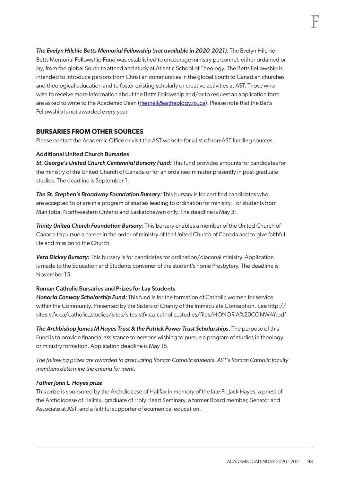*The Evelyn Hilchie Betts Memorial Fellowship (not available in 2020-2021):* The Evelyn Hilchie Betts Memorial Fellowship Fund was established to encourage ministry personnel, either ordained or lay, from the global South to attend and study at Atlantic School of Theology. The Betts Fellowship is intended to introduce persons from Christian communities in the global South to Canadian churches and theological education and to foster existing scholarly or creative activities at AST. Those who wish to receive more information about the Betts Fellowship and/or to request an application form are asked to write to the Academic Dean (rfennell@astheology.ns.ca). Please note that the Betts Fellowship is not awarded every year.

# **BURSARIES FROM OTHER SOURCES**

Please contact the Academic Office or visit the AST website for a list of non-AST funding sources.

#### Additional United Church Bursaries

*St. George's United Church Centennial Bursary Fund:* This fund provides amounts for candidates for the ministry of the United Church of Canada or for an ordained minister presently in post-graduate studies. The deadline is September 1.

*The St. Stephen's Broadway Foundation Bursary:* This bursary is for certified candidates who are accepted to or are in a program of studies leading to ordination for ministry. For students from Manitoba, Northwestern Ontario and Saskatchewan only. The deadline is May 31.

*Trinity United Church Foundation Bursary:* This bursary enables a member of the United Church of Canada to pursue a career in the order of ministry of the United Church of Canada and to give faithful life and mission to the Church.

*Vera Dickey Bursary:* This bursary is for candidates for ordination/diaconal ministry. Application is made to the Education and Students convener of the student's home Presbytery. The deadline is November 15.

#### Roman Catholic Bursaries and Prizes for Lay Students

*Honoria Conway Scholarship Fund:* This fund is for the formation of Catholic women for service within the Community. Presented by the Sisters of Charity of the Immaculate Conception. See http:// sites.stfx.ca/catholic\_studies/sites/sites.stfx.ca.catholic\_studies/files/HONORIA%20CONWAY.pdf

*The Archbishop James M Hayes Trust & the Patrick Power Trust Scholarships.* The purpose of this Fund is to provide financial assistance to persons wishing to pursue a program of studies in theology or ministry formation. Application deadline is May 18.

*The following prizes are awarded to graduating Roman Catholic students. AST's Roman Catholic faculty members determine the criteria for merit.*

#### *Father John L. Hayes prize*

This prize is sponsored by the Archdiocese of Halifax in memory of the late Fr. Jack Hayes, a priest of the Archdiocese of Halifax, graduate of Holy Heart Seminary, a former Board member, Senator and Associate at AST, and a faithful supporter of ecumenical education.

F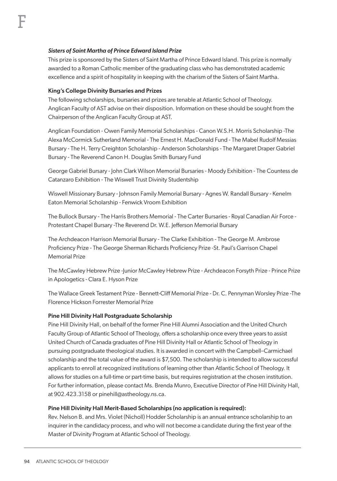#### *Sisters of Saint Martha of Prince Edward Island Prize*

This prize is sponsored by the Sisters of Saint Martha of Prince Edward Island. This prize is normally awarded to a Roman Catholic member of the graduating class who has demonstrated academic excellence and a spirit of hospitality in keeping with the charism of the Sisters of Saint Martha.

#### King's College Divinity Bursaries and Prizes

The following scholarships, bursaries and prizes are tenable at Atlantic School of Theology. Anglican Faculty of AST advise on their disposition. Information on these should be sought from the Chairperson of the Anglican Faculty Group at AST.

Anglican Foundation - Owen Family Memorial Scholarships - Canon W.S.H. Morris Scholarship -The Alexa McCormick Sutherland Memorial - The Ernest H. MacDonald Fund - The Mabel Rudolf Messias Bursary - The H. Terry Creighton Scholarship - Anderson Scholarships - The Margaret Draper Gabriel Bursary - The Reverend Canon H. Douglas Smith Bursary Fund

George Gabriel Bursary - John Clark Wilson Memorial Bursaries - Moody Exhibition - The Countess de Catanzaro Exhibition - The Wiswell Trust Divinity Studentship

Wiswell Missionary Bursary - Johnson Family Memorial Bursary - Agnes W. Randall Bursary - Kenelm Eaton Memorial Scholarship - Fenwick Vroom Exhibition

The Bullock Bursary - The Harris Brothers Memorial - The Carter Bursaries - Royal Canadian Air Force - Protestant Chapel Bursary -The Reverend Dr. W.E. Jefferson Memorial Bursary

The Archdeacon Harrison Memorial Bursary - The Clarke Exhibition - The George M. Ambrose Proficiency Prize - The George Sherman Richards Proficiency Prize -St. Paul's Garrison Chapel Memorial Prize

The McCawley Hebrew Prize -Junior McCawley Hebrew Prize - Archdeacon Forsyth Prize - Prince Prize in Apologetics - Clara E. Hyson Prize

The Wallace Greek Testament Prize - Bennett-Cliff Memorial Prize - Dr. C. Pennyman Worsley Prize -The Florence Hickson Forrester Memorial Prize

#### Pine Hill Divinity Hall Postgraduate Scholarship

Pine Hill Divinity Hall, on behalf of the former Pine Hill Alumni Association and the United Church Faculty Group of Atlantic School of Theology, offers a scholarship once every three years to assist United Church of Canada graduates of Pine Hill Divinity Hall or Atlantic School of Theology in pursuing postgraduate theological studies. It is awarded in concert with the Campbell–Carmichael scholarship and the total value of the award is \$7,500. The scholarship is intended to allow successful applicants to enroll at recognized institutions of learning other than Atlantic School of Theology. It allows for studies on a full-time or part-time basis, but requires registration at the chosen institution. For further information, please contact Ms. Brenda Munro, Executive Director of Pine Hill Divinity Hall, at 902.423.3158 or [pinehill@astheology.ns.ca.](mailto:pinehill@astheology.ns.ca)

#### Pine Hill Divinity Hall Merit-Based Scholarships (no application is required):

Rev. Nelson B. and Mrs. Violet (Nicholl) Hodder Scholarship is an annual entrance scholarship to an inquirer in the candidacy process, and who will not become a candidate during the first year of the Master of Divinity Program at Atlantic School of Theology.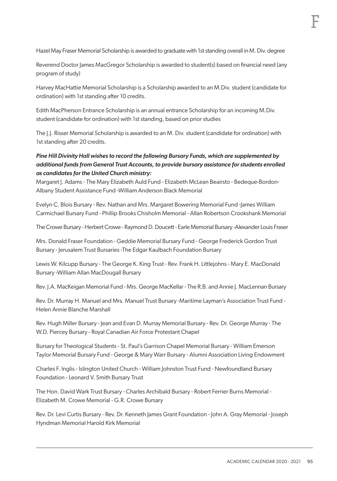Hazel May Fraser Memorial Scholarship is awarded to graduate with 1st standing overall in M. Div. degree

Reverend Doctor James MacGregor Scholarship is awarded to student(s) based on financial need (any program of study)

Harvey MacHattie Memorial Scholarship is a Scholarship awarded to an M.Div. student (candidate for ordination) with 1st standing after 10 credits.

Edith MacPherson Entrance Scholarship is an annual entrance Scholarship for an incoming M.Div. student (candidate for ordination) with 1st standing, based on prior studies

The J.J. Risser Memorial Scholarship is awarded to an M. Div. student (candidate for ordination) with 1st standing after 20 credits.

# *Pine Hill Divinity Hall wishes to record the following Bursary Funds, which are supplemented by additional funds from General Trust Accounts, to provide bursary assistance for students enrolled as candidates for the United Church ministry:*

Margaret J. Adams - The Mary Elizabeth Auld Fund - Elizabeth McLean Beairsto - Bedeque-Bordon-Albany Student Assistance Fund -William Anderson Black Memorial

Evelyn C. Blois Bursary - Rev. Nathan and Mrs. Margaret Bowering Memorial Fund -James William Carmichael Bursary Fund - Phillip Brooks Chisholm Memorial - Allan Robertson Crookshank Memorial

The Crowe Bursary - Herbert Crowe - Raymond D. Doucett - Earle Memorial Bursary -Alexander Louis Fraser

Mrs. Donald Fraser Foundation - Geddie Memorial Bursary Fund - George Frederick Gordon Trust Bursary - Jerusalem Trust Bursaries -The Edgar Kaulbach Foundation Bursary

Lewis W. Kilcupp Bursary - The George K. King Trust - Rev. Frank H. Littlejohns - Mary E. MacDonald Bursary -William Allan MacDougall Bursary

Rev. J.A. MacKeigan Memorial Fund - Mrs. George MacKellar - The R.B. and Annie J. MacLennan Bursary

Rev. Dr. Murray H. Manuel and Mrs. Manuel Trust Bursary -Maritime Layman's Association Trust Fund - Helen Annie Blanche Marshall

Rev. Hugh Miller Bursary - Jean and Evan D. Murray Memorial Bursary - Rev. Dr. George Murray - The W.D. Piercey Bursary - Royal Canadian Air Force Protestant Chapel

Bursary for Theological Students - St. Paul's Garrison Chapel Memorial Bursary - William Emerson Taylor Memorial Bursary Fund - George & Mary Warr Bursary - Alumni Association Living Endowment

Charles F. Inglis - Islington United Church - William Johnston Trust Fund - Newfoundland Bursary Foundation - Leonard V. Smith Bursary Trust

The Hon. David Wark Trust Bursary - Charles Archibald Bursary - Robert Ferrier Burns Memorial - Elizabeth M. Crowe Memorial - G.R. Crowe Bursary

Rev. Dr. Levi Curtis Bursary - Rev. Dr. Kenneth James Grant Foundation - John A. Gray Memorial - Joseph Hyndman Memorial Harold Kirk Memorial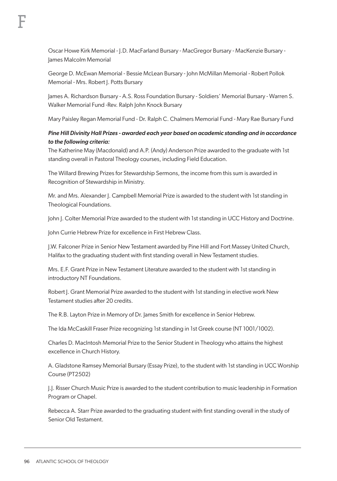Oscar Howe Kirk Memorial - J.D. MacFarland Bursary - MacGregor Bursary - MacKenzie Bursary - James Malcolm Memorial

George D. McEwan Memorial - Bessie McLean Bursary - John McMillan Memorial - Robert Pollok Memorial - Mrs. Robert J. Potts Bursary

James A. Richardson Bursary - A.S. Ross Foundation Bursary - Soldiers' Memorial Bursary - Warren S. Walker Memorial Fund -Rev. Ralph John Knock Bursary

Mary Paisley Regan Memorial Fund - Dr. Ralph C. Chalmers Memorial Fund - Mary Rae Bursary Fund

# *Pine Hill Divinity Hall Prizes - awarded each year based on academic standing and in accordance to the following criteria:*

The Katherine May (Macdonald) and A.P. (Andy) Anderson Prize awarded to the graduate with 1st standing overall in Pastoral Theology courses, including Field Education.

The Willard Brewing Prizes for Stewardship Sermons, the income from this sum is awarded in Recognition of Stewardship in Ministry.

Mr. and Mrs. Alexander J. Campbell Memorial Prize is awarded to the student with 1st standing in Theological Foundations.

John J. Colter Memorial Prize awarded to the student with 1st standing in UCC History and Doctrine.

John Currie Hebrew Prize for excellence in First Hebrew Class.

J.W. Falconer Prize in Senior New Testament awarded by Pine Hill and Fort Massey United Church, Halifax to the graduating student with first standing overall in New Testament studies.

Mrs. E.F. Grant Prize in New Testament Literature awarded to the student with 1st standing in introductory NT Foundations.

Robert J. Grant Memorial Prize awarded to the student with 1st standing in elective work New Testament studies after 20 credits.

The R.B. Layton Prize in Memory of Dr. James Smith for excellence in Senior Hebrew.

The Ida McCaskill Fraser Prize recognizing 1st standing in 1st Greek course (NT 1001/1002).

Charles D. MacIntosh Memorial Prize to the Senior Student in Theology who attains the highest excellence in Church History.

A. Gladstone Ramsey Memorial Bursary (Essay Prize), to the student with 1st standing in UCC Worship Course (PT2502)

J.J. Risser Church Music Prize is awarded to the student contribution to music leadership in Formation Program or Chapel.

Rebecca A. Starr Prize awarded to the graduating student with first standing overall in the study of Senior Old Testament.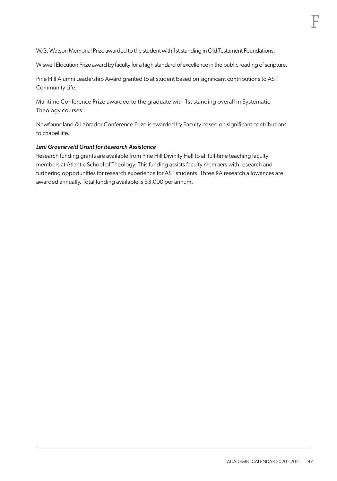W.G. Watson Memorial Prize awarded to the student with 1st standing in Old Testament Foundations.

Wiswell Elocution Prize award by faculty for a high standard of excellence in the public reading of scripture.

Pine Hill Alumni Leadership Award granted to at student based on significant contributions to AST Community Life.

Maritime Conference Prize awarded to the graduate with 1st standing overall in Systematic Theology courses.

Newfoundland & Labrador Conference Prize is awarded by Faculty based on significant contributions to chapel life.

#### *Leni Groeneveld Grant for Research Assistance*

Research funding grants are available from Pine Hill Divinity Hall to all full-time teaching faculty members at Atlantic School of Theology. This funding assists faculty members with research and furthering opportunities for research experience for AST students. Three RA research allowances are awarded annually. Total funding available is \$3,000 per annum.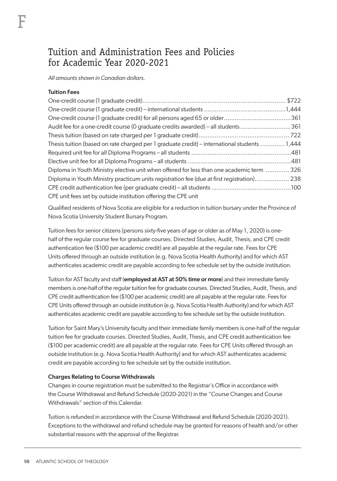# Tuition and Administration Fees and Policies for Academic Year 2020-2021

*All amounts shown in Canadian dollars.*

#### Tuition Fees

| One-credit course (1 graduate credit) for all persons aged 65 or older361                         |  |
|---------------------------------------------------------------------------------------------------|--|
| Audit fee for a one-credit course (0 graduate credits awarded) – all students 361                 |  |
|                                                                                                   |  |
| 1,444 Thesis tuition (based on rate charged per 1 graduate credit) – international students 1,444 |  |
|                                                                                                   |  |
|                                                                                                   |  |
| Diploma in Youth Ministry elective unit when offered for less than one academic term  326         |  |
| Diploma in Youth Ministry practicum units registration fee (due at first registration) 238        |  |
|                                                                                                   |  |
| CPE unit fees set by outside institution offering the CPE unit                                    |  |

Qualified residents of Nova Scotia are eligible for a reduction in tuition bursary under the Province of Nova Scotia University Student Bursary Program.

Tuition fees for senior citizens (persons sixty-five years of age or older as of May 1, 2020) is onehalf of the regular course fee for graduate courses. Directed Studies, Audit, Thesis, and CPE credit authentication fee (\$100 per academic credit) are all payable at the regular rate. Fees for CPE Units offered through an outside institution (e.g. Nova Scotia Health Authority) and for which AST authenticates academic credit are payable according to fee schedule set by the outside institution.

Tuition for AST faculty and staff (employed at AST at 50% time or more) and their immediate family members is one-half of the regular tuition fee for graduate courses. Directed Studies, Audit, Thesis, and CPE credit authentication fee (\$100 per academic credit) are all payable at the regular rate. Fees for CPE Units offered through an outside institution (e.g. Nova Scotia Health Authority) and for which AST authenticates academic credit are payable according to fee schedule set by the outside institution.

Tuition for Saint Mary's University faculty and their immediate family members is one-half of the regular tuition fee for graduate courses. Directed Studies, Audit, Thesis, and CPE credit authentication fee (\$100 per academic credit) are all payable at the regular rate. Fees for CPE Units offered through an outside institution (e.g. Nova Scotia Health Authority) and for which AST authenticates academic credit are payable according to fee schedule set by the outside institution.

#### Charges Relating to Course Withdrawals

Changes in course registration must be submitted to the Registrar's Office in accordance with the Course Withdrawal and Refund Schedule (2020-2021) in the "Course Changes and Course Withdrawals" section of this Calendar.

Tuition is refunded in accordance with the Course Withdrawal and Refund Schedule (2020-2021). Exceptions to the withdrawal and refund schedule may be granted for reasons of health and/or other substantial reasons with the approval of the Registrar.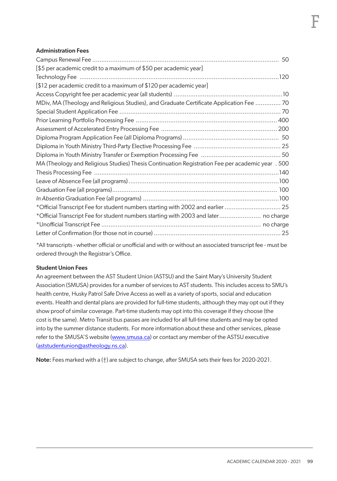#### Administration Fees

| [\$5 per academic credit to a maximum of \$50 per academic year]                                 |  |
|--------------------------------------------------------------------------------------------------|--|
|                                                                                                  |  |
| [\$12 per academic credit to a maximum of \$120 per academic year]                               |  |
|                                                                                                  |  |
| MDiv, MA (Theology and Religious Studies), and Graduate Certificate Application Fee  70          |  |
|                                                                                                  |  |
|                                                                                                  |  |
|                                                                                                  |  |
|                                                                                                  |  |
|                                                                                                  |  |
|                                                                                                  |  |
| MA (Theology and Religious Studies) Thesis Continuation Registration Fee per academic year . 500 |  |
|                                                                                                  |  |
|                                                                                                  |  |
|                                                                                                  |  |
|                                                                                                  |  |
| *Official Transcript Fee for student numbers starting with 2002 and earlier  25                  |  |
| *Official Transcript Fee for student numbers starting with 2003 and later no charge              |  |
|                                                                                                  |  |
|                                                                                                  |  |

\*All transcripts - whether official or unofficial and with or without an associated transcript fee - must be ordered through the Registrar's Office.

#### Student Union Fees

An agreement between the AST Student Union (ASTSU) and the Saint Mary's University Student Association (SMUSA) provides for a number of services to AST students. This includes access to SMU's health centre, Husky Patrol Safe Drive Access as well as a variety of sports, social and education events. Health and dental plans are provided for full-time students, although they may opt out if they show proof of similar coverage. Part-time students may opt into this coverage if they choose (the cost is the same). Metro Transit bus passes are included for all full-time students and may be opted into by the summer distance students. For more information about these and other services, please refer to the SMUSA'S website (www.smusa.ca) or contact any member of the ASTSU executive (aststudentunion@astheology.ns.ca).

Note: Fees marked with a (†) are subject to change, after SMUSA sets their fees for 2020-2021.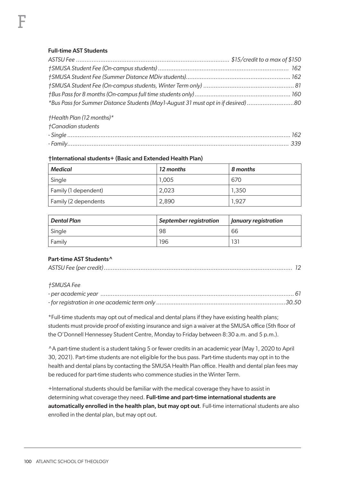# Full-time AST Students

| 8080 htmer Distance Students (May 1-August 31 must opt in if desired) |  |
|-----------------------------------------------------------------------|--|
|                                                                       |  |

*†Health Plan (12 months)\**

| †Canadian students |  |
|--------------------|--|
|                    |  |
|                    |  |

# †International students+ (Basic and Extended Health Plan)

| Medical              | 12 months | 8 months |
|----------------------|-----------|----------|
| Single               | 1.005     | 670      |
| Family (1 dependent) | 2.023     | 1,350    |
| Family (2 dependents | 2.890     | 1.927    |

| Dental Plan | September registration | <b>January registration</b> |
|-------------|------------------------|-----------------------------|
| Single      | 98                     | 66                          |
| Family      | 196                    | 131                         |

# Part-time AST Students^

# *†SMUSA Fee*

\*Full-time students may opt out of medical and dental plans if they have existing health plans; students must provide proof of existing insurance and sign a waiver at the SMUSA office (5th floor of the O'Donnell Hennessey Student Centre, Monday to Friday between 8:30 a.m. and 5 p.m.).

^A part-time student is a student taking 5 or fewer credits in an academic year (May 1, 2020 to April 30, 2021). Part-time students are not eligible for the bus pass. Part-time students may opt in to the health and dental plans by contacting the SMUSA Health Plan office. Health and dental plan fees may be reduced for part-time students who commence studies in the Winter Term.

+International students should be familiar with the medical coverage they have to assist in determining what coverage they need. Full-time and part-time international students are automatically enrolled in the health plan, but may opt out. Full-time international students are also enrolled in the dental plan, but may opt out.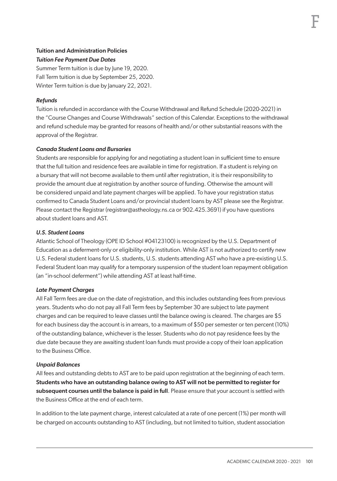# Tuition and Administration Policies *Tuition Fee Payment Due Dates*

Summer Term tuition is due by June 19, 2020. Fall Term tuition is due by September 25, 2020. Winter Term tuition is due by January 22, 2021.

# *Refunds*

Tuition is refunded in accordance with the Course Withdrawal and Refund Schedule (2020-2021) in the "Course Changes and Course Withdrawals" section of this Calendar. Exceptions to the withdrawal and refund schedule may be granted for reasons of health and/or other substantial reasons with the approval of the Registrar.

# *Canada Student Loans and Bursaries*

Students are responsible for applying for and negotiating a student loan in sufficient time to ensure that the full tuition and residence fees are available in time for registration. If a student is relying on a bursary that will not become available to them until after registration, it is their responsibility to provide the amount due at registration by another source of funding. Otherwise the amount will be considered unpaid and late payment charges will be applied. To have your registration status confirmed to Canada Student Loans and/or provincial student loans by AST please see the Registrar. Please contact the Registrar (registrar@astheology.ns.ca or 902.425.3691) if you have questions about student loans and AST.

# *U.S. Student Loans*

Atlantic School of Theology (OPE ID School #04123100) is recognized by the U.S. Department of Education as a deferment-only or eligibility-only institution. While AST is not authorized to certify new U.S. Federal student loans for U.S. students, U.S. students attending AST who have a pre-existing U.S. Federal Student loan may qualify for a temporary suspension of the student loan repayment obligation (an "in-school deferment") while attending AST at least half-time.

# *Late Payment Charges*

All Fall Term fees are due on the date of registration, and this includes outstanding fees from previous years. Students who do not pay all Fall Term fees by September 30 are subject to late payment charges and can be required to leave classes until the balance owing is cleared. The charges are \$5 for each business day the account is in arrears, to a maximum of \$50 per semester or ten percent (10%) of the outstanding balance, whichever is the lesser. Students who do not pay residence fees by the due date because they are awaiting student loan funds must provide a copy of their loan application to the Business Office.

# *Unpaid Balances*

All fees and outstanding debts to AST are to be paid upon registration at the beginning of each term. Students who have an outstanding balance owing to AST will not be permitted to register for subsequent courses until the balance is paid in full. Please ensure that your account is settled with the Business Office at the end of each term.

In addition to the late payment charge, interest calculated at a rate of one percent (1%) per month will be charged on accounts outstanding to AST (including, but not limited to tuition, student association

F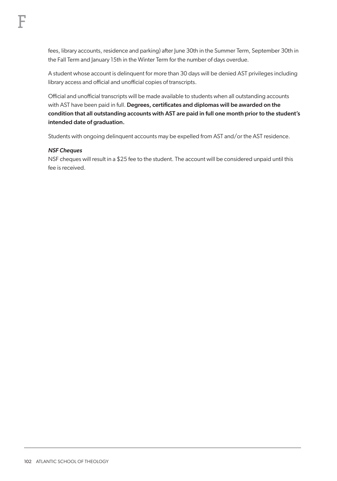fees, library accounts, residence and parking) after June 30th in the Summer Term, September 30th in the Fall Term and January 15th in the Winter Term for the number of days overdue.

A student whose account is delinquent for more than 30 days will be denied AST privileges including library access and official and unofficial copies of transcripts.

Official and unofficial transcripts will be made available to students when all outstanding accounts with AST have been paid in full. Degrees, certificates and diplomas will be awarded on the condition that all outstanding accounts with AST are paid in full one month prior to the student's intended date of graduation.

Students with ongoing delinquent accounts may be expelled from AST and/or the AST residence.

#### *NSF Cheques*

NSF cheques will result in a \$25 fee to the student. The account will be considered unpaid until this fee is received.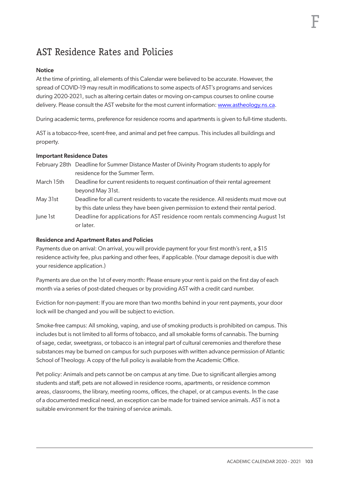# AST Residence Rates and Policies

## **Notice**

At the time of printing, all elements of this Calendar were believed to be accurate. However, the spread of COVID-19 may result in modifications to some aspects of AST's programs and services during 2020-2021, such as altering certain dates or moving on-campus courses to online course delivery. Please consult the AST website for the most current information: www.astheology.ns.ca.

During academic terms, preference for residence rooms and apartments is given to full-time students.

AST is a tobacco-free, scent-free, and animal and pet free campus. This includes all buildings and property.

## Important Residence Dates

| February 28th Deadline for Summer Distance Master of Divinity Program students to apply for |
|---------------------------------------------------------------------------------------------|
| residence for the Summer Term.                                                              |

- March 15th Deadline for current residents to request continuation of their rental agreement beyond May 31st.
- May 31st Deadline for all current residents to vacate the residence. All residents must move out by this date unless they have been given permission to extend their rental period.
- June 1st Deadline for applications for AST residence room rentals commencing August 1st or later.

#### Residence and Apartment Rates and Policies

Payments due on arrival: On arrival, you will provide payment for your first month's rent, a \$15 residence activity fee, plus parking and other fees, if applicable. (Your damage deposit is due with your residence application.)

Payments are due on the 1st of every month: Please ensure your rent is paid on the first day of each month via a series of post-dated cheques or by providing AST with a credit card number.

Eviction for non-payment: If you are more than two months behind in your rent payments, your door lock will be changed and you will be subject to eviction.

Smoke-free campus: All smoking, vaping, and use of smoking products is prohibited on campus. This includes but is not limited to all forms of tobacco, and all smokable forms of cannabis. The burning of sage, cedar, sweetgrass, or tobacco is an integral part of cultural ceremonies and therefore these substances may be burned on campus for such purposes with written advance permission of Atlantic School of Theology. A copy of the full policy is available from the Academic Office.

Pet policy: Animals and pets cannot be on campus at any time. Due to significant allergies among students and staff, pets are not allowed in residence rooms, apartments, or residence common areas, classrooms, the library, meeting rooms, offices, the chapel, or at campus events. In the case of a documented medical need, an exception can be made for trained service animals. AST is not a suitable environment for the training of service animals.

F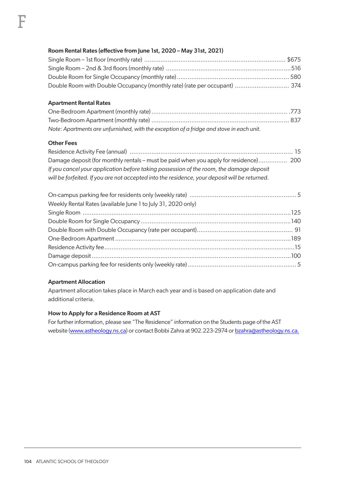# Room Rental Rates (effective from June 1st, 2020 – May 31st, 2021)

| Double Room with Double Occupancy (monthly rate) (rate per occupant)  374 |  |
|---------------------------------------------------------------------------|--|

#### Apartment Rental Rates

| Note: Apartments are unfurnished, with the exception of a fridge and stove in each unit. |  |
|------------------------------------------------------------------------------------------|--|

#### Other Fees

| If you cancel your application before taking possession of the room, the damage deposit       |  |
|-----------------------------------------------------------------------------------------------|--|
| will be forfeited. If you are not accepted into the residence, your deposit will be returned. |  |

| Weekly Rental Rates (available June 1 to July 31, 2020 only) |  |
|--------------------------------------------------------------|--|
|                                                              |  |
|                                                              |  |
|                                                              |  |
|                                                              |  |
|                                                              |  |
|                                                              |  |
|                                                              |  |

### Apartment Allocation

Apartment allocation takes place in March each year and is based on application date and additional criteria.

#### How to Apply for a Residence Room at AST

For further information, please see "The Residence" information on the Students page of the AST website (www.astheology.ns.ca) or contact Bobbi Zahra at 902.223-2974 or bzahra@astheology.ns.ca.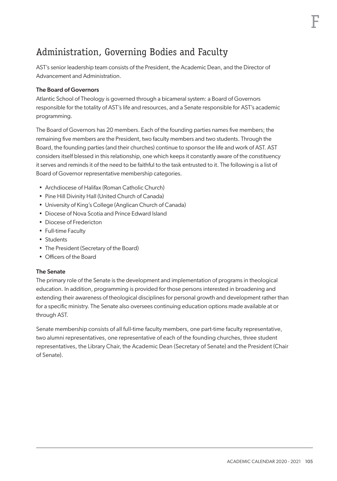# Administration, Governing Bodies and Faculty

AST's senior leadership team consists of the President, the Academic Dean, and the Director of Advancement and Administration.

## The Board of Governors

Atlantic School of Theology is governed through a bicameral system: a Board of Governors responsible for the totality of AST's life and resources, and a Senate responsible for AST's academic programming.

The Board of Governors has 20 members. Each of the founding parties names five members; the remaining five members are the President, two faculty members and two students. Through the Board, the founding parties (and their churches) continue to sponsor the life and work of AST. AST considers itself blessed in this relationship, one which keeps it constantly aware of the constituency it serves and reminds it of the need to be faithful to the task entrusted to it. The following is a list of Board of Governor representative membership categories.

- Archdiocese of Halifax (Roman Catholic Church)
- Pine Hill Divinity Hall (United Church of Canada)
- University of King's College (Anglican Church of Canada)
- Diocese of Nova Scotia and Prince Edward Island
- Diocese of Fredericton
- Full-time Faculty
- Students
- The President (Secretary of the Board)
- Officers of the Board

#### The Senate

The primary role of the Senate is the development and implementation of programs in theological education. In addition, programming is provided for those persons interested in broadening and extending their awareness of theological disciplines for personal growth and development rather than for a specific ministry. The Senate also oversees continuing education options made available at or through AST.

Senate membership consists of all full-time faculty members, one part-time faculty representative, two alumni representatives, one representative of each of the founding churches, three student representatives, the Library Chair, the Academic Dean (Secretary of Senate) and the President (Chair of Senate).

F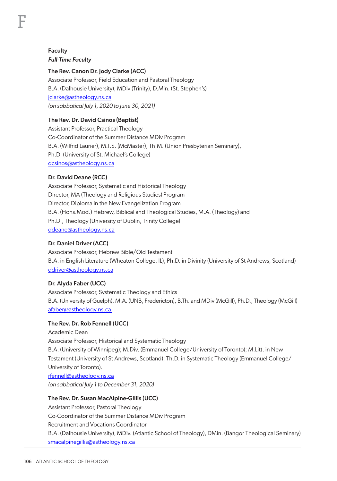F

# The Rev. Canon Dr. Jody Clarke (ACC)

Associate Professor, Field Education and Pastoral Theology B.A. (Dalhousie University), MDiv (Trinity), D.Min. (St. Stephen's) jclarke@astheology.ns.ca *(on sabbatical July 1, 2020 to June 30, 2021)*

# The Rev. Dr. David Csinos (Baptist)

Assistant Professor, Practical Theology Co-Coordinator of the Summer Distance MDiv Program B.A. (Wilfrid Laurier), M.T.S. (McMaster), Th.M. (Union Presbyterian Seminary), Ph.D. (University of St. Michael's College) dcsinos@astheology.ns.ca

## Dr. David Deane (RCC)

Associate Professor, Systematic and Historical Theology Director, MA (Theology and Religious Studies) Program Director, Diploma in the New Evangelization Program B.A. (Hons.Mod.) Hebrew, Biblical and Theological Studies, M.A. (Theology) and Ph.D., Theology (University of Dublin, Trinity College) ddeane@astheology.ns.ca

# Dr. Daniel Driver (ACC)

Associate Professor, Hebrew Bible/Old Testament B.A. in English Literature (Wheaton College, IL), Ph.D. in Divinity (University of St Andrews, Scotland) ddriver@astheology.ns.ca

# Dr. Alyda Faber (UCC)

Associate Professor, Systematic Theology and Ethics B.A. (University of Guelph), M.A. (UNB, Fredericton), B.Th. and MDiv (McGill), Ph.D., Theology (McGill) afaber@astheology.ns.ca

#### The Rev. Dr. Rob Fennell (UCC)

Academic Dean Associate Professor, Historical and Systematic Theology B.A. (University of Winnipeg); M.Div. (Emmanuel College/University of Toronto); M.Litt. in New Testament (University of St Andrews, Scotland); Th.D. in Systematic Theology (Emmanuel College/ University of Toronto). rfennell@astheology.ns.ca *(on sabbatical July 1 to December 31, 2020)*

# The Rev. Dr. Susan MacAlpine-Gillis (UCC)

Assistant Professor, Pastoral Theology Co-Coordinator of the Summer Distance MDiv Program Recruitment and Vocations Coordinator B.A. (Dalhousie University), MDiv. (Atlantic School of Theology), DMin. (Bangor Theological Seminary) smacalpinegillis@astheology.ns.ca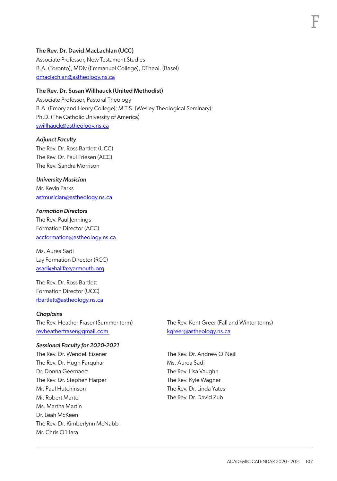## The Rev. Dr. David MacLachlan (UCC)

Associate Professor, New Testament Studies B.A. (Toronto), MDiv (Emmanuel College), DTheol. (Basel) dmaclachlan@astheology.ns.ca

# The Rev. Dr. Susan Willhauck (United Methodist)

Associate Professor, Pastoral Theology B.A. (Emory and Henry College); M.T.S. (Wesley Theological Seminary); Ph.D. (The Catholic University of America) swillhauck@astheology.ns.ca

#### *Adjunct Faculty*

The Rev. Dr. Ross Bartlett (UCC) The Rev. Dr. Paul Friesen (ACC) The Rev. Sandra Morrison

*University Musician* Mr. Kevin Parks astmusician@astheology.ns.ca

# *Formation Directors*

The Rev. Paul Jennings Formation Director (ACC) accformation@astheology.ns.ca

Ms. Aurea Sadi Lay Formation Director (RCC) asadi@halifaxyarmouth.org

The Rev. Dr. Ross Bartlett Formation Director (UCC) rbartlett@astheology.ns.ca

#### *Chaplains*

The Rev. Heather Fraser (Summer term) revheatherfraser@gmail.com

#### *Sessional Faculty for 2020-2021*

The Rev. Dr. Wendell Eisener The Rev. Dr. Hugh Farquhar Dr. Donna Geernaert The Rev. Dr. Stephen Harper Mr. Paul Hutchinson Mr. Robert Martel Ms. Martha Martin Dr. Leah McKeen The Rev. Dr. Kimberlynn McNabb Mr. Chris O'Hara

The Rev. Kent Greer (Fall and Winter terms) kgreer@astheology.ns.ca

The Rev. Dr. Andrew O'Neill Ms. Aurea Sadi The Rev. Lisa Vaughn The Rev. Kyle Wagner The Rev. Dr. Linda Yates The Rev. Dr. David Zub

F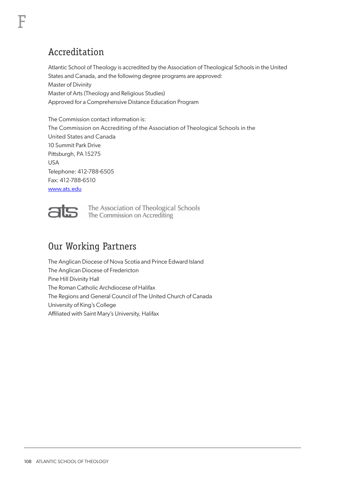# Accreditation

F

Atlantic School of Theology is accredited by the Association of Theological Schools in the United States and Canada, and the following degree programs are approved: Master of Divinity Master of Arts (Theology and Religious Studies) Approved for a Comprehensive Distance Education Program

The Commission contact information is: The Commission on Accrediting of the Association of Theological Schools in the United States and Canada 10 Summit Park Drive Pittsburgh, PA 15275 USA Telephone: 412-788-6505 Fax: 412-788-6510 www.ats.edu

The Association of Theological Schools<br>The Commission on Accrediting

# Our Working Partners

The Anglican Diocese of Nova Scotia and Prince Edward Island The Anglican Diocese of Fredericton Pine Hill Divinity Hall The Roman Catholic Archdiocese of Halifax The Regions and General Council of The United Church of Canada University of King's College Affiliated with Saint Mary's University, Halifax